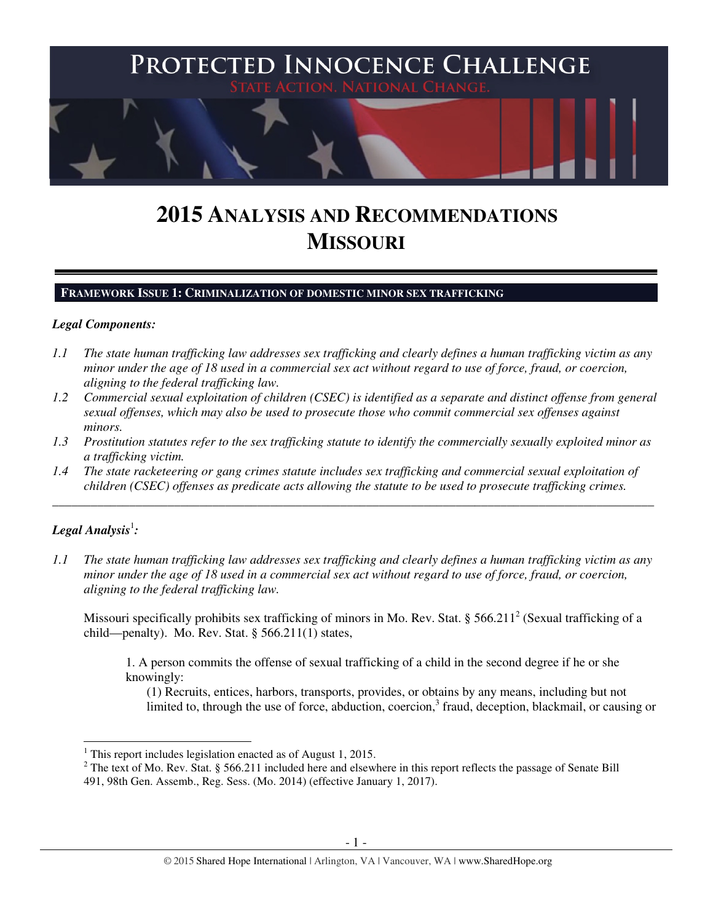

# **2015 ANALYSIS AND RECOMMENDATIONS MISSOURI**

#### **FRAMEWORK ISSUE 1: CRIMINALIZATION OF DOMESTIC MINOR SEX TRAFFICKING**

#### *Legal Components:*

- *1.1 The state human trafficking law addresses sex trafficking and clearly defines a human trafficking victim as any minor under the age of 18 used in a commercial sex act without regard to use of force, fraud, or coercion, aligning to the federal trafficking law.*
- *1.2 Commercial sexual exploitation of children (CSEC) is identified as a separate and distinct offense from general sexual offenses, which may also be used to prosecute those who commit commercial sex offenses against minors.*
- *1.3 Prostitution statutes refer to the sex trafficking statute to identify the commercially sexually exploited minor as a trafficking victim.*

\_\_\_\_\_\_\_\_\_\_\_\_\_\_\_\_\_\_\_\_\_\_\_\_\_\_\_\_\_\_\_\_\_\_\_\_\_\_\_\_\_\_\_\_\_\_\_\_\_\_\_\_\_\_\_\_\_\_\_\_\_\_\_\_\_\_\_\_\_\_\_\_\_\_\_\_\_\_\_\_\_\_\_\_\_\_\_\_\_\_\_\_\_\_

*1.4 The state racketeering or gang crimes statute includes sex trafficking and commercial sexual exploitation of children (CSEC) offenses as predicate acts allowing the statute to be used to prosecute trafficking crimes.* 

# $\bm{\mathit{Legal\, Analysis}^{\text{!}}:}$

 $\overline{a}$ 

*1.1 The state human trafficking law addresses sex trafficking and clearly defines a human trafficking victim as any minor under the age of 18 used in a commercial sex act without regard to use of force, fraud, or coercion, aligning to the federal trafficking law.*

Missouri specifically prohibits sex trafficking of minors in Mo. Rev. Stat. § 566.211<sup>2</sup> (Sexual trafficking of a child—penalty). Mo. Rev. Stat.  $\S$  566.211(1) states,

1. A person commits the offense of sexual trafficking of a child in the second degree if he or she knowingly:

(1) Recruits, entices, harbors, transports, provides, or obtains by any means, including but not limited to, through the use of force, abduction, coercion,<sup>3</sup> fraud, deception, blackmail, or causing or

<sup>&</sup>lt;sup>1</sup> This report includes legislation enacted as of August 1, 2015.

 $2^2$  The text of Mo. Rev. Stat. § 566.211 included here and elsewhere in this report reflects the passage of Senate Bill 491, 98th Gen. Assemb., Reg. Sess. (Mo. 2014) (effective January 1, 2017).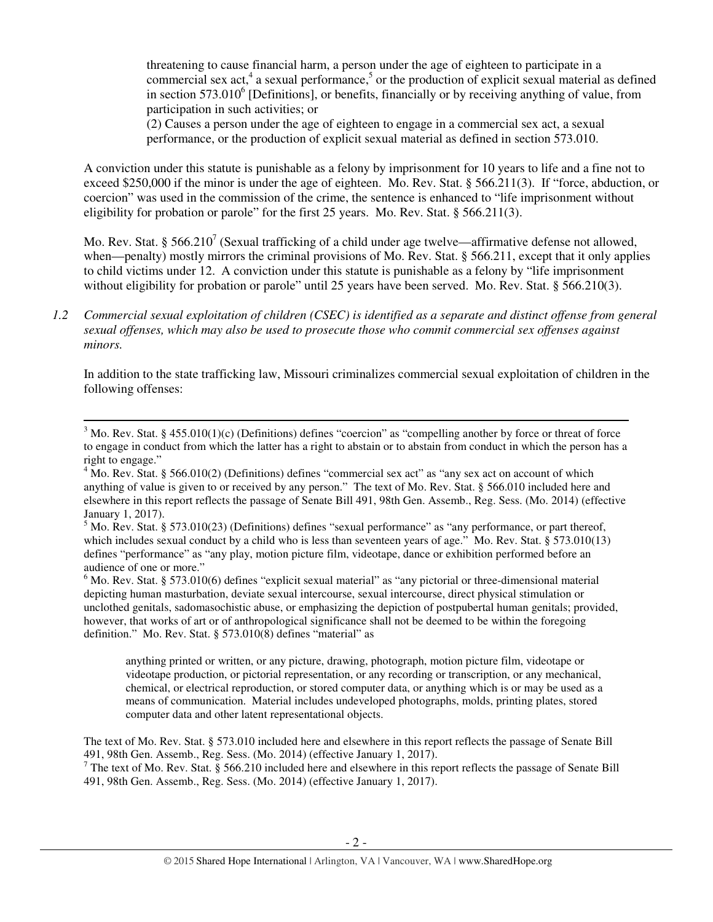threatening to cause financial harm, a person under the age of eighteen to participate in a commercial sex act,<sup>4</sup> a sexual performance,<sup>5</sup> or the production of explicit sexual material as defined in section  $573.010^6$  [Definitions], or benefits, financially or by receiving anything of value, from participation in such activities; or

(2) Causes a person under the age of eighteen to engage in a commercial sex act, a sexual performance, or the production of explicit sexual material as defined in section 573.010.

A conviction under this statute is punishable as a felony by imprisonment for 10 years to life and a fine not to exceed \$250,000 if the minor is under the age of eighteen. Mo. Rev. Stat. § 566.211(3). If "force, abduction, or coercion" was used in the commission of the crime, the sentence is enhanced to "life imprisonment without eligibility for probation or parole" for the first 25 years. Mo. Rev. Stat. § 566.211(3).

Mo. Rev. Stat. § 566.210<sup>7</sup> (Sexual trafficking of a child under age twelve—affirmative defense not allowed, when—penalty) mostly mirrors the criminal provisions of Mo. Rev. Stat. § 566.211, except that it only applies to child victims under 12. A conviction under this statute is punishable as a felony by "life imprisonment without eligibility for probation or parole" until 25 years have been served. Mo. Rev. Stat. § 566.210(3).

In addition to the state trafficking law, Missouri criminalizes commercial sexual exploitation of children in the following offenses:

l

 $6$  Mo. Rev. Stat. § 573.010(6) defines "explicit sexual material" as "any pictorial or three-dimensional material depicting human masturbation, deviate sexual intercourse, sexual intercourse, direct physical stimulation or unclothed genitals, sadomasochistic abuse, or emphasizing the depiction of postpubertal human genitals; provided, however, that works of art or of anthropological significance shall not be deemed to be within the foregoing definition." Mo. Rev. Stat. § 573.010(8) defines "material" as

anything printed or written, or any picture, drawing, photograph, motion picture film, videotape or videotape production, or pictorial representation, or any recording or transcription, or any mechanical, chemical, or electrical reproduction, or stored computer data, or anything which is or may be used as a means of communication. Material includes undeveloped photographs, molds, printing plates, stored computer data and other latent representational objects.

The text of Mo. Rev. Stat. § 573.010 included here and elsewhere in this report reflects the passage of Senate Bill 491, 98th Gen. Assemb., Reg. Sess. (Mo. 2014) (effective January 1, 2017).

<sup>7</sup> The text of Mo. Rev. Stat. § 566.210 included here and elsewhere in this report reflects the passage of Senate Bill 491, 98th Gen. Assemb., Reg. Sess. (Mo. 2014) (effective January 1, 2017).

*<sup>1.2</sup> Commercial sexual exploitation of children (CSEC) is identified as a separate and distinct offense from general sexual offenses, which may also be used to prosecute those who commit commercial sex offenses against minors.*

 $3$  Mo. Rev. Stat. § 455.010(1)(c) (Definitions) defines "coercion" as "compelling another by force or threat of force to engage in conduct from which the latter has a right to abstain or to abstain from conduct in which the person has a right to engage."

<sup>&</sup>lt;sup>4</sup> Mo. Rev. Stat. § 566.010(2) (Definitions) defines "commercial sex act" as "any sex act on account of which anything of value is given to or received by any person." The text of Mo. Rev. Stat. § 566.010 included here and elsewhere in this report reflects the passage of Senate Bill 491, 98th Gen. Assemb., Reg. Sess. (Mo. 2014) (effective January 1, 2017).

 $<sup>5</sup>$  Mo. Rev. Stat. § 573.010(23) (Definitions) defines "sexual performance" as "any performance, or part thereof,</sup> which includes sexual conduct by a child who is less than seventeen years of age." Mo. Rev. Stat. § 573.010(13) defines "performance" as "any play, motion picture film, videotape, dance or exhibition performed before an audience of one or more."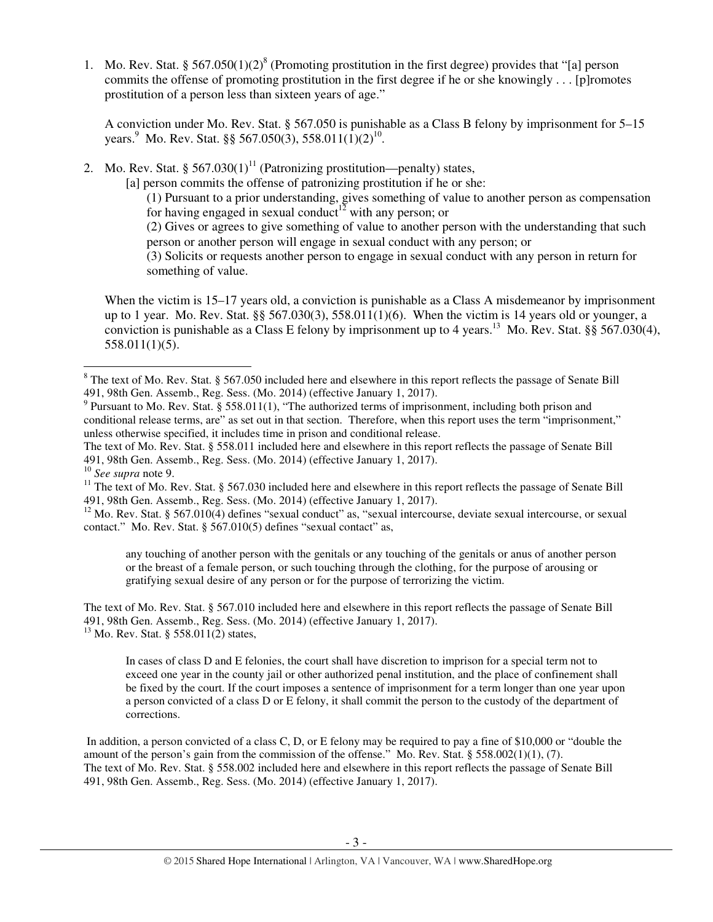1. Mo. Rev. Stat. §  $567.050(1)(2)^8$  (Promoting prostitution in the first degree) provides that "[a] person commits the offense of promoting prostitution in the first degree if he or she knowingly . . . [p]romotes prostitution of a person less than sixteen years of age."

A conviction under Mo. Rev. Stat. § 567.050 is punishable as a Class B felony by imprisonment for 5–15 years.<sup>9</sup> Mo. Rev. Stat. §§ 567.050(3), 558.011(1)(2)<sup>10</sup>.

2. Mo. Rev. Stat. §  $567.030(1)^{11}$  (Patronizing prostitution—penalty) states,

[a] person commits the offense of patronizing prostitution if he or she:

(1) Pursuant to a prior understanding, gives something of value to another person as compensation for having engaged in sexual conduct<sup>12</sup> with any person; or

(2) Gives or agrees to give something of value to another person with the understanding that such person or another person will engage in sexual conduct with any person; or

(3) Solicits or requests another person to engage in sexual conduct with any person in return for something of value.

When the victim is 15–17 years old, a conviction is punishable as a Class A misdemeanor by imprisonment up to 1 year. Mo. Rev. Stat. §§ 567.030(3), 558.011(1)(6). When the victim is 14 years old or younger, a conviction is punishable as a Class E felony by imprisonment up to 4 years.<sup>13</sup> Mo. Rev. Stat. §§ 567.030(4), 558.011(1)(5).

The text of Mo. Rev. Stat. § 558.011 included here and elsewhere in this report reflects the passage of Senate Bill 491, 98th Gen. Assemb., Reg. Sess. (Mo. 2014) (effective January 1, 2017).

<sup>10</sup> *See supra* note 9.

 $\overline{a}$ 

any touching of another person with the genitals or any touching of the genitals or anus of another person or the breast of a female person, or such touching through the clothing, for the purpose of arousing or gratifying sexual desire of any person or for the purpose of terrorizing the victim.

The text of Mo. Rev. Stat. § 567.010 included here and elsewhere in this report reflects the passage of Senate Bill 491, 98th Gen. Assemb., Reg. Sess. (Mo. 2014) (effective January 1, 2017).  $13$  Mo. Rev. Stat. § 558.011(2) states,

In cases of class D and E felonies, the court shall have discretion to imprison for a special term not to exceed one year in the county jail or other authorized penal institution, and the place of confinement shall be fixed by the court. If the court imposes a sentence of imprisonment for a term longer than one year upon a person convicted of a class D or E felony, it shall commit the person to the custody of the department of corrections.

 In addition, a person convicted of a class C, D, or E felony may be required to pay a fine of \$10,000 or "double the amount of the person's gain from the commission of the offense." Mo. Rev. Stat.  $\S 558.002(1)(1)$ , (7). The text of Mo. Rev. Stat. § 558.002 included here and elsewhere in this report reflects the passage of Senate Bill 491, 98th Gen. Assemb., Reg. Sess. (Mo. 2014) (effective January 1, 2017).

 $8$  The text of Mo. Rev. Stat. § 567.050 included here and elsewhere in this report reflects the passage of Senate Bill 491, 98th Gen. Assemb., Reg. Sess. (Mo. 2014) (effective January 1, 2017).

 $9$  Pursuant to Mo. Rev. Stat. § 558.011(1), "The authorized terms of imprisonment, including both prison and conditional release terms, are" as set out in that section. Therefore, when this report uses the term "imprisonment," unless otherwise specified, it includes time in prison and conditional release.

 $11$  The text of Mo. Rev. Stat. § 567.030 included here and elsewhere in this report reflects the passage of Senate Bill 491, 98th Gen. Assemb., Reg. Sess. (Mo. 2014) (effective January 1, 2017).

 $12$  Mo. Rev. Stat. § 567.010(4) defines "sexual conduct" as, "sexual intercourse, deviate sexual intercourse, or sexual contact." Mo. Rev. Stat. § 567.010(5) defines "sexual contact" as,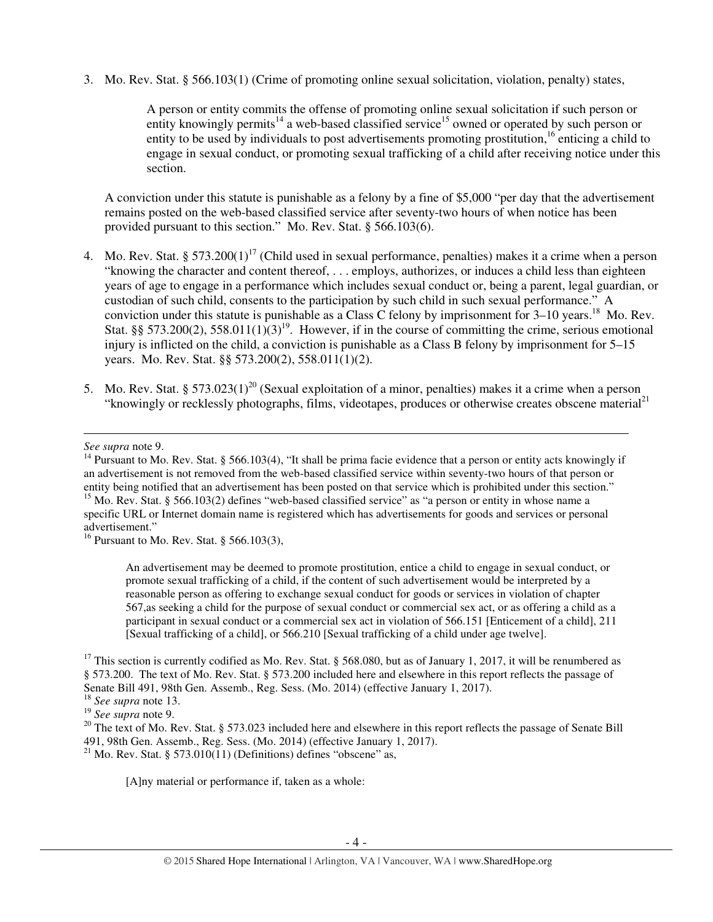3. Mo. Rev. Stat. § 566.103(1) (Crime of promoting online sexual solicitation, violation, penalty) states,

A person or entity commits the offense of promoting online sexual solicitation if such person or entity knowingly permits<sup>14</sup> a web-based classified service<sup>15</sup> owned or operated by such person or entity to be used by individuals to post advertisements promoting prostitution,<sup>16</sup> enticing a child to engage in sexual conduct, or promoting sexual trafficking of a child after receiving notice under this section.

A conviction under this statute is punishable as a felony by a fine of \$5,000 "per day that the advertisement remains posted on the web-based classified service after seventy-two hours of when notice has been provided pursuant to this section." Mo. Rev. Stat. § 566.103(6).

- 4. Mo. Rev. Stat. § 573.200(1)<sup>17</sup> (Child used in sexual performance, penalties) makes it a crime when a person "knowing the character and content thereof, . . . employs, authorizes, or induces a child less than eighteen years of age to engage in a performance which includes sexual conduct or, being a parent, legal guardian, or custodian of such child, consents to the participation by such child in such sexual performance." A conviction under this statute is punishable as a Class C felony by imprisonment for  $3-10$  years.<sup>18</sup> Mo. Rev. Stat. §§ 573.200(2), 558.011(1)(3)<sup>19</sup>. However, if in the course of committing the crime, serious emotional injury is inflicted on the child, a conviction is punishable as a Class B felony by imprisonment for 5–15 years. Mo. Rev. Stat. §§ 573.200(2), 558.011(1)(2).
- 5. Mo. Rev. Stat. § 573.023(1)<sup>20</sup> (Sexual exploitation of a minor, penalties) makes it a crime when a person "knowingly or recklessly photographs, films, videotapes, produces or otherwise creates obscene material<sup>21</sup>

 $\overline{a}$ 

<sup>16</sup> Pursuant to Mo. Rev. Stat. § 566.103(3),

An advertisement may be deemed to promote prostitution, entice a child to engage in sexual conduct, or promote sexual trafficking of a child, if the content of such advertisement would be interpreted by a reasonable person as offering to exchange sexual conduct for goods or services in violation of chapter 567,as seeking a child for the purpose of sexual conduct or commercial sex act, or as offering a child as a participant in sexual conduct or a commercial sex act in violation of 566.151 [Enticement of a child], 211 [Sexual trafficking of a child], or 566.210 [Sexual trafficking of a child under age twelve].

<sup>17</sup> This section is currently codified as Mo. Rev. Stat. § 568.080, but as of January 1, 2017, it will be renumbered as § 573.200. The text of Mo. Rev. Stat. § 573.200 included here and elsewhere in this report reflects the passage of Senate Bill 491, 98th Gen. Assemb., Reg. Sess. (Mo. 2014) (effective January 1, 2017).

[A]ny material or performance if, taken as a whole:

*See supra* note 9.

 $14$  Pursuant to Mo. Rev. Stat. § 566.103(4), "It shall be prima facie evidence that a person or entity acts knowingly if an advertisement is not removed from the web-based classified service within seventy-two hours of that person or entity being notified that an advertisement has been posted on that service which is prohibited under this section." <sup>15</sup> Mo. Rev. Stat. § 566.103(2) defines "web-based classified service" as "a person or entity in whose name a specific URL or Internet domain name is registered which has advertisements for goods and services or personal advertisement."

<sup>18</sup> *See supra* note 13.

<sup>19</sup> *See supra* note 9.

<sup>&</sup>lt;sup>20</sup> The text of Mo. Rev. Stat. § 573.023 included here and elsewhere in this report reflects the passage of Senate Bill 491, 98th Gen. Assemb., Reg. Sess. (Mo. 2014) (effective January 1, 2017). <sup>21</sup> Mo. Rev. Stat. § 573.010(11) (Definitions) defines "obscene" as,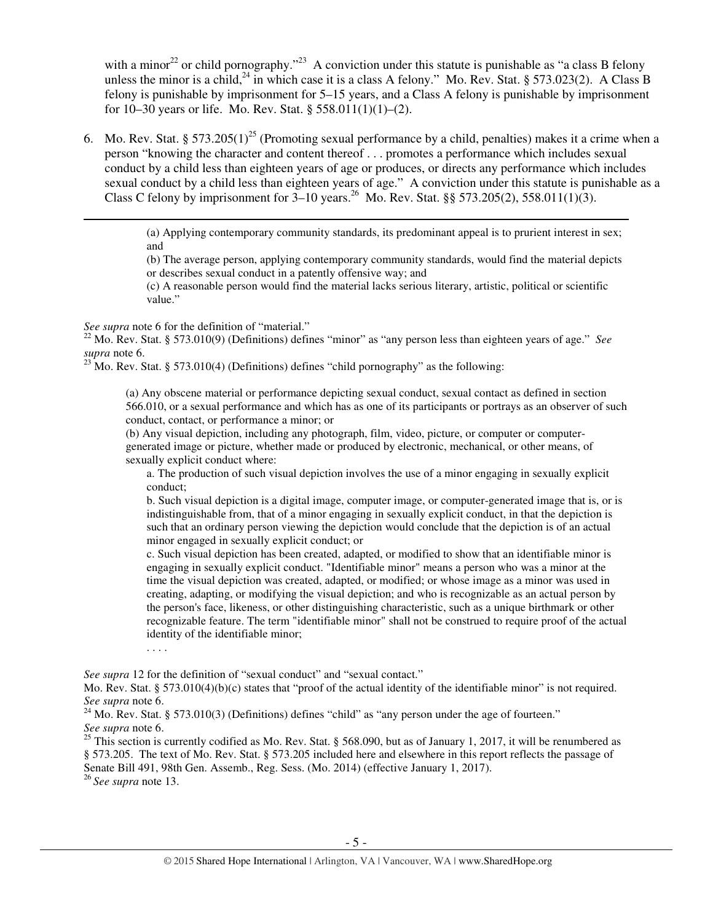with a minor<sup>22</sup> or child pornography."<sup>23</sup> A conviction under this statute is punishable as "a class B felony unless the minor is a child,<sup>24</sup> in which case it is a class A felony." Mo. Rev. Stat. § 573.023(2). A Class B felony is punishable by imprisonment for 5–15 years, and a Class A felony is punishable by imprisonment for 10–30 years or life. Mo. Rev. Stat. §  $558.011(1)(1)–(2)$ .

6. Mo. Rev. Stat. § 573.205(1)<sup>25</sup> (Promoting sexual performance by a child, penalties) makes it a crime when a person "knowing the character and content thereof . . . promotes a performance which includes sexual conduct by a child less than eighteen years of age or produces, or directs any performance which includes sexual conduct by a child less than eighteen years of age." A conviction under this statute is punishable as a Class C felony by imprisonment for  $3-10$  years.<sup>26</sup> Mo. Rev. Stat. §§ 573.205(2), 558.011(1)(3).

> (a) Applying contemporary community standards, its predominant appeal is to prurient interest in sex; and

> (b) The average person, applying contemporary community standards, would find the material depicts or describes sexual conduct in a patently offensive way; and

(c) A reasonable person would find the material lacks serious literary, artistic, political or scientific value."

*See supra* note 6 for the definition of "material."

 $\overline{a}$ 

 $22$  Mo. Rev. Stat. § 573.010(9) (Definitions) defines "minor" as "any person less than eighteen years of age." *See supra* note 6.

<sup>23</sup> Mo. Rev. Stat. § 573.010(4) (Definitions) defines "child pornography" as the following:

(a) Any obscene material or performance depicting sexual conduct, sexual contact as defined in section 566.010, or a sexual performance and which has as one of its participants or portrays as an observer of such conduct, contact, or performance a minor; or

(b) Any visual depiction, including any photograph, film, video, picture, or computer or computergenerated image or picture, whether made or produced by electronic, mechanical, or other means, of sexually explicit conduct where:

a. The production of such visual depiction involves the use of a minor engaging in sexually explicit conduct;

b. Such visual depiction is a digital image, computer image, or computer-generated image that is, or is indistinguishable from, that of a minor engaging in sexually explicit conduct, in that the depiction is such that an ordinary person viewing the depiction would conclude that the depiction is of an actual minor engaged in sexually explicit conduct; or

c. Such visual depiction has been created, adapted, or modified to show that an identifiable minor is engaging in sexually explicit conduct. "Identifiable minor" means a person who was a minor at the time the visual depiction was created, adapted, or modified; or whose image as a minor was used in creating, adapting, or modifying the visual depiction; and who is recognizable as an actual person by the person's face, likeness, or other distinguishing characteristic, such as a unique birthmark or other recognizable feature. The term "identifiable minor" shall not be construed to require proof of the actual identity of the identifiable minor;

. . . .

*See supra* 12 for the definition of "sexual conduct" and "sexual contact."

Mo. Rev. Stat. § 573.010(4)(b)(c) states that "proof of the actual identity of the identifiable minor" is not required. *See supra* note 6.

 $^{24}$  Mo. Rev. Stat. § 573.010(3) (Definitions) defines "child" as "any person under the age of fourteen." *See supra* note 6.

<sup>25</sup> This section is currently codified as Mo. Rev. Stat. § 568.090, but as of January 1, 2017, it will be renumbered as § 573.205. The text of Mo. Rev. Stat. § 573.205 included here and elsewhere in this report reflects the passage of Senate Bill 491, 98th Gen. Assemb., Reg. Sess. (Mo. 2014) (effective January 1, 2017).

<sup>26</sup>*See supra* note 13.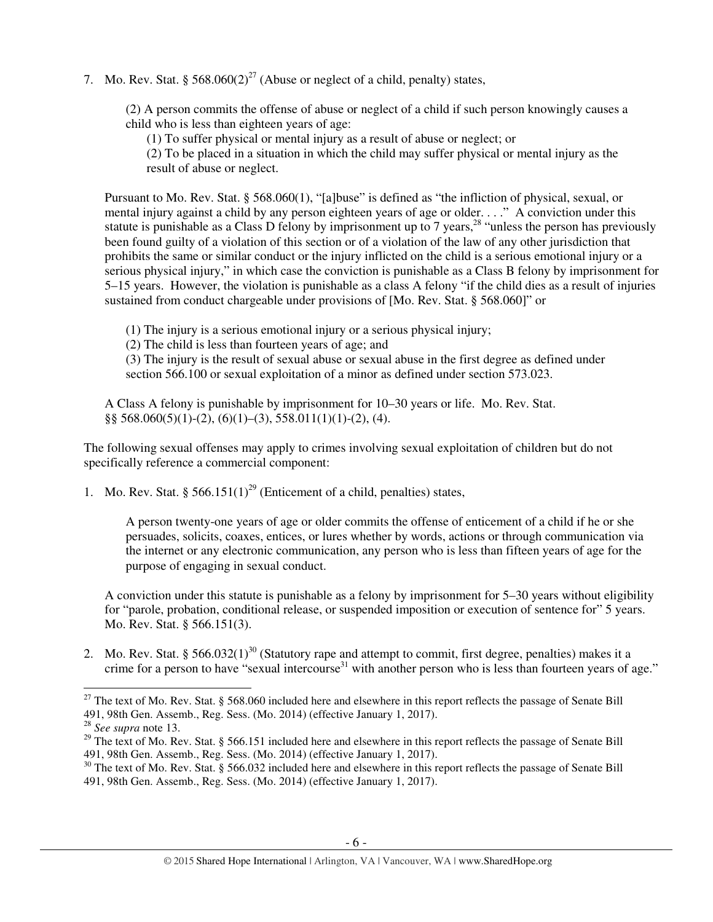7. Mo. Rev. Stat. §  $568.060(2)^{27}$  (Abuse or neglect of a child, penalty) states,

(2) A person commits the offense of abuse or neglect of a child if such person knowingly causes a child who is less than eighteen years of age:

(1) To suffer physical or mental injury as a result of abuse or neglect; or

(2) To be placed in a situation in which the child may suffer physical or mental injury as the result of abuse or neglect.

Pursuant to Mo. Rev. Stat. § 568.060(1), "[a]buse" is defined as "the infliction of physical, sexual, or mental injury against a child by any person eighteen years of age or older. . . ." A conviction under this statute is punishable as a Class D felony by imprisonment up to 7 years,<sup>28</sup> "unless the person has previously been found guilty of a violation of this section or of a violation of the law of any other jurisdiction that prohibits the same or similar conduct or the injury inflicted on the child is a serious emotional injury or a serious physical injury," in which case the conviction is punishable as a Class B felony by imprisonment for 5–15 years. However, the violation is punishable as a class A felony "if the child dies as a result of injuries sustained from conduct chargeable under provisions of [Mo. Rev. Stat. § 568.060]" or

(1) The injury is a serious emotional injury or a serious physical injury;

(2) The child is less than fourteen years of age; and

(3) The injury is the result of sexual abuse or sexual abuse in the first degree as defined under section 566.100 or sexual exploitation of a minor as defined under section 573.023.

A Class A felony is punishable by imprisonment for 10–30 years or life. Mo. Rev. Stat.  $\S$ § 568.060(5)(1)-(2), (6)(1)-(3), 558.011(1)(1)-(2), (4).

The following sexual offenses may apply to crimes involving sexual exploitation of children but do not specifically reference a commercial component:

1. Mo. Rev. Stat. § 566.151(1)<sup>29</sup> (Enticement of a child, penalties) states,

A person twenty-one years of age or older commits the offense of enticement of a child if he or she persuades, solicits, coaxes, entices, or lures whether by words, actions or through communication via the internet or any electronic communication, any person who is less than fifteen years of age for the purpose of engaging in sexual conduct.

A conviction under this statute is punishable as a felony by imprisonment for 5–30 years without eligibility for "parole, probation, conditional release, or suspended imposition or execution of sentence for" 5 years. Mo. Rev. Stat. § 566.151(3).

2. Mo. Rev. Stat. § 566.032(1)<sup>30</sup> (Statutory rape and attempt to commit, first degree, penalties) makes it a crime for a person to have "sexual intercourse $31$  with another person who is less than fourteen years of age."

 $27$  The text of Mo. Rev. Stat. § 568.060 included here and elsewhere in this report reflects the passage of Senate Bill 491, 98th Gen. Assemb., Reg. Sess. (Mo. 2014) (effective January 1, 2017).

<sup>28</sup> *See supra* note 13.

<sup>&</sup>lt;sup>29</sup> The text of Mo. Rev. Stat. § 566.151 included here and elsewhere in this report reflects the passage of Senate Bill 491, 98th Gen. Assemb., Reg. Sess. (Mo. 2014) (effective January 1, 2017).

<sup>&</sup>lt;sup>30</sup> The text of Mo. Rev. Stat. § 566.032 included here and elsewhere in this report reflects the passage of Senate Bill 491, 98th Gen. Assemb., Reg. Sess. (Mo. 2014) (effective January 1, 2017).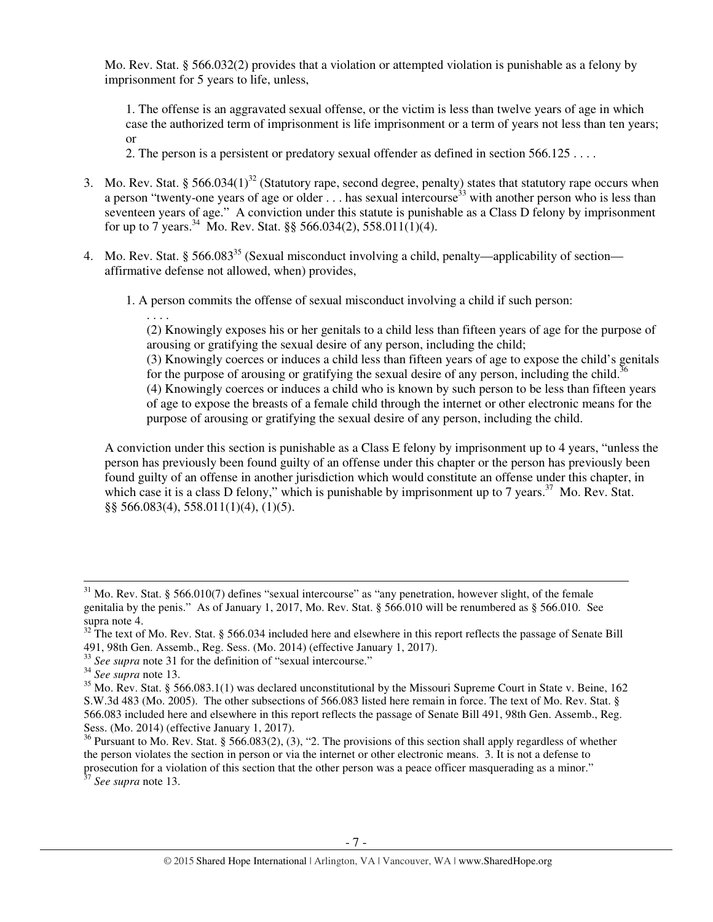Mo. Rev. Stat. § 566.032(2) provides that a violation or attempted violation is punishable as a felony by imprisonment for 5 years to life, unless,

 1. The offense is an aggravated sexual offense, or the victim is less than twelve years of age in which case the authorized term of imprisonment is life imprisonment or a term of years not less than ten years; or

2. The person is a persistent or predatory sexual offender as defined in section 566.125 . . . .

- 3. Mo. Rev. Stat. § 566.034(1)<sup>32</sup> (Statutory rape, second degree, penalty) states that statutory rape occurs when a person "twenty-one years of age or older ... has sexual intercourse<sup>33</sup> with another person who is less than seventeen years of age." A conviction under this statute is punishable as a Class D felony by imprisonment for up to 7 years.<sup>34</sup> Mo. Rev. Stat. §§ 566.034(2), 558.011(1)(4).
- 4. Mo. Rev. Stat. § 566.083<sup>35</sup> (Sexual misconduct involving a child, penalty—applicability of section affirmative defense not allowed, when) provides,
	- 1. A person commits the offense of sexual misconduct involving a child if such person:

. . . . (2) Knowingly exposes his or her genitals to a child less than fifteen years of age for the purpose of arousing or gratifying the sexual desire of any person, including the child;

(3) Knowingly coerces or induces a child less than fifteen years of age to expose the child's genitals for the purpose of arousing or gratifying the sexual desire of any person, including the child.<sup>36</sup>

(4) Knowingly coerces or induces a child who is known by such person to be less than fifteen years of age to expose the breasts of a female child through the internet or other electronic means for the purpose of arousing or gratifying the sexual desire of any person, including the child.

A conviction under this section is punishable as a Class E felony by imprisonment up to 4 years, "unless the person has previously been found guilty of an offense under this chapter or the person has previously been found guilty of an offense in another jurisdiction which would constitute an offense under this chapter, in which case it is a class D felony," which is punishable by imprisonment up to 7 years.<sup>37</sup> Mo. Rev. Stat. §§ 566.083(4), 558.011(1)(4), (1)(5).

l

<sup>37</sup> *See supra* note 13.

 $31$  Mo. Rev. Stat. § 566.010(7) defines "sexual intercourse" as "any penetration, however slight, of the female genitalia by the penis." As of January 1, 2017, Mo. Rev. Stat. § 566.010 will be renumbered as § 566.010. See supra note 4.

<sup>&</sup>lt;sup>32</sup> The text of Mo. Rev. Stat. § 566.034 included here and elsewhere in this report reflects the passage of Senate Bill 491, 98th Gen. Assemb., Reg. Sess. (Mo. 2014) (effective January 1, 2017).

<sup>&</sup>lt;sup>33</sup> See supra note 31 for the definition of "sexual intercourse."

<sup>34</sup> *See supra* note 13.

<sup>&</sup>lt;sup>35</sup> Mo. Rev. Stat. § 566.083.1(1) was declared unconstitutional by the Missouri Supreme Court in State v. Beine, 162 S.W.3d 483 (Mo. 2005). The other subsections of 566.083 listed here remain in force. The text of Mo. Rev. Stat. § 566.083 included here and elsewhere in this report reflects the passage of Senate Bill 491, 98th Gen. Assemb., Reg. Sess. (Mo. 2014) (effective January 1, 2017).

<sup>&</sup>lt;sup>36</sup> Pursuant to Mo. Rev. Stat. § 566.083(2), (3), "2. The provisions of this section shall apply regardless of whether the person violates the section in person or via the internet or other electronic means. 3. It is not a defense to prosecution for a violation of this section that the other person was a peace officer masquerading as a minor."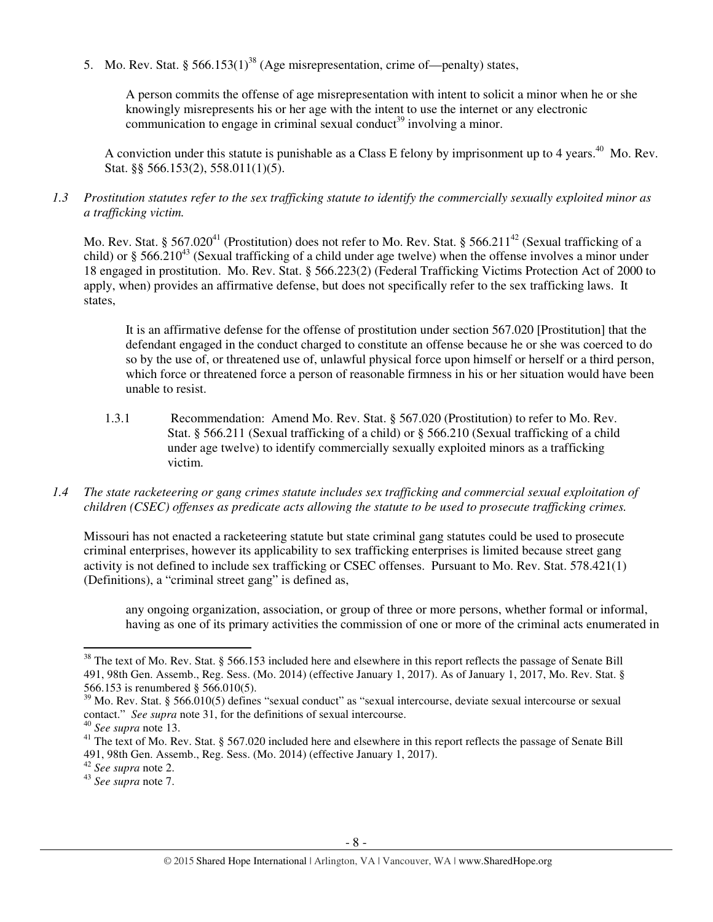5. Mo. Rev. Stat. § 566.153(1)<sup>38</sup> (Age misrepresentation, crime of—penalty) states,

A person commits the offense of age misrepresentation with intent to solicit a minor when he or she knowingly misrepresents his or her age with the intent to use the internet or any electronic communication to engage in criminal sexual conduct<sup>39</sup> involving a minor.

A conviction under this statute is punishable as a Class E felony by imprisonment up to 4 years.<sup>40</sup> Mo. Rev. Stat. §§ 566.153(2), 558.011(1)(5).

## *1.3 Prostitution statutes refer to the sex trafficking statute to identify the commercially sexually exploited minor as a trafficking victim.*

Mo. Rev. Stat. § 567.020<sup>41</sup> (Prostitution) does not refer to Mo. Rev. Stat. § 566.211<sup>42</sup> (Sexual trafficking of a child) or § 566.210<sup>43</sup> (Sexual trafficking of a child under age twelve) when the offense involves a minor under 18 engaged in prostitution. Mo. Rev. Stat. § 566.223(2) (Federal Trafficking Victims Protection Act of 2000 to apply, when) provides an affirmative defense, but does not specifically refer to the sex trafficking laws. It states,

It is an affirmative defense for the offense of prostitution under section 567.020 [Prostitution] that the defendant engaged in the conduct charged to constitute an offense because he or she was coerced to do so by the use of, or threatened use of, unlawful physical force upon himself or herself or a third person, which force or threatened force a person of reasonable firmness in his or her situation would have been unable to resist.

- 1.3.1 Recommendation: Amend Mo. Rev. Stat. § 567.020 (Prostitution) to refer to Mo. Rev. Stat. § 566.211 (Sexual trafficking of a child) or § 566.210 (Sexual trafficking of a child under age twelve) to identify commercially sexually exploited minors as a trafficking victim.
- *1.4 The state racketeering or gang crimes statute includes sex trafficking and commercial sexual exploitation of children (CSEC) offenses as predicate acts allowing the statute to be used to prosecute trafficking crimes.*

Missouri has not enacted a racketeering statute but state criminal gang statutes could be used to prosecute criminal enterprises, however its applicability to sex trafficking enterprises is limited because street gang activity is not defined to include sex trafficking or CSEC offenses. Pursuant to Mo. Rev. Stat. 578.421(1) (Definitions), a "criminal street gang" is defined as,

any ongoing organization, association, or group of three or more persons, whether formal or informal, having as one of its primary activities the commission of one or more of the criminal acts enumerated in

l

 $38$  The text of Mo. Rev. Stat. § 566.153 included here and elsewhere in this report reflects the passage of Senate Bill 491, 98th Gen. Assemb., Reg. Sess. (Mo. 2014) (effective January 1, 2017). As of January 1, 2017, Mo. Rev. Stat. § 566.153 is renumbered § 566.010(5).

<sup>&</sup>lt;sup>39</sup> Mo. Rev. Stat. § 566.010(5) defines "sexual conduct" as "sexual intercourse, deviate sexual intercourse or sexual contact." *See supra* note 31, for the definitions of sexual intercourse.

<sup>40</sup> *See supra* note 13.

<sup>&</sup>lt;sup>41</sup> The text of Mo. Rev. Stat. § 567.020 included here and elsewhere in this report reflects the passage of Senate Bill 491, 98th Gen. Assemb., Reg. Sess. (Mo. 2014) (effective January 1, 2017).

<sup>42</sup> *See supra* note 2.

<sup>43</sup> *See supra* note 7.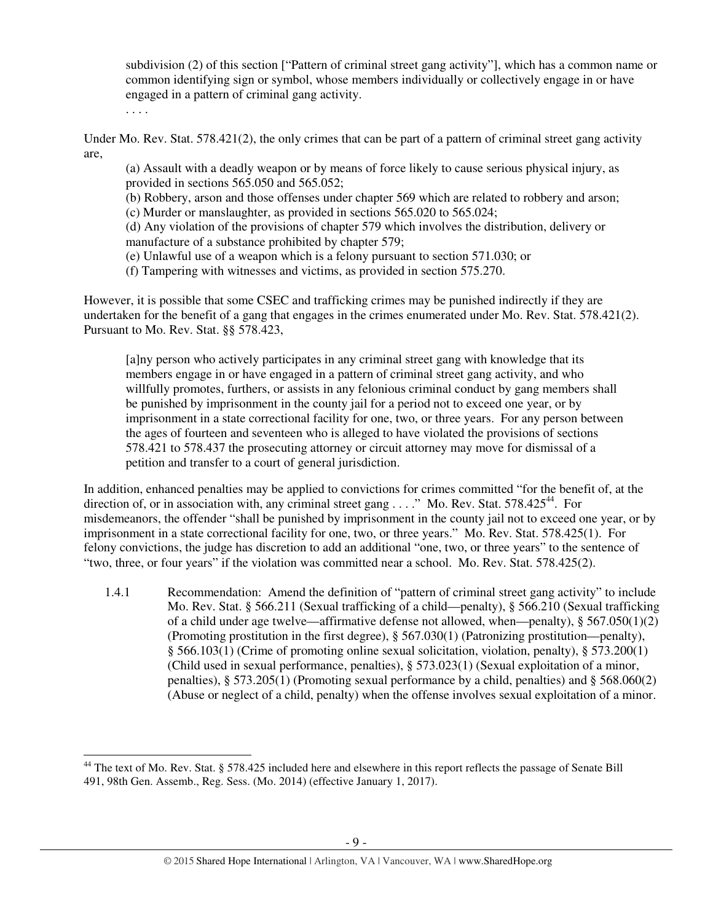subdivision (2) of this section ["Pattern of criminal street gang activity"], which has a common name or common identifying sign or symbol, whose members individually or collectively engage in or have engaged in a pattern of criminal gang activity.

. . . .

 $\overline{a}$ 

Under Mo. Rev. Stat. 578.421(2), the only crimes that can be part of a pattern of criminal street gang activity are,

(a) Assault with a deadly weapon or by means of force likely to cause serious physical injury, as provided in sections 565.050 and 565.052;

(b) Robbery, arson and those offenses under chapter 569 which are related to robbery and arson; (c) Murder or manslaughter, as provided in sections 565.020 to 565.024;

(d) Any violation of the provisions of chapter 579 which involves the distribution, delivery or manufacture of a substance prohibited by chapter 579;

(e) Unlawful use of a weapon which is a felony pursuant to section 571.030; or

(f) Tampering with witnesses and victims, as provided in section 575.270.

However, it is possible that some CSEC and trafficking crimes may be punished indirectly if they are undertaken for the benefit of a gang that engages in the crimes enumerated under Mo. Rev. Stat. 578.421(2). Pursuant to Mo. Rev. Stat. §§ 578.423,

[a]ny person who actively participates in any criminal street gang with knowledge that its members engage in or have engaged in a pattern of criminal street gang activity, and who willfully promotes, furthers, or assists in any felonious criminal conduct by gang members shall be punished by imprisonment in the county jail for a period not to exceed one year, or by imprisonment in a state correctional facility for one, two, or three years. For any person between the ages of fourteen and seventeen who is alleged to have violated the provisions of sections 578.421 to 578.437 the prosecuting attorney or circuit attorney may move for dismissal of a petition and transfer to a court of general jurisdiction.

In addition, enhanced penalties may be applied to convictions for crimes committed "for the benefit of, at the direction of, or in association with, any criminal street gang  $\dots$ ." Mo. Rev. Stat. 578.425<sup>44</sup>. For misdemeanors, the offender "shall be punished by imprisonment in the county jail not to exceed one year, or by imprisonment in a state correctional facility for one, two, or three years." Mo. Rev. Stat. 578.425(1). For felony convictions, the judge has discretion to add an additional "one, two, or three years" to the sentence of "two, three, or four years" if the violation was committed near a school. Mo. Rev. Stat. 578.425(2).

1.4.1 Recommendation: Amend the definition of "pattern of criminal street gang activity" to include Mo. Rev. Stat. § 566.211 (Sexual trafficking of a child—penalty), § 566.210 (Sexual trafficking of a child under age twelve—affirmative defense not allowed, when—penalty),  $\S 567.050(1)(2)$ (Promoting prostitution in the first degree), § 567.030(1) (Patronizing prostitution—penalty), § 566.103(1) (Crime of promoting online sexual solicitation, violation, penalty), § 573.200(1) (Child used in sexual performance, penalties), § 573.023(1) (Sexual exploitation of a minor, penalties), § 573.205(1) (Promoting sexual performance by a child, penalties) and § 568.060(2) (Abuse or neglect of a child, penalty) when the offense involves sexual exploitation of a minor.

<sup>&</sup>lt;sup>44</sup> The text of Mo. Rev. Stat. § 578.425 included here and elsewhere in this report reflects the passage of Senate Bill 491, 98th Gen. Assemb., Reg. Sess. (Mo. 2014) (effective January 1, 2017).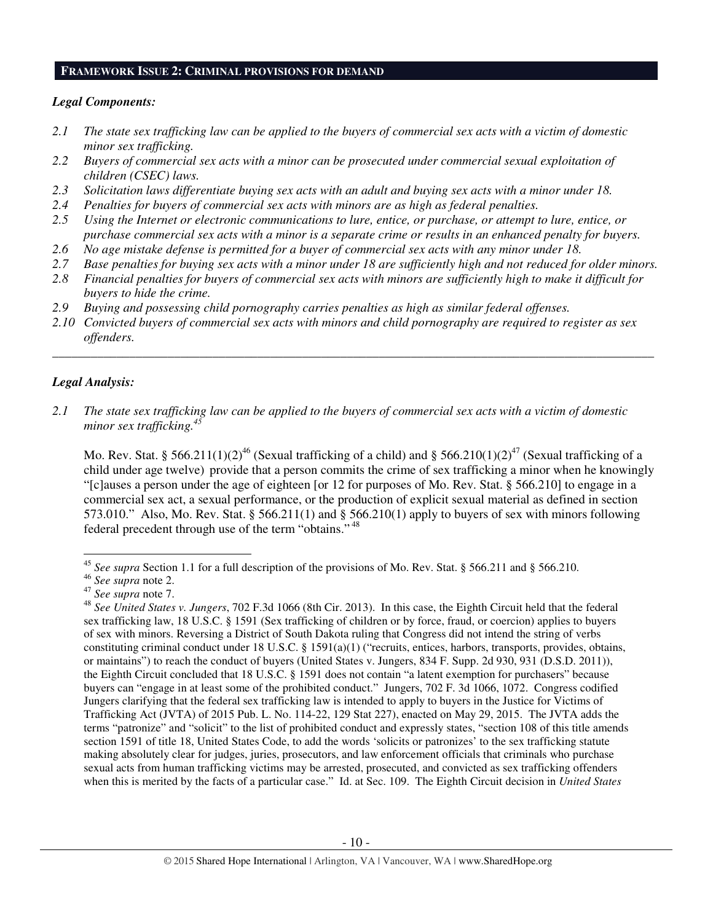#### **FRAMEWORK ISSUE 2: CRIMINAL PROVISIONS FOR DEMAND**

## *Legal Components:*

- *2.1 The state sex trafficking law can be applied to the buyers of commercial sex acts with a victim of domestic minor sex trafficking.*
- *2.2 Buyers of commercial sex acts with a minor can be prosecuted under commercial sexual exploitation of children (CSEC) laws.*
- *2.3 Solicitation laws differentiate buying sex acts with an adult and buying sex acts with a minor under 18.*
- *2.4 Penalties for buyers of commercial sex acts with minors are as high as federal penalties.*
- *2.5 Using the Internet or electronic communications to lure, entice, or purchase, or attempt to lure, entice, or purchase commercial sex acts with a minor is a separate crime or results in an enhanced penalty for buyers.*
- *2.6 No age mistake defense is permitted for a buyer of commercial sex acts with any minor under 18.*
- *2.7 Base penalties for buying sex acts with a minor under 18 are sufficiently high and not reduced for older minors.*
- *2.8 Financial penalties for buyers of commercial sex acts with minors are sufficiently high to make it difficult for buyers to hide the crime.*
- *2.9 Buying and possessing child pornography carries penalties as high as similar federal offenses.*
- *2.10 Convicted buyers of commercial sex acts with minors and child pornography are required to register as sex offenders.*

\_\_\_\_\_\_\_\_\_\_\_\_\_\_\_\_\_\_\_\_\_\_\_\_\_\_\_\_\_\_\_\_\_\_\_\_\_\_\_\_\_\_\_\_\_\_\_\_\_\_\_\_\_\_\_\_\_\_\_\_\_\_\_\_\_\_\_\_\_\_\_\_\_\_\_\_\_\_\_\_\_\_\_\_\_\_\_\_\_\_\_\_\_\_

## *Legal Analysis:*

l

*2.1 The state sex trafficking law can be applied to the buyers of commercial sex acts with a victim of domestic minor sex trafficking.<sup>45</sup>*

Mo. Rev. Stat. § 566.211(1)(2)<sup>46</sup> (Sexual trafficking of a child) and § 566.210(1)(2)<sup>47</sup> (Sexual trafficking of a child under age twelve) provide that a person commits the crime of sex trafficking a minor when he knowingly "[c]auses a person under the age of eighteen [or 12 for purposes of Mo. Rev. Stat. § 566.210] to engage in a commercial sex act, a sexual performance, or the production of explicit sexual material as defined in section 573.010." Also, Mo. Rev. Stat. § 566.211(1) and § 566.210(1) apply to buyers of sex with minors following federal precedent through use of the term "obtains." <sup>48</sup>

<sup>&</sup>lt;sup>45</sup> See supra Section 1.1 for a full description of the provisions of Mo. Rev. Stat. § 566.211 and § 566.210.

<sup>46</sup> *See supra* note 2.

<sup>47</sup> *See supra* note 7.

<sup>48</sup> *See United States v. Jungers*, 702 F.3d 1066 (8th Cir. 2013). In this case, the Eighth Circuit held that the federal sex trafficking law, 18 U.S.C. § 1591 (Sex trafficking of children or by force, fraud, or coercion) applies to buyers of sex with minors. Reversing a District of South Dakota ruling that Congress did not intend the string of verbs constituting criminal conduct under 18 U.S.C. § 1591(a)(1) ("recruits, entices, harbors, transports, provides, obtains, or maintains") to reach the conduct of buyers (United States v. Jungers, 834 F. Supp. 2d 930, 931 (D.S.D. 2011)), the Eighth Circuit concluded that 18 U.S.C. § 1591 does not contain "a latent exemption for purchasers" because buyers can "engage in at least some of the prohibited conduct." Jungers, 702 F. 3d 1066, 1072. Congress codified Jungers clarifying that the federal sex trafficking law is intended to apply to buyers in the Justice for Victims of Trafficking Act (JVTA) of 2015 Pub. L. No. 114-22, 129 Stat 227), enacted on May 29, 2015. The JVTA adds the terms "patronize" and "solicit" to the list of prohibited conduct and expressly states, "section 108 of this title amends section 1591 of title 18, United States Code, to add the words 'solicits or patronizes' to the sex trafficking statute making absolutely clear for judges, juries, prosecutors, and law enforcement officials that criminals who purchase sexual acts from human trafficking victims may be arrested, prosecuted, and convicted as sex trafficking offenders when this is merited by the facts of a particular case." Id. at Sec. 109. The Eighth Circuit decision in *United States*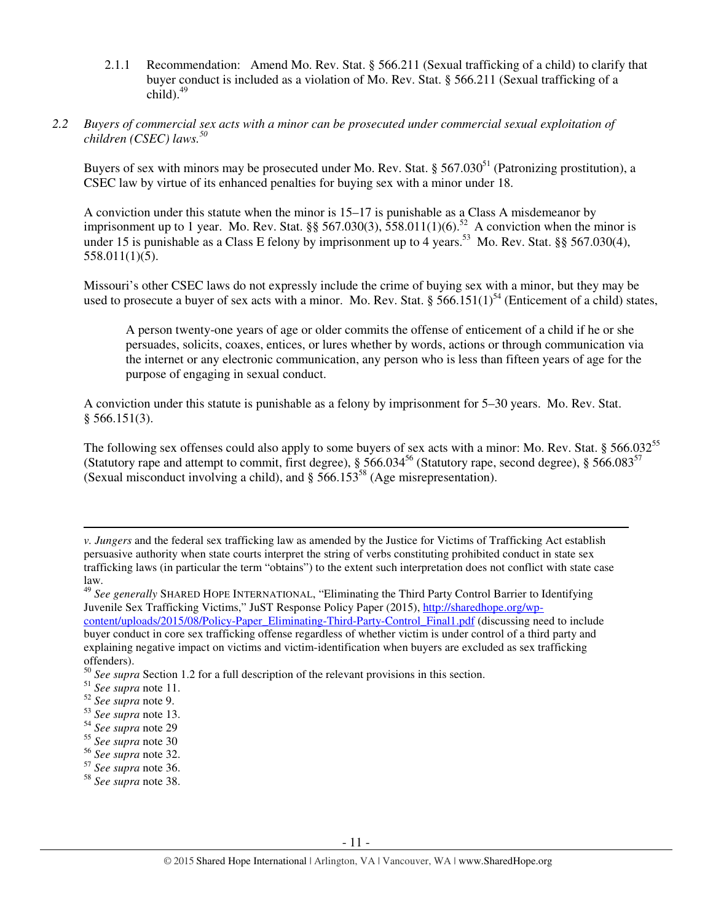- 2.1.1 Recommendation: Amend Mo. Rev. Stat. § 566.211 (Sexual trafficking of a child) to clarify that buyer conduct is included as a violation of Mo. Rev. Stat. § 566.211 (Sexual trafficking of a  $child).<sup>49</sup>$
- *2.2 Buyers of commercial sex acts with a minor can be prosecuted under commercial sexual exploitation of children (CSEC) laws.<sup>50</sup>*

Buyers of sex with minors may be prosecuted under Mo. Rev. Stat.  $\S 567.030^{51}$  (Patronizing prostitution), a CSEC law by virtue of its enhanced penalties for buying sex with a minor under 18.

A conviction under this statute when the minor is 15–17 is punishable as a Class A misdemeanor by imprisonment up to 1 year. Mo. Rev. Stat. §§ 567.030(3),  $\overline{558.011(1)(6)}$ .<sup>52</sup> A conviction when the minor is under 15 is punishable as a Class E felony by imprisonment up to 4 years.<sup>53</sup> Mo. Rev. Stat. §§ 567.030(4), 558.011(1)(5).

Missouri's other CSEC laws do not expressly include the crime of buying sex with a minor, but they may be used to prosecute a buyer of sex acts with a minor. Mo. Rev. Stat. § 566.151(1)<sup>54</sup> (Enticement of a child) states,

A person twenty-one years of age or older commits the offense of enticement of a child if he or she persuades, solicits, coaxes, entices, or lures whether by words, actions or through communication via the internet or any electronic communication, any person who is less than fifteen years of age for the purpose of engaging in sexual conduct.

A conviction under this statute is punishable as a felony by imprisonment for 5–30 years. Mo. Rev. Stat. § 566.151(3).

The following sex offenses could also apply to some buyers of sex acts with a minor: Mo. Rev. Stat.  $\S$  566.032<sup>55</sup> (Statutory rape and attempt to commit, first degree),  $\S 566.034^{56}$  (Statutory rape, second degree),  $\S 566.083^{57}$ (Sexual misconduct involving a child), and  $\S 566.153^{58}$  (Age misrepresentation).

*v. Jungers* and the federal sex trafficking law as amended by the Justice for Victims of Trafficking Act establish persuasive authority when state courts interpret the string of verbs constituting prohibited conduct in state sex trafficking laws (in particular the term "obtains") to the extent such interpretation does not conflict with state case law.

<sup>49</sup> *See generally* SHARED HOPE INTERNATIONAL, "Eliminating the Third Party Control Barrier to Identifying Juvenile Sex Trafficking Victims," JuST Response Policy Paper (2015), http://sharedhope.org/wpcontent/uploads/2015/08/Policy-Paper\_Eliminating-Third-Party-Control\_Final1.pdf (discussing need to include buyer conduct in core sex trafficking offense regardless of whether victim is under control of a third party and explaining negative impact on victims and victim-identification when buyers are excluded as sex trafficking offenders).

<sup>50</sup> *See supra* Section 1.2 for a full description of the relevant provisions in this section.

<sup>51</sup> *See supra* note 11.

<sup>52</sup> *See supra* note 9.

<sup>53</sup> *See supra* note 13.

<sup>54</sup> *See supra* note 29

<sup>55</sup> *See supra* note 30

<sup>56</sup> *See supra* note 32.

<sup>57</sup> *See supra* note 36.

<sup>58</sup> *See supra* note 38.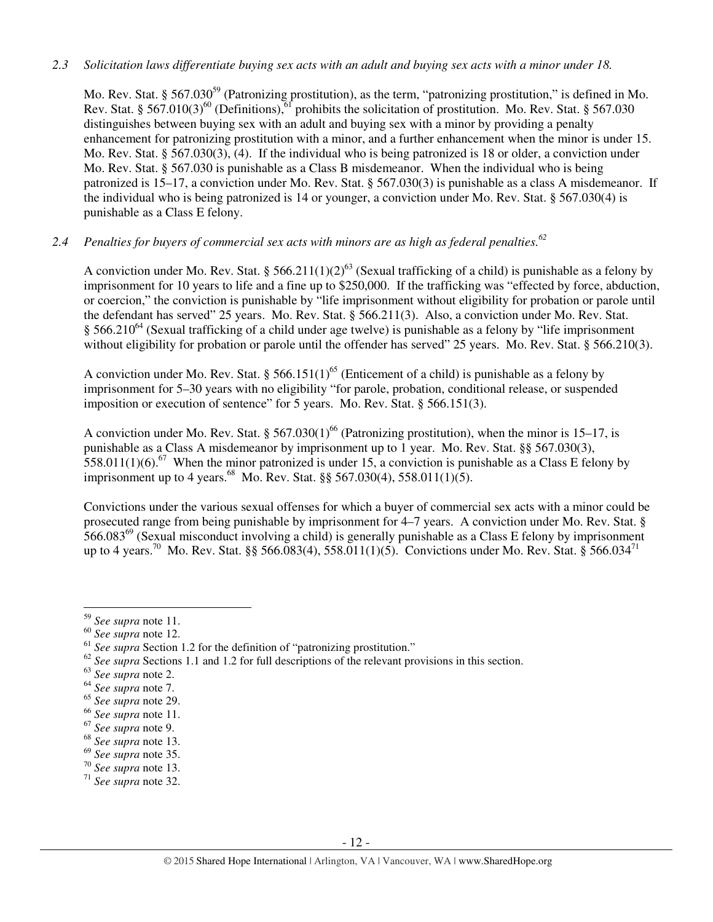## *2.3 Solicitation laws differentiate buying sex acts with an adult and buying sex acts with a minor under 18.*

Mo. Rev. Stat. § 567.030<sup>59</sup> (Patronizing prostitution), as the term, "patronizing prostitution," is defined in Mo. Rev. Stat. § 567.010(3)<sup>60</sup> (Definitions),<sup>61</sup> prohibits the solicitation of prostitution. Mo. Rev. Stat. § 567.030 distinguishes between buying sex with an adult and buying sex with a minor by providing a penalty enhancement for patronizing prostitution with a minor, and a further enhancement when the minor is under 15. Mo. Rev. Stat. § 567.030(3), (4). If the individual who is being patronized is 18 or older, a conviction under Mo. Rev. Stat. § 567.030 is punishable as a Class B misdemeanor. When the individual who is being patronized is 15–17, a conviction under Mo. Rev. Stat. § 567.030(3) is punishable as a class A misdemeanor. If the individual who is being patronized is 14 or younger, a conviction under Mo. Rev. Stat. § 567.030(4) is punishable as a Class E felony.

# *2.4 Penalties for buyers of commercial sex acts with minors are as high as federal penalties.<sup>62</sup>*

A conviction under Mo. Rev. Stat. § 566.211(1)(2)<sup>63</sup> (Sexual trafficking of a child) is punishable as a felony by imprisonment for 10 years to life and a fine up to \$250,000. If the trafficking was "effected by force, abduction, or coercion," the conviction is punishable by "life imprisonment without eligibility for probation or parole until the defendant has served" 25 years. Mo. Rev. Stat. § 566.211(3). Also, a conviction under Mo. Rev. Stat. § 566.210<sup>64</sup> (Sexual trafficking of a child under age twelve) is punishable as a felony by "life imprisonment" without eligibility for probation or parole until the offender has served" 25 years. Mo. Rev. Stat. § 566.210(3).

A conviction under Mo. Rev. Stat. § 566.151(1)<sup>65</sup> (Enticement of a child) is punishable as a felony by imprisonment for 5–30 years with no eligibility "for parole, probation, conditional release, or suspended imposition or execution of sentence" for 5 years. Mo. Rev. Stat. § 566.151(3).

A conviction under Mo. Rev. Stat. § 567.030(1)<sup>66</sup> (Patronizing prostitution), when the minor is 15–17, is punishable as a Class A misdemeanor by imprisonment up to 1 year. Mo. Rev. Stat. §§ 567.030(3), 558.011(1)(6).<sup>67</sup> When the minor patronized is under 15, a conviction is punishable as a Class E felony by imprisonment up to 4 years.<sup>68</sup> Mo. Rev. Stat. §§ 567.030(4), 558.011(1)(5).

Convictions under the various sexual offenses for which a buyer of commercial sex acts with a minor could be prosecuted range from being punishable by imprisonment for 4–7 years. A conviction under Mo. Rev. Stat. §  $566.083^{69}$  (Sexual misconduct involving a child) is generally punishable as a Class E felony by imprisonment up to 4 years.<sup>70</sup> Mo. Rev. Stat. §§ 566.083(4), 558.011(1)(5). Convictions under Mo. Rev. Stat. § 566.034<sup>71</sup>

<sup>59</sup> *See supra* note 11.

<sup>60</sup> *See supra* note 12.

<sup>&</sup>lt;sup>61</sup> See supra Section 1.2 for the definition of "patronizing prostitution."

<sup>&</sup>lt;sup>62</sup> See supra Sections 1.1 and 1.2 for full descriptions of the relevant provisions in this section.

<sup>63</sup> *See supra* note 2.

<sup>64</sup> *See supra* note 7.

<sup>65</sup> *See supra* note 29.

<sup>66</sup> *See supra* note 11.

<sup>67</sup> *See supra* note 9.

<sup>68</sup> *See supra* note 13.

<sup>69</sup> *See supra* note 35.

<sup>70</sup> *See supra* note 13.

<sup>71</sup> *See supra* note 32.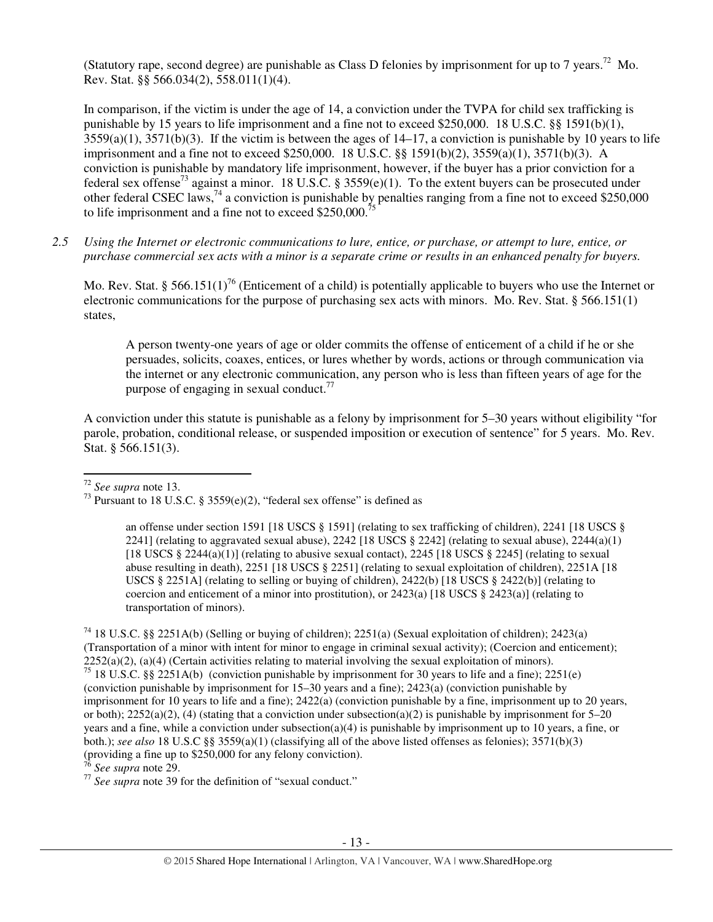(Statutory rape, second degree) are punishable as Class D felonies by imprisonment for up to 7 years.<sup>72</sup> Mo. Rev. Stat. §§ 566.034(2), 558.011(1)(4).

In comparison, if the victim is under the age of 14, a conviction under the TVPA for child sex trafficking is punishable by 15 years to life imprisonment and a fine not to exceed \$250,000. 18 U.S.C. §§ 1591(b)(1),  $3559(a)(1)$ ,  $3571(b)(3)$ . If the victim is between the ages of  $14-17$ , a conviction is punishable by 10 years to life imprisonment and a fine not to exceed \$250,000. 18 U.S.C. §§ 1591(b)(2), 3559(a)(1), 3571(b)(3). A conviction is punishable by mandatory life imprisonment, however, if the buyer has a prior conviction for a federal sex offense<sup>73</sup> against a minor. 18 U.S.C. § 3559(e)(1). To the extent buyers can be prosecuted under other federal CSEC laws,<sup>74</sup> a conviction is punishable by penalties ranging from a fine not to exceed \$250,000 to life imprisonment and a fine not to exceed  $$250,000$ .<sup>7</sup>

*2.5 Using the Internet or electronic communications to lure, entice, or purchase, or attempt to lure, entice, or purchase commercial sex acts with a minor is a separate crime or results in an enhanced penalty for buyers.* 

Mo. Rev. Stat. § 566.151(1)<sup>76</sup> (Enticement of a child) is potentially applicable to buyers who use the Internet or electronic communications for the purpose of purchasing sex acts with minors. Mo. Rev. Stat. § 566.151(1) states,

A person twenty-one years of age or older commits the offense of enticement of a child if he or she persuades, solicits, coaxes, entices, or lures whether by words, actions or through communication via the internet or any electronic communication, any person who is less than fifteen years of age for the purpose of engaging in sexual conduct. $^{77}$ 

A conviction under this statute is punishable as a felony by imprisonment for 5–30 years without eligibility "for parole, probation, conditional release, or suspended imposition or execution of sentence" for 5 years. Mo. Rev. Stat. § 566.151(3).

<sup>72</sup> *See supra* note 13.

 $\overline{a}$ 

<sup>76</sup> *See supra* note 29.

<sup>77</sup> See supra note 39 for the definition of "sexual conduct."

<sup>&</sup>lt;sup>73</sup> Pursuant to 18 U.S.C. § 3559(e)(2), "federal sex offense" is defined as

an offense under section 1591 [18 USCS § 1591] (relating to sex trafficking of children), 2241 [18 USCS § 2241] (relating to aggravated sexual abuse), 2242 [18 USCS  $\S$  2242] (relating to sexual abuse), 2244(a)(1) [18 USCS  $\S 2244(a)(1)$ ] (relating to abusive sexual contact), 2245 [18 USCS  $\S 2245$ ] (relating to sexual abuse resulting in death), 2251 [18 USCS § 2251] (relating to sexual exploitation of children), 2251A [18 USCS § 2251A] (relating to selling or buying of children), 2422(b) [18 USCS § 2422(b)] (relating to coercion and enticement of a minor into prostitution), or  $2423(a)$  [18 USCS §  $2423(a)$ ] (relating to transportation of minors).

<sup>74</sup> 18 U.S.C. §§ 2251A(b) (Selling or buying of children); 2251(a) (Sexual exploitation of children); 2423(a) (Transportation of a minor with intent for minor to engage in criminal sexual activity); (Coercion and enticement);  $2252(a)(2)$ , (a)(4) (Certain activities relating to material involving the sexual exploitation of minors). <sup>75</sup> 18 U.S.C. §§ 2251A(b) (conviction punishable by imprisonment for 30 years to life and a fine); 2251(e) (conviction punishable by imprisonment for 15–30 years and a fine); 2423(a) (conviction punishable by imprisonment for 10 years to life and a fine); 2422(a) (conviction punishable by a fine, imprisonment up to 20 years, or both);  $2252(a)(2)$ , (4) (stating that a conviction under subsection(a)(2) is punishable by imprisonment for 5–20 years and a fine, while a conviction under subsection(a)(4) is punishable by imprisonment up to 10 years, a fine, or both.); *see also* 18 U.S.C §§ 3559(a)(1) (classifying all of the above listed offenses as felonies); 3571(b)(3) (providing a fine up to \$250,000 for any felony conviction).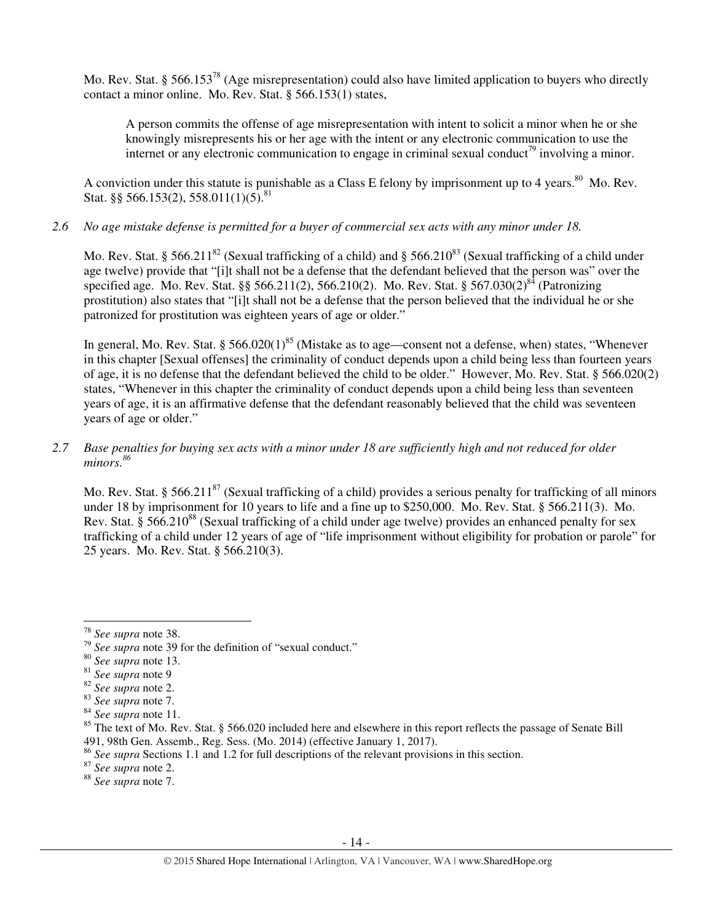Mo. Rev. Stat. § 566.153<sup>78</sup> (Age misrepresentation) could also have limited application to buyers who directly contact a minor online. Mo. Rev. Stat. § 566.153(1) states,

A person commits the offense of age misrepresentation with intent to solicit a minor when he or she knowingly misrepresents his or her age with the intent or any electronic communication to use the internet or any electronic communication to engage in criminal sexual conduct<sup>79</sup> involving a minor.

A conviction under this statute is punishable as a Class E felony by imprisonment up to 4 years.<sup>80</sup> Mo. Rev. Stat. §§ 566.153(2), 558.011(1)(5).<sup>81</sup>

*2.6 No age mistake defense is permitted for a buyer of commercial sex acts with any minor under 18.* 

Mo. Rev. Stat. § 566.211<sup>82</sup> (Sexual trafficking of a child) and § 566.210<sup>83</sup> (Sexual trafficking of a child under age twelve) provide that "[i]t shall not be a defense that the defendant believed that the person was" over the specified age. Mo. Rev. Stat. §§ 566.211(2), 566.210(2). Mo. Rev. Stat. § 567.030(2)<sup>84</sup> (Patronizing prostitution) also states that "[i]t shall not be a defense that the person believed that the individual he or she patronized for prostitution was eighteen years of age or older."

In general, Mo. Rev. Stat. § 566.020(1)<sup>85</sup> (Mistake as to age—consent not a defense, when) states, "Whenever in this chapter [Sexual offenses] the criminality of conduct depends upon a child being less than fourteen years of age, it is no defense that the defendant believed the child to be older." However, Mo. Rev. Stat. § 566.020(2) states, "Whenever in this chapter the criminality of conduct depends upon a child being less than seventeen years of age, it is an affirmative defense that the defendant reasonably believed that the child was seventeen years of age or older."

## *2.7 Base penalties for buying sex acts with a minor under 18 are sufficiently high and not reduced for older minors.<sup>86</sup>*

Mo. Rev. Stat. § 566.211<sup>87</sup> (Sexual trafficking of a child) provides a serious penalty for trafficking of all minors under 18 by imprisonment for 10 years to life and a fine up to \$250,000. Mo. Rev. Stat. § 566.211(3). Mo. Rev. Stat. § 566.210<sup>88</sup> (Sexual trafficking of a child under age twelve) provides an enhanced penalty for sex trafficking of a child under 12 years of age of "life imprisonment without eligibility for probation or parole" for 25 years. Mo. Rev. Stat. § 566.210(3).

l

<sup>78</sup> *See supra* note 38.

<sup>79</sup> *See supra* note 39 for the definition of "sexual conduct."

<sup>80</sup> *See supra* note 13.

<sup>81</sup> *See supra* note 9

<sup>82</sup> *See supra* note 2.

<sup>83</sup> *See supra* note 7.

<sup>84</sup> *See supra* note 11.

 $85$  The text of Mo. Rev. Stat. § 566.020 included here and elsewhere in this report reflects the passage of Senate Bill 491, 98th Gen. Assemb., Reg. Sess. (Mo. 2014) (effective January 1, 2017).

<sup>86</sup> *See supra* Sections 1.1 and 1.2 for full descriptions of the relevant provisions in this section.

<sup>87</sup> *See supra* note 2.

<sup>88</sup> *See supra* note 7.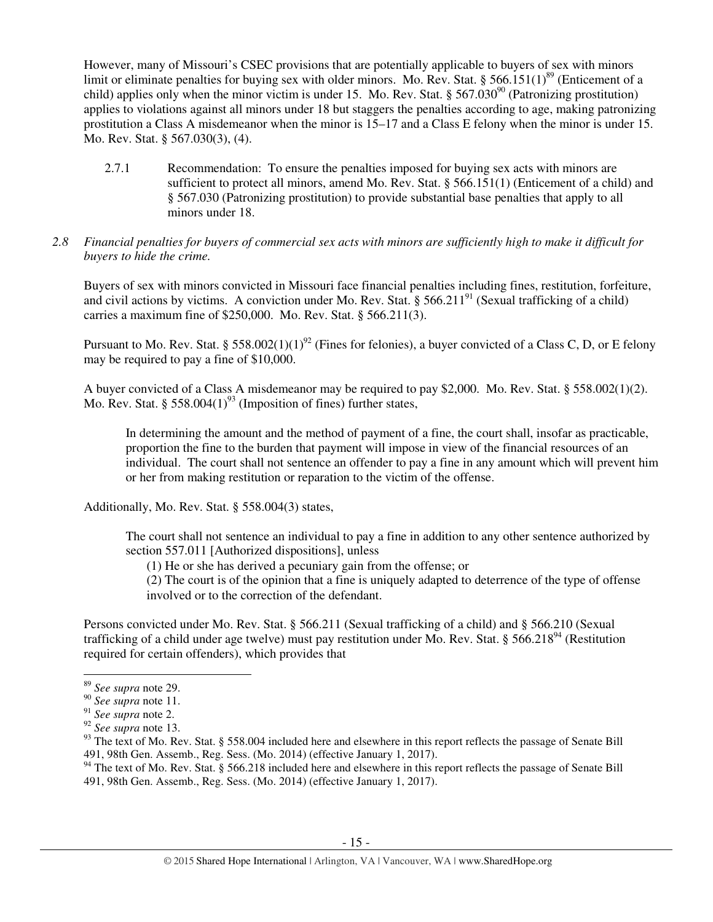However, many of Missouri's CSEC provisions that are potentially applicable to buyers of sex with minors limit or eliminate penalties for buying sex with older minors. Mo. Rev. Stat. § 566.151(1)<sup>89</sup> (Enticement of a child) applies only when the minor victim is under 15. Mo. Rev. Stat. § 567.030<sup>90</sup> (Patronizing prostitution) applies to violations against all minors under 18 but staggers the penalties according to age, making patronizing prostitution a Class A misdemeanor when the minor is 15–17 and a Class E felony when the minor is under 15. Mo. Rev. Stat. § 567.030(3), (4).

- 2.7.1 Recommendation: To ensure the penalties imposed for buying sex acts with minors are sufficient to protect all minors, amend Mo. Rev. Stat. § 566.151(1) (Enticement of a child) and § 567.030 (Patronizing prostitution) to provide substantial base penalties that apply to all minors under 18.
- *2.8 Financial penalties for buyers of commercial sex acts with minors are sufficiently high to make it difficult for buyers to hide the crime.*

Buyers of sex with minors convicted in Missouri face financial penalties including fines, restitution, forfeiture, and civil actions by victims. A conviction under Mo. Rev. Stat.  $\S 566.211^{91}$  (Sexual trafficking of a child) carries a maximum fine of \$250,000. Mo. Rev. Stat. § 566.211(3).

Pursuant to Mo. Rev. Stat. § 558.002(1)(1)<sup>92</sup> (Fines for felonies), a buyer convicted of a Class C, D, or E felony may be required to pay a fine of \$10,000.

A buyer convicted of a Class A misdemeanor may be required to pay \$2,000. Mo. Rev. Stat. § 558.002(1)(2). Mo. Rev. Stat. § 558.004 $(1)^{93}$  (Imposition of fines) further states,

In determining the amount and the method of payment of a fine, the court shall, insofar as practicable, proportion the fine to the burden that payment will impose in view of the financial resources of an individual. The court shall not sentence an offender to pay a fine in any amount which will prevent him or her from making restitution or reparation to the victim of the offense.

Additionally, Mo. Rev. Stat. § 558.004(3) states,

The court shall not sentence an individual to pay a fine in addition to any other sentence authorized by section 557.011 [Authorized dispositions], unless

(1) He or she has derived a pecuniary gain from the offense; or

(2) The court is of the opinion that a fine is uniquely adapted to deterrence of the type of offense involved or to the correction of the defendant.

Persons convicted under Mo. Rev. Stat. § 566.211 (Sexual trafficking of a child) and § 566.210 (Sexual trafficking of a child under age twelve) must pay restitution under Mo. Rev. Stat. § 566.218<sup>94</sup> (Restitution required for certain offenders), which provides that

l

<sup>89</sup> *See supra* note 29.

<sup>90</sup> *See supra* note 11.

<sup>91</sup> *See supra* note 2.

<sup>92</sup> *See supra* note 13.

<sup>93</sup> The text of Mo. Rev. Stat. § 558.004 included here and elsewhere in this report reflects the passage of Senate Bill 491, 98th Gen. Assemb., Reg. Sess. (Mo. 2014) (effective January 1, 2017).

<sup>&</sup>lt;sup>94</sup> The text of Mo. Rev. Stat. § 566.218 included here and elsewhere in this report reflects the passage of Senate Bill 491, 98th Gen. Assemb., Reg. Sess. (Mo. 2014) (effective January 1, 2017).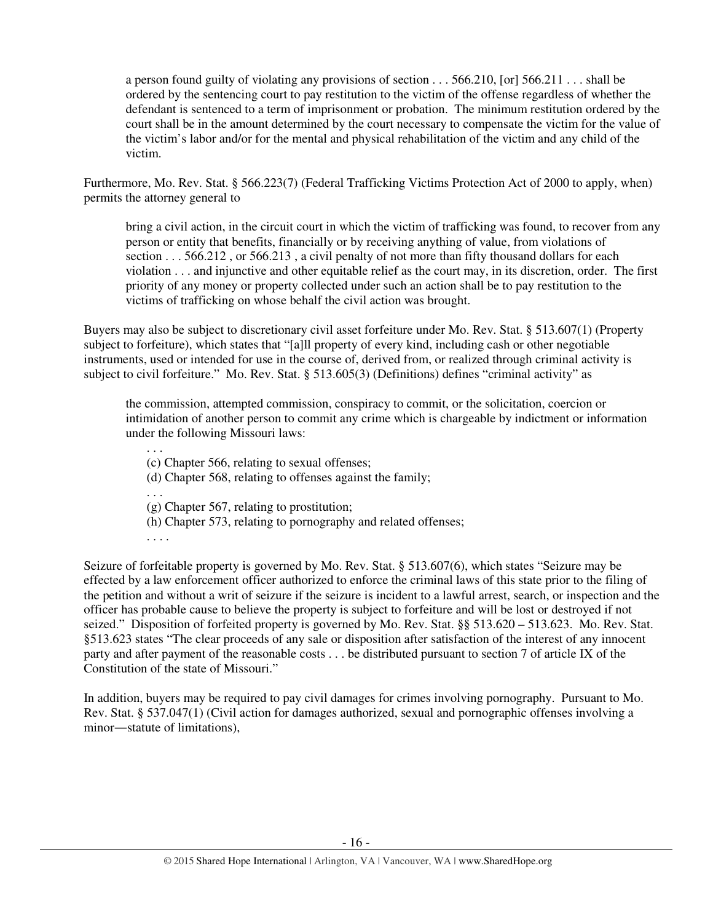a person found guilty of violating any provisions of section . . . 566.210, [or] 566.211 . . . shall be ordered by the sentencing court to pay restitution to the victim of the offense regardless of whether the defendant is sentenced to a term of imprisonment or probation. The minimum restitution ordered by the court shall be in the amount determined by the court necessary to compensate the victim for the value of the victim's labor and/or for the mental and physical rehabilitation of the victim and any child of the victim.

Furthermore, Mo. Rev. Stat. § 566.223(7) (Federal Trafficking Victims Protection Act of 2000 to apply, when) permits the attorney general to

bring a civil action, in the circuit court in which the victim of trafficking was found, to recover from any person or entity that benefits, financially or by receiving anything of value, from violations of section . . . 566.212, or 566.213, a civil penalty of not more than fifty thousand dollars for each violation . . . and injunctive and other equitable relief as the court may, in its discretion, order. The first priority of any money or property collected under such an action shall be to pay restitution to the victims of trafficking on whose behalf the civil action was brought.

Buyers may also be subject to discretionary civil asset forfeiture under Mo. Rev. Stat. § 513.607(1) (Property subject to forfeiture), which states that "[a]ll property of every kind, including cash or other negotiable instruments, used or intended for use in the course of, derived from, or realized through criminal activity is subject to civil forfeiture." Mo. Rev. Stat. § 513.605(3) (Definitions) defines "criminal activity" as

the commission, attempted commission, conspiracy to commit, or the solicitation, coercion or intimidation of another person to commit any crime which is chargeable by indictment or information under the following Missouri laws:

. . . (c) Chapter 566, relating to sexual offenses; (d) Chapter 568, relating to offenses against the family; . . . (g) Chapter 567, relating to prostitution; (h) Chapter 573, relating to pornography and related offenses; . . . .

Seizure of forfeitable property is governed by Mo. Rev. Stat. § 513.607(6), which states "Seizure may be effected by a law enforcement officer authorized to enforce the criminal laws of this state prior to the filing of the petition and without a writ of seizure if the seizure is incident to a lawful arrest, search, or inspection and the officer has probable cause to believe the property is subject to forfeiture and will be lost or destroyed if not seized." Disposition of forfeited property is governed by Mo. Rev. Stat. §§ 513.620 – 513.623. Mo. Rev. Stat. §513.623 states "The clear proceeds of any sale or disposition after satisfaction of the interest of any innocent party and after payment of the reasonable costs . . . be distributed pursuant to section 7 of article IX of the Constitution of the state of Missouri."

In addition, buyers may be required to pay civil damages for crimes involving pornography. Pursuant to Mo. Rev. Stat. § 537.047(1) (Civil action for damages authorized, sexual and pornographic offenses involving a minor―statute of limitations),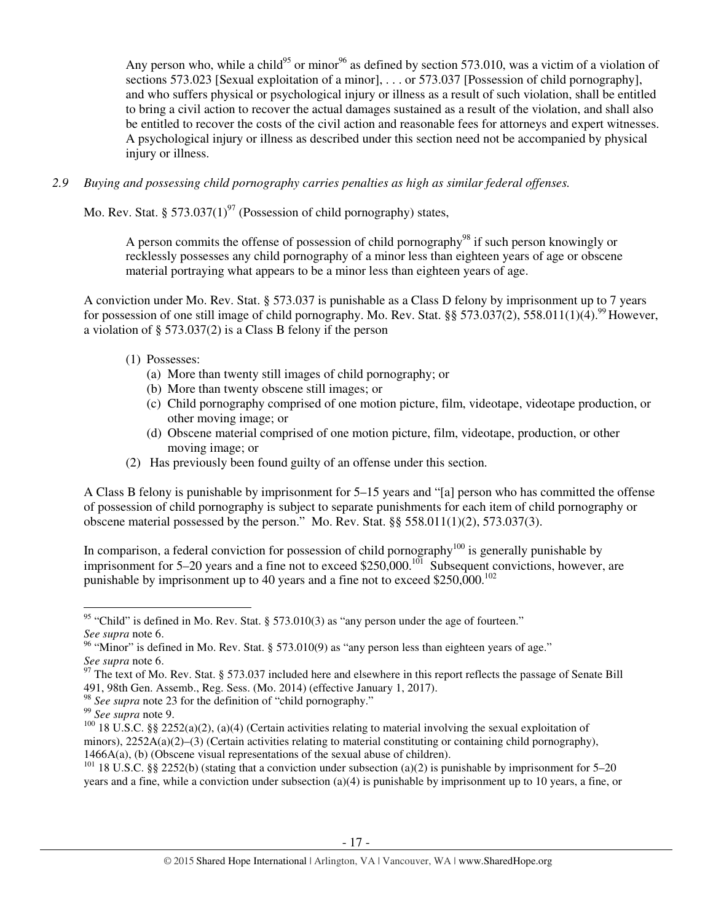Any person who, while a child<sup>95</sup> or minor<sup>96</sup> as defined by section 573.010, was a victim of a violation of sections 573.023 [Sexual exploitation of a minor], ... or 573.037 [Possession of child pornography], and who suffers physical or psychological injury or illness as a result of such violation, shall be entitled to bring a civil action to recover the actual damages sustained as a result of the violation, and shall also be entitled to recover the costs of the civil action and reasonable fees for attorneys and expert witnesses. A psychological injury or illness as described under this section need not be accompanied by physical injury or illness.

*2.9 Buying and possessing child pornography carries penalties as high as similar federal offenses.* 

Mo. Rev. Stat. § 573.037(1)<sup>97</sup> (Possession of child pornography) states,

A person commits the offense of possession of child pornography<sup>98</sup> if such person knowingly or recklessly possesses any child pornography of a minor less than eighteen years of age or obscene material portraying what appears to be a minor less than eighteen years of age.

A conviction under Mo. Rev. Stat. § 573.037 is punishable as a Class D felony by imprisonment up to 7 years for possession of one still image of child pornography. Mo. Rev. Stat. §§ 573.037(2), 558.011(1)(4).<sup>99</sup> However, a violation of § 573.037(2) is a Class B felony if the person

## (1) Possesses:

- (a) More than twenty still images of child pornography; or
- (b) More than twenty obscene still images; or
- (c) Child pornography comprised of one motion picture, film, videotape, videotape production, or other moving image; or
- (d) Obscene material comprised of one motion picture, film, videotape, production, or other moving image; or
- (2) Has previously been found guilty of an offense under this section.

A Class B felony is punishable by imprisonment for 5–15 years and "[a] person who has committed the offense of possession of child pornography is subject to separate punishments for each item of child pornography or obscene material possessed by the person." Mo. Rev. Stat. §§ 558.011(1)(2), 573.037(3).

In comparison, a federal conviction for possession of child pornography<sup>100</sup> is generally punishable by imprisonment for 5–20 years and a fine not to exceed \$250,000.<sup>101</sup> Subsequent convictions, however, are punishable by imprisonment up to 40 years and a fine not to exceed \$250,000.<sup>102</sup>

<sup>98</sup> *See supra* note 23 for the definition of "child pornography."

<sup>&</sup>lt;sup>95</sup> "Child" is defined in Mo. Rev. Stat. § 573.010(3) as "any person under the age of fourteen." *See supra* note 6.

<sup>&</sup>lt;sup>96</sup> "Minor" is defined in Mo. Rev. Stat. § 573.010(9) as "any person less than eighteen years of age." *See supra* note 6.

 $97$  The text of Mo. Rev. Stat. § 573.037 included here and elsewhere in this report reflects the passage of Senate Bill 491, 98th Gen. Assemb., Reg. Sess. (Mo. 2014) (effective January 1, 2017).

<sup>99</sup> *See supra* note 9.

<sup>&</sup>lt;sup>100</sup> 18 U.S.C. §§ 2252(a)(2), (a)(4) (Certain activities relating to material involving the sexual exploitation of minors),  $2252A(a)(2)$ –(3) (Certain activities relating to material constituting or containing child pornography), 1466A(a), (b) (Obscene visual representations of the sexual abuse of children).

<sup>&</sup>lt;sup>101</sup> 18 U.S.C. §§ 2252(b) (stating that a conviction under subsection (a)(2) is punishable by imprisonment for 5–20 years and a fine, while a conviction under subsection (a)(4) is punishable by imprisonment up to 10 years, a fine, or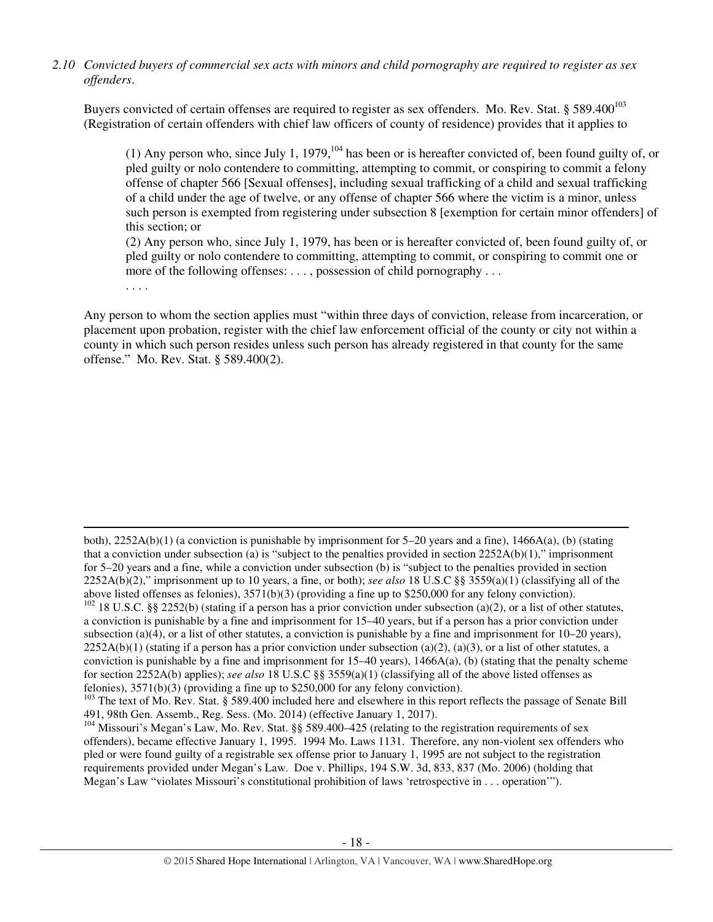*2.10 Convicted buyers of commercial sex acts with minors and child pornography are required to register as sex offenders*.

Buyers convicted of certain offenses are required to register as sex offenders. Mo. Rev. Stat. § 589.400<sup>103</sup> (Registration of certain offenders with chief law officers of county of residence) provides that it applies to

(1) Any person who, since July 1, 1979,  $^{104}$  has been or is hereafter convicted of, been found guilty of, or pled guilty or nolo contendere to committing, attempting to commit, or conspiring to commit a felony offense of chapter 566 [Sexual offenses], including sexual trafficking of a child and sexual trafficking of a child under the age of twelve, or any offense of chapter 566 where the victim is a minor, unless such person is exempted from registering under subsection 8 [exemption for certain minor offenders] of this section; or

(2) Any person who, since July 1, 1979, has been or is hereafter convicted of, been found guilty of, or pled guilty or nolo contendere to committing, attempting to commit, or conspiring to commit one or more of the following offenses: . . . , possession of child pornography . . .

. . . .

 $\overline{a}$ 

Any person to whom the section applies must "within three days of conviction, release from incarceration, or placement upon probation, register with the chief law enforcement official of the county or city not within a county in which such person resides unless such person has already registered in that county for the same offense." Mo. Rev. Stat. § 589.400(2).

both), 2252A(b)(1) (a conviction is punishable by imprisonment for 5–20 years and a fine), 1466A(a), (b) (stating that a conviction under subsection (a) is "subject to the penalties provided in section  $2252A(b)(1)$ ," imprisonment for 5–20 years and a fine, while a conviction under subsection (b) is "subject to the penalties provided in section 2252A(b)(2)," imprisonment up to 10 years, a fine, or both); *see also* 18 U.S.C §§ 3559(a)(1) (classifying all of the above listed offenses as felonies), 3571(b)(3) (providing a fine up to \$250,000 for any felony conviction).

 $102$  18 U.S.C. §§ 2252(b) (stating if a person has a prior conviction under subsection (a)(2), or a list of other statutes, a conviction is punishable by a fine and imprisonment for 15–40 years, but if a person has a prior conviction under subsection (a)(4), or a list of other statutes, a conviction is punishable by a fine and imprisonment for  $10-20$  years),  $2252A(b)(1)$  (stating if a person has a prior conviction under subsection (a)(2), (a)(3), or a list of other statutes, a conviction is punishable by a fine and imprisonment for  $15-40$  years),  $1466A(a)$ , (b) (stating that the penalty scheme for section 2252A(b) applies); *see also* 18 U.S.C §§ 3559(a)(1) (classifying all of the above listed offenses as felonies), 3571(b)(3) (providing a fine up to \$250,000 for any felony conviction).

<sup>&</sup>lt;sup>103</sup> The text of Mo. Rev. Stat. § 589.400 included here and elsewhere in this report reflects the passage of Senate Bill 491, 98th Gen. Assemb., Reg. Sess. (Mo. 2014) (effective January 1, 2017).

<sup>&</sup>lt;sup>104</sup> Missouri's Megan's Law, Mo. Rev. Stat. §§ 589.400–425 (relating to the registration requirements of sex offenders), became effective January 1, 1995. 1994 Mo. Laws 1131. Therefore, any non-violent sex offenders who pled or were found guilty of a registrable sex offense prior to January 1, 1995 are not subject to the registration requirements provided under Megan's Law. Doe v. Phillips, 194 S.W. 3d, 833, 837 (Mo. 2006) (holding that Megan's Law "violates Missouri's constitutional prohibition of laws 'retrospective in . . . operation'").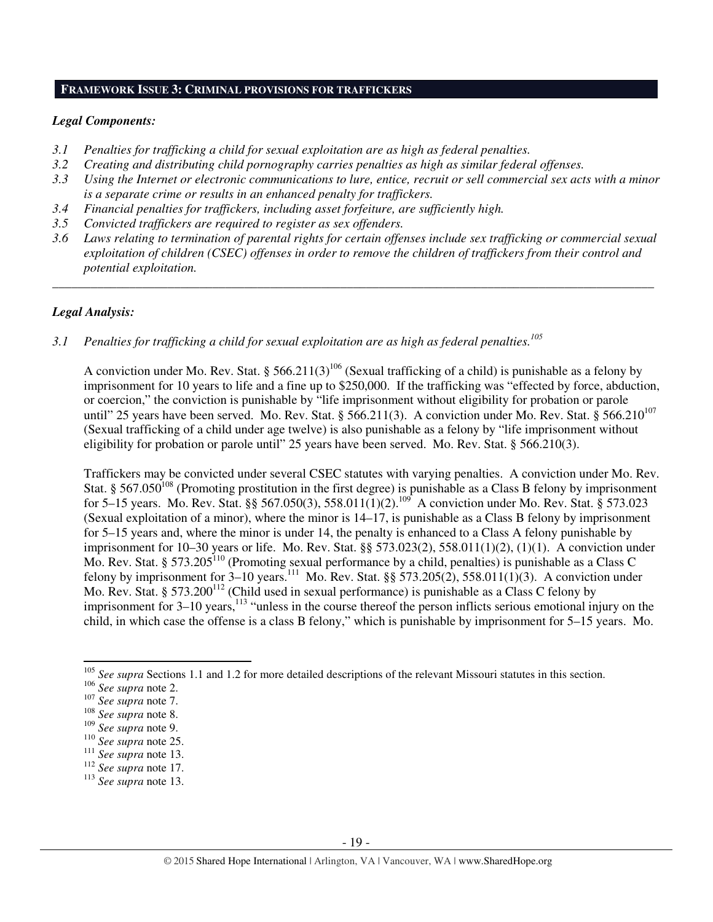#### **FRAMEWORK ISSUE 3: CRIMINAL PROVISIONS FOR TRAFFICKERS**

#### *Legal Components:*

- *3.1 Penalties for trafficking a child for sexual exploitation are as high as federal penalties.*
- *3.2 Creating and distributing child pornography carries penalties as high as similar federal offenses.*
- *3.3 Using the Internet or electronic communications to lure, entice, recruit or sell commercial sex acts with a minor is a separate crime or results in an enhanced penalty for traffickers.*
- *3.4 Financial penalties for traffickers, including asset forfeiture, are sufficiently high.*
- *3.5 Convicted traffickers are required to register as sex offenders.*
- *3.6 Laws relating to termination of parental rights for certain offenses include sex trafficking or commercial sexual exploitation of children (CSEC) offenses in order to remove the children of traffickers from their control and potential exploitation.*

*\_\_\_\_\_\_\_\_\_\_\_\_\_\_\_\_\_\_\_\_\_\_\_\_\_\_\_\_\_\_\_\_\_\_\_\_\_\_\_\_\_\_\_\_\_\_\_\_\_\_\_\_\_\_\_\_\_\_\_\_\_\_\_\_\_\_\_\_\_\_\_\_\_\_\_\_\_\_\_\_\_\_\_\_\_\_\_\_\_\_\_\_\_\_* 

## *Legal Analysis:*

*3.1 Penalties for trafficking a child for sexual exploitation are as high as federal penalties.<sup>105</sup>* 

A conviction under Mo. Rev. Stat. § 566.211(3)<sup>106</sup> (Sexual trafficking of a child) is punishable as a felony by imprisonment for 10 years to life and a fine up to \$250,000. If the trafficking was "effected by force, abduction, or coercion," the conviction is punishable by "life imprisonment without eligibility for probation or parole until" 25 years have been served. Mo. Rev. Stat. § 566.211(3). A conviction under Mo. Rev. Stat. § 566.210<sup>107</sup> (Sexual trafficking of a child under age twelve) is also punishable as a felony by "life imprisonment without eligibility for probation or parole until" 25 years have been served. Mo. Rev. Stat. § 566.210(3).

Traffickers may be convicted under several CSEC statutes with varying penalties. A conviction under Mo. Rev. Stat. § 567.050<sup>108</sup> (Promoting prostitution in the first degree) is punishable as a Class B felony by imprisonment for 5–15 years. Mo. Rev. Stat. §§ 567.050(3), 558.011(1)(2).<sup>109</sup> A conviction under Mo. Rev. Stat. § 573.023 (Sexual exploitation of a minor), where the minor is 14–17, is punishable as a Class B felony by imprisonment for 5–15 years and, where the minor is under 14, the penalty is enhanced to a Class A felony punishable by imprisonment for 10–30 years or life. Mo. Rev. Stat. §§ 573.023(2), 558.011(1)(2), (1)(1). A conviction under Mo. Rev. Stat. § 573.205<sup>110</sup> (Promoting sexual performance by a child, penalties) is punishable as a Class C felony by imprisonment for  $3-10$  years.<sup>111</sup> Mo. Rev. Stat. §§ 573.205(2), 558.011(1)(3). A conviction under Mo. Rev. Stat. § 573.200<sup>112</sup> (Child used in sexual performance) is punishable as a Class C felony by imprisonment for  $3-10$  years,<sup>113</sup> "unless in the course thereof the person inflicts serious emotional injury on the child, in which case the offense is a class B felony," which is punishable by imprisonment for 5–15 years. Mo.

<sup>&</sup>lt;sup>105</sup> See supra Sections 1.1 and 1.2 for more detailed descriptions of the relevant Missouri statutes in this section.

<sup>106</sup> *See supra* note 2.

<sup>107</sup> *See supra* note 7.

<sup>108</sup> *See supra* note 8.

<sup>109</sup> *See supra* note 9.

<sup>110</sup> *See supra* note 25.

<sup>111</sup> *See supra* note 13.

<sup>112</sup> *See supra* note 17.

<sup>113</sup> *See supra* note 13.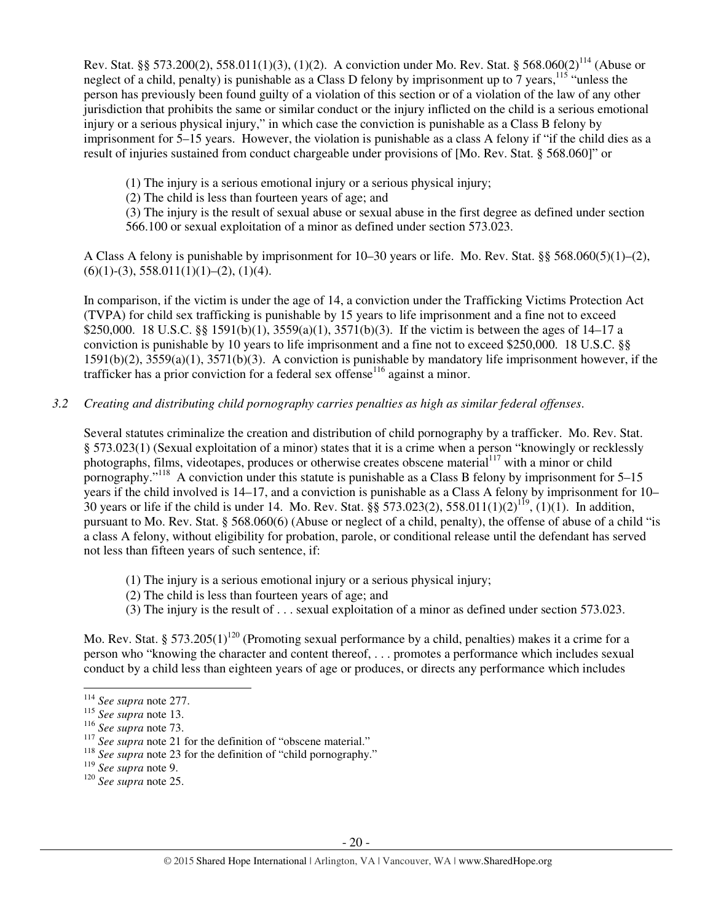Rev. Stat. §§ 573.200(2), 558.011(1)(3), (1)(2). A conviction under Mo. Rev. Stat. § 568.060(2)<sup>114</sup> (Abuse or neglect of a child, penalty) is punishable as a Class D felony by imprisonment up to 7 years,<sup>115</sup> "unless the person has previously been found guilty of a violation of this section or of a violation of the law of any other jurisdiction that prohibits the same or similar conduct or the injury inflicted on the child is a serious emotional injury or a serious physical injury," in which case the conviction is punishable as a Class B felony by imprisonment for 5–15 years. However, the violation is punishable as a class A felony if "if the child dies as a result of injuries sustained from conduct chargeable under provisions of [Mo. Rev. Stat. § 568.060]" or

- (1) The injury is a serious emotional injury or a serious physical injury;
- (2) The child is less than fourteen years of age; and

(3) The injury is the result of sexual abuse or sexual abuse in the first degree as defined under section 566.100 or sexual exploitation of a minor as defined under section 573.023.

A Class A felony is punishable by imprisonment for 10–30 years or life. Mo. Rev. Stat. §§ 568.060(5)(1)–(2),  $(6)(1)-(3), 558.011(1)(1)-(2), (1)(4).$ 

In comparison, if the victim is under the age of 14, a conviction under the Trafficking Victims Protection Act (TVPA) for child sex trafficking is punishable by 15 years to life imprisonment and a fine not to exceed \$250,000. 18 U.S.C. §§ 1591(b)(1), 3559(a)(1), 3571(b)(3). If the victim is between the ages of 14–17 a conviction is punishable by 10 years to life imprisonment and a fine not to exceed \$250,000. 18 U.S.C. §§ 1591(b)(2), 3559(a)(1), 3571(b)(3). A conviction is punishable by mandatory life imprisonment however, if the trafficker has a prior conviction for a federal sex offense<sup>116</sup> against a minor.

*3.2 Creating and distributing child pornography carries penalties as high as similar federal offenses*.

Several statutes criminalize the creation and distribution of child pornography by a trafficker. Mo. Rev. Stat. § 573.023(1) (Sexual exploitation of a minor) states that it is a crime when a person "knowingly or recklessly photographs, films, videotapes, produces or otherwise creates obscene material<sup>117</sup> with a minor or child pornography."<sup>118</sup> A conviction under this statute is punishable as a Class B felony by imprisonment for 5–15 years if the child involved is 14–17, and a conviction is punishable as a Class A felony by imprisonment for 10– 30 years or life if the child is under 14. Mo. Rev. Stat. §§ 573.023(2), 558.011(1)(2)<sup>119</sup>, (1)(1). In addition, pursuant to Mo. Rev. Stat. § 568.060(6) (Abuse or neglect of a child, penalty), the offense of abuse of a child "is a class A felony, without eligibility for probation, parole, or conditional release until the defendant has served not less than fifteen years of such sentence, if:

- (1) The injury is a serious emotional injury or a serious physical injury;
- (2) The child is less than fourteen years of age; and
- (3) The injury is the result of . . . sexual exploitation of a minor as defined under section 573.023.

Mo. Rev. Stat. § 573.205(1)<sup>120</sup> (Promoting sexual performance by a child, penalties) makes it a crime for a person who "knowing the character and content thereof, . . . promotes a performance which includes sexual conduct by a child less than eighteen years of age or produces, or directs any performance which includes

<sup>114</sup> *See supra* note 277.

<sup>115</sup> *See supra* note 13.

<sup>116</sup> *See supra* note 73.

<sup>&</sup>lt;sup>117</sup> See supra note 21 for the definition of "obscene material."

<sup>&</sup>lt;sup>118</sup> See supra note 23 for the definition of "child pornography."

<sup>119</sup> *See supra* note 9.

<sup>120</sup> *See supra* note 25.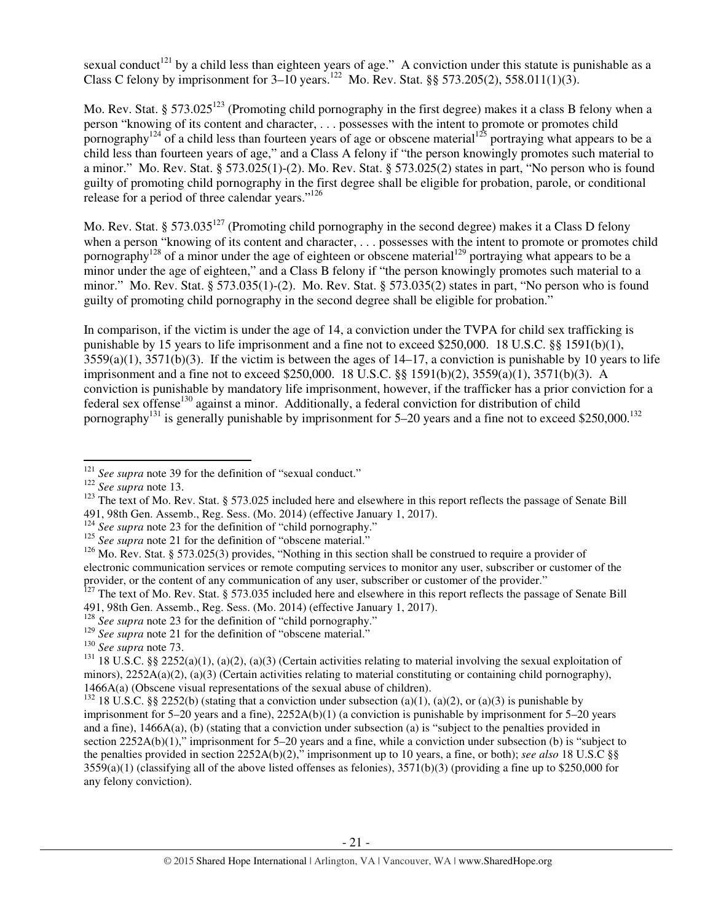sexual conduct<sup>121</sup> by a child less than eighteen years of age." A conviction under this statute is punishable as a Class C felony by imprisonment for  $3-10$  years.<sup>122</sup> Mo. Rev. Stat. §§ 573.205(2), 558.011(1)(3).

Mo. Rev. Stat. § 573.025<sup>123</sup> (Promoting child pornography in the first degree) makes it a class B felony when a person "knowing of its content and character, . . . possesses with the intent to promote or promotes child pornography<sup>124</sup> of a child less than fourteen years of age or obscene material<sup>125</sup> portraying what appears to be a child less than fourteen years of age," and a Class A felony if "the person knowingly promotes such material to a minor." Mo. Rev. Stat. § 573.025(1)-(2). Mo. Rev. Stat. § 573.025(2) states in part, "No person who is found guilty of promoting child pornography in the first degree shall be eligible for probation, parole, or conditional release for a period of three calendar years."<sup>126</sup>

Mo. Rev. Stat. § 573.035<sup>127</sup> (Promoting child pornography in the second degree) makes it a Class D felony when a person "knowing of its content and character, ... possesses with the intent to promote or promotes child pornography<sup>128</sup> of a minor under the age of eighteen or obscene material<sup>129</sup> portraying what appears to be a minor under the age of eighteen," and a Class B felony if "the person knowingly promotes such material to a minor." Mo. Rev. Stat. § 573.035(1)-(2). Mo. Rev. Stat. § 573.035(2) states in part, "No person who is found guilty of promoting child pornography in the second degree shall be eligible for probation."

In comparison, if the victim is under the age of 14, a conviction under the TVPA for child sex trafficking is punishable by 15 years to life imprisonment and a fine not to exceed \$250,000. 18 U.S.C. §§ 1591(b)(1),  $3559(a)(1)$ ,  $3571(b)(3)$ . If the victim is between the ages of  $14-17$ , a conviction is punishable by 10 years to life imprisonment and a fine not to exceed \$250,000. 18 U.S.C. §§ 1591(b)(2), 3559(a)(1), 3571(b)(3). A conviction is punishable by mandatory life imprisonment, however, if the trafficker has a prior conviction for a federal sex offense<sup>130</sup> against a minor. Additionally, a federal conviction for distribution of child pornography<sup>131</sup> is generally punishable by imprisonment for 5–20 years and a fine not to exceed \$250,000.<sup>132</sup>

l

<sup>&</sup>lt;sup>121</sup> See supra note 39 for the definition of "sexual conduct."

<sup>122</sup> *See supra* note 13.

 $123$  The text of Mo. Rev. Stat. § 573.025 included here and elsewhere in this report reflects the passage of Senate Bill 491, 98th Gen. Assemb., Reg. Sess. (Mo. 2014) (effective January 1, 2017).

<sup>&</sup>lt;sup>124</sup> See supra note 23 for the definition of "child pornography."

<sup>&</sup>lt;sup>125</sup> *See supra* note 21 for the definition of "obscene material."

<sup>&</sup>lt;sup>126</sup> Mo. Rev. Stat. § 573.025(3) provides, "Nothing in this section shall be construed to require a provider of electronic communication services or remote computing services to monitor any user, subscriber or customer of the provider, or the content of any communication of any user, subscriber or customer of the provider."

 $127$  The text of Mo. Rev. Stat. § 573.035 included here and elsewhere in this report reflects the passage of Senate Bill 491, 98th Gen. Assemb., Reg. Sess. (Mo. 2014) (effective January 1, 2017).

<sup>&</sup>lt;sup>128</sup> *See supra* note 23 for the definition of "child pornography."

<sup>&</sup>lt;sup>129</sup> See supra note 21 for the definition of "obscene material."

<sup>130</sup> *See supra* note 73.

<sup>&</sup>lt;sup>131</sup> 18 U.S.C. §§ 2252(a)(1), (a)(2), (a)(3) (Certain activities relating to material involving the sexual exploitation of minors), 2252A(a)(2), (a)(3) (Certain activities relating to material constituting or containing child pornography), 1466A(a) (Obscene visual representations of the sexual abuse of children).

<sup>&</sup>lt;sup>132</sup> 18 U.S.C. §§ 2252(b) (stating that a conviction under subsection (a)(1), (a)(2), or (a)(3) is punishable by imprisonment for 5–20 years and a fine), 2252A(b)(1) (a conviction is punishable by imprisonment for 5–20 years and a fine), 1466A(a), (b) (stating that a conviction under subsection (a) is "subject to the penalties provided in section 2252A(b)(1)," imprisonment for 5–20 years and a fine, while a conviction under subsection (b) is "subject to the penalties provided in section 2252A(b)(2)," imprisonment up to 10 years, a fine, or both); *see also* 18 U.S.C §§  $3559(a)(1)$  (classifying all of the above listed offenses as felonies),  $3571(b)(3)$  (providing a fine up to \$250,000 for any felony conviction).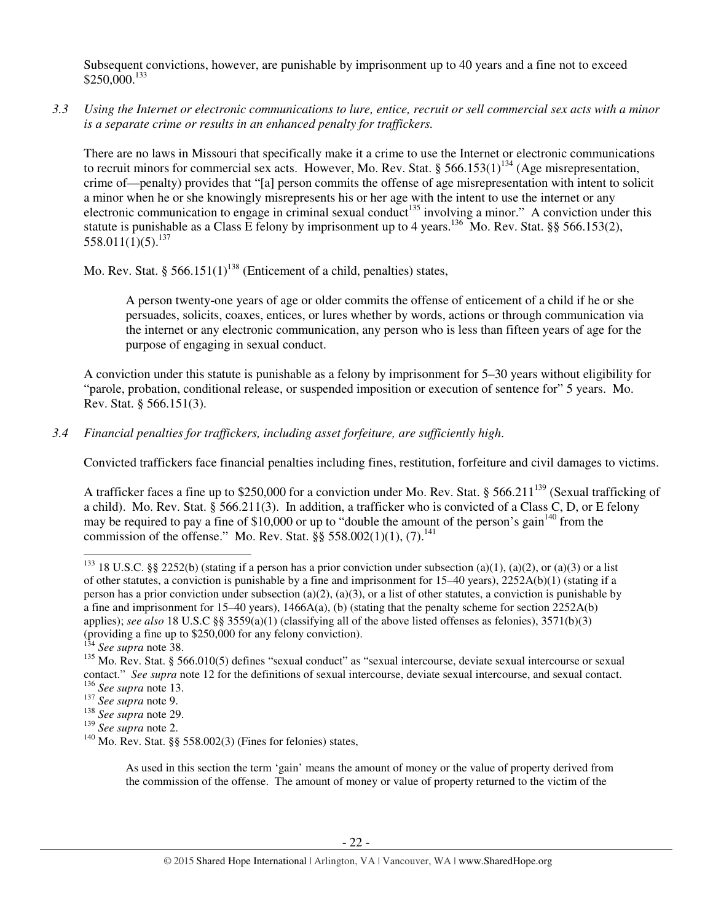Subsequent convictions, however, are punishable by imprisonment up to 40 years and a fine not to exceed \$250,000.<sup>133</sup>

*3.3 Using the Internet or electronic communications to lure, entice, recruit or sell commercial sex acts with a minor is a separate crime or results in an enhanced penalty for traffickers.* 

There are no laws in Missouri that specifically make it a crime to use the Internet or electronic communications to recruit minors for commercial sex acts. However, Mo. Rev. Stat. § 566.153(1)<sup>134</sup> (Age misrepresentation, crime of—penalty) provides that "[a] person commits the offense of age misrepresentation with intent to solicit a minor when he or she knowingly misrepresents his or her age with the intent to use the internet or any electronic communication to engage in criminal sexual conduct<sup>135</sup> involving a minor." A conviction under this statute is punishable as a Class E felony by imprisonment up to 4 years.<sup>136</sup> Mo. Rev. Stat. §§ 566.153(2),  $558.011(1)(5)$ <sup>137</sup>

Mo. Rev. Stat. § 566.151(1)<sup>138</sup> (Enticement of a child, penalties) states,

A person twenty-one years of age or older commits the offense of enticement of a child if he or she persuades, solicits, coaxes, entices, or lures whether by words, actions or through communication via the internet or any electronic communication, any person who is less than fifteen years of age for the purpose of engaging in sexual conduct.

A conviction under this statute is punishable as a felony by imprisonment for 5–30 years without eligibility for "parole, probation, conditional release, or suspended imposition or execution of sentence for" 5 years. Mo. Rev. Stat. § 566.151(3).

## *3.4 Financial penalties for traffickers, including asset forfeiture, are sufficiently high*.

Convicted traffickers face financial penalties including fines, restitution, forfeiture and civil damages to victims.

A trafficker faces a fine up to \$250,000 for a conviction under Mo. Rev. Stat. § 566.211<sup>139</sup> (Sexual trafficking of a child). Mo. Rev. Stat. § 566.211(3). In addition, a trafficker who is convicted of a Class C, D, or E felony may be required to pay a fine of  $$10,000$  or up to "double the amount of the person's gain<sup>140</sup> from the commission of the offense." Mo. Rev. Stat. §§ 558.002(1)(1), (7).<sup>141</sup>

l

As used in this section the term 'gain' means the amount of money or the value of property derived from the commission of the offense. The amount of money or value of property returned to the victim of the

<sup>&</sup>lt;sup>133</sup> 18 U.S.C. §§ 2252(b) (stating if a person has a prior conviction under subsection (a)(1), (a)(2), or (a)(3) or a list of other statutes, a conviction is punishable by a fine and imprisonment for  $15-40$  years),  $2252A(b)(1)$  (stating if a person has a prior conviction under subsection (a)(2), (a)(3), or a list of other statutes, a conviction is punishable by a fine and imprisonment for 15–40 years), 1466A(a), (b) (stating that the penalty scheme for section 2252A(b) applies); *see also* 18 U.S.C §§ 3559(a)(1) (classifying all of the above listed offenses as felonies), 3571(b)(3) (providing a fine up to \$250,000 for any felony conviction).

<sup>&</sup>lt;sup>4</sup> See supra note 38.

<sup>&</sup>lt;sup>135</sup> Mo. Rev. Stat. § 566.010(5) defines "sexual conduct" as "sexual intercourse, deviate sexual intercourse or sexual contact." *See supra* note 12 for the definitions of sexual intercourse, deviate sexual intercourse, and sexual contact. <sup>136</sup> *See supra* note 13.

<sup>137</sup> *See supra* note 9.

<sup>138</sup> *See supra* note 29.

<sup>139</sup> *See supra* note 2.

 $140$  Mo. Rev. Stat. §§ 558.002(3) (Fines for felonies) states,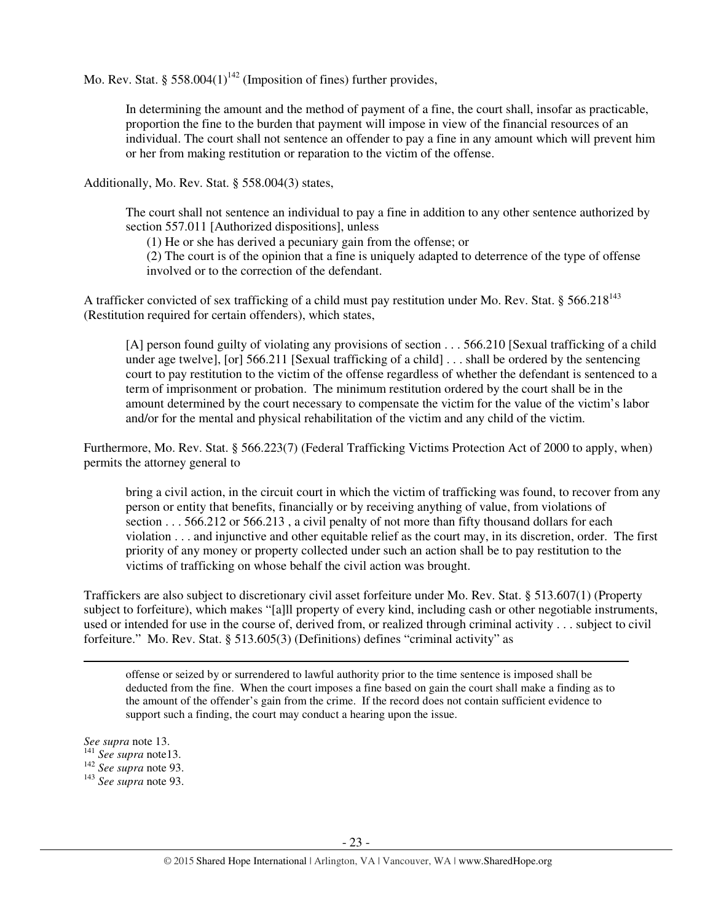Mo. Rev. Stat. § 558.004(1)<sup>142</sup> (Imposition of fines) further provides,

In determining the amount and the method of payment of a fine, the court shall, insofar as practicable, proportion the fine to the burden that payment will impose in view of the financial resources of an individual. The court shall not sentence an offender to pay a fine in any amount which will prevent him or her from making restitution or reparation to the victim of the offense.

Additionally, Mo. Rev. Stat. § 558.004(3) states,

The court shall not sentence an individual to pay a fine in addition to any other sentence authorized by section 557.011 [Authorized dispositions], unless

(1) He or she has derived a pecuniary gain from the offense; or

(2) The court is of the opinion that a fine is uniquely adapted to deterrence of the type of offense involved or to the correction of the defendant.

A trafficker convicted of sex trafficking of a child must pay restitution under Mo. Rev. Stat. § 566.218 $^{143}$ (Restitution required for certain offenders), which states,

[A] person found guilty of violating any provisions of section . . . 566.210 [Sexual trafficking of a child under age twelve], [or] 566.211 [Sexual trafficking of a child] . . . shall be ordered by the sentencing court to pay restitution to the victim of the offense regardless of whether the defendant is sentenced to a term of imprisonment or probation. The minimum restitution ordered by the court shall be in the amount determined by the court necessary to compensate the victim for the value of the victim's labor and/or for the mental and physical rehabilitation of the victim and any child of the victim.

Furthermore, Mo. Rev. Stat. § 566.223(7) (Federal Trafficking Victims Protection Act of 2000 to apply, when) permits the attorney general to

bring a civil action, in the circuit court in which the victim of trafficking was found, to recover from any person or entity that benefits, financially or by receiving anything of value, from violations of section . . . 566.212 or 566.213 , a civil penalty of not more than fifty thousand dollars for each violation . . . and injunctive and other equitable relief as the court may, in its discretion, order. The first priority of any money or property collected under such an action shall be to pay restitution to the victims of trafficking on whose behalf the civil action was brought.

Traffickers are also subject to discretionary civil asset forfeiture under Mo. Rev. Stat. § 513.607(1) (Property subject to forfeiture), which makes "[a]ll property of every kind, including cash or other negotiable instruments, used or intended for use in the course of, derived from, or realized through criminal activity . . . subject to civil forfeiture." Mo. Rev. Stat. § 513.605(3) (Definitions) defines "criminal activity" as

offense or seized by or surrendered to lawful authority prior to the time sentence is imposed shall be deducted from the fine. When the court imposes a fine based on gain the court shall make a finding as to the amount of the offender's gain from the crime. If the record does not contain sufficient evidence to support such a finding, the court may conduct a hearing upon the issue.

l

*See supra* note 13.

<sup>141</sup> *See supra* note13.

<sup>142</sup> *See supra* note 93.

<sup>143</sup> *See supra* note 93.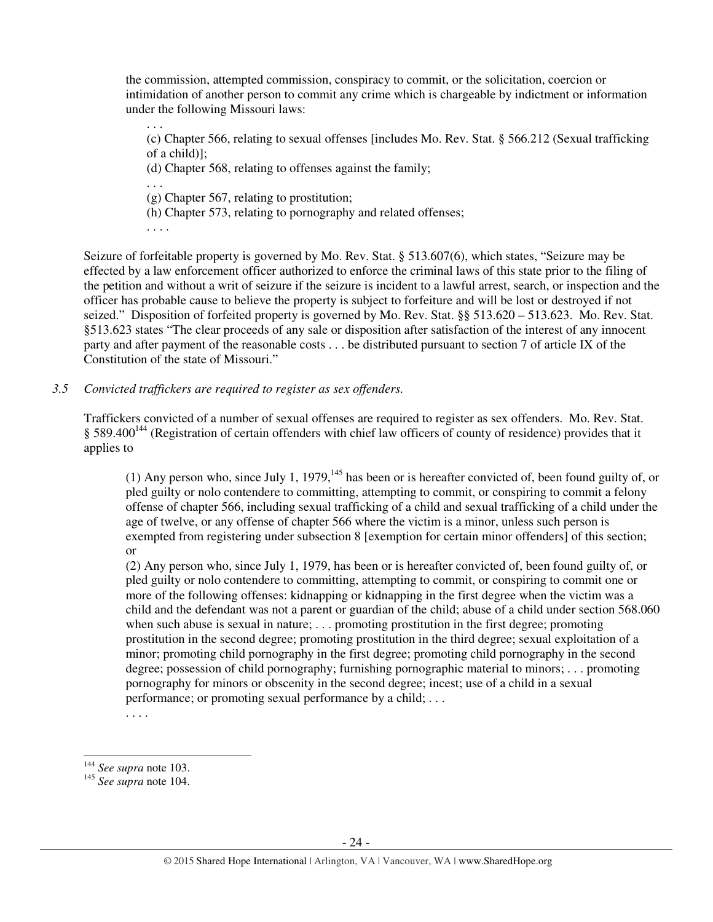the commission, attempted commission, conspiracy to commit, or the solicitation, coercion or intimidation of another person to commit any crime which is chargeable by indictment or information under the following Missouri laws:

(c) Chapter 566, relating to sexual offenses [includes Mo. Rev. Stat. § 566.212 (Sexual trafficking of a child)];

(d) Chapter 568, relating to offenses against the family;

. . .

. . .

(g) Chapter 567, relating to prostitution;

(h) Chapter 573, relating to pornography and related offenses;

. . . .

Seizure of forfeitable property is governed by Mo. Rev. Stat. § 513.607(6), which states, "Seizure may be effected by a law enforcement officer authorized to enforce the criminal laws of this state prior to the filing of the petition and without a writ of seizure if the seizure is incident to a lawful arrest, search, or inspection and the officer has probable cause to believe the property is subject to forfeiture and will be lost or destroyed if not seized." Disposition of forfeited property is governed by Mo. Rev. Stat. §§ 513.620 – 513.623. Mo. Rev. Stat. §513.623 states "The clear proceeds of any sale or disposition after satisfaction of the interest of any innocent party and after payment of the reasonable costs . . . be distributed pursuant to section 7 of article IX of the Constitution of the state of Missouri."

*3.5 Convicted traffickers are required to register as sex offenders.*

Traffickers convicted of a number of sexual offenses are required to register as sex offenders. Mo. Rev. Stat.  $\S$  589.400<sup>144</sup> (Registration of certain offenders with chief law officers of county of residence) provides that it applies to

(1) Any person who, since July 1, 1979,  $^{145}$  has been or is hereafter convicted of, been found guilty of, or pled guilty or nolo contendere to committing, attempting to commit, or conspiring to commit a felony offense of chapter 566, including sexual trafficking of a child and sexual trafficking of a child under the age of twelve, or any offense of chapter 566 where the victim is a minor, unless such person is exempted from registering under subsection 8 [exemption for certain minor offenders] of this section; or

(2) Any person who, since July 1, 1979, has been or is hereafter convicted of, been found guilty of, or pled guilty or nolo contendere to committing, attempting to commit, or conspiring to commit one or more of the following offenses: kidnapping or kidnapping in the first degree when the victim was a child and the defendant was not a parent or guardian of the child; abuse of a child under section 568.060 when such abuse is sexual in nature; . . . promoting prostitution in the first degree; promoting prostitution in the second degree; promoting prostitution in the third degree; sexual exploitation of a minor; promoting child pornography in the first degree; promoting child pornography in the second degree; possession of child pornography; furnishing pornographic material to minors; . . . promoting pornography for minors or obscenity in the second degree; incest; use of a child in a sexual performance; or promoting sexual performance by a child; . . .

. . . .

l

<sup>144</sup> *See supra* note 103.

<sup>145</sup> *See supra* note 104.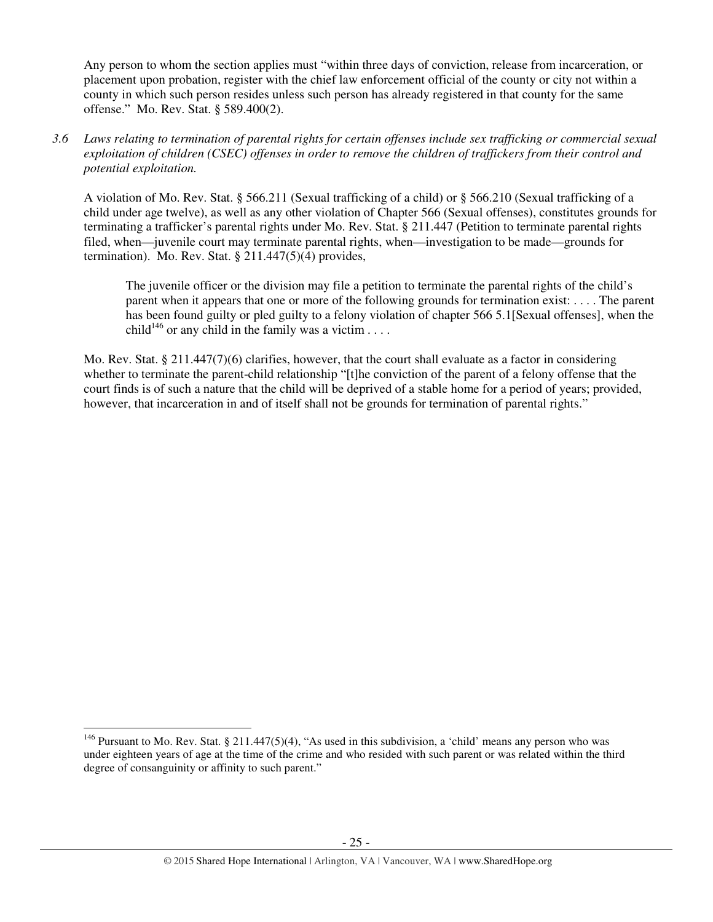Any person to whom the section applies must "within three days of conviction, release from incarceration, or placement upon probation, register with the chief law enforcement official of the county or city not within a county in which such person resides unless such person has already registered in that county for the same offense." Mo. Rev. Stat. § 589.400(2).

*3.6 Laws relating to termination of parental rights for certain offenses include sex trafficking or commercial sexual exploitation of children (CSEC) offenses in order to remove the children of traffickers from their control and potential exploitation.* 

A violation of Mo. Rev. Stat. § 566.211 (Sexual trafficking of a child) or § 566.210 (Sexual trafficking of a child under age twelve), as well as any other violation of Chapter 566 (Sexual offenses), constitutes grounds for terminating a trafficker's parental rights under Mo. Rev. Stat. § 211.447 (Petition to terminate parental rights filed, when—juvenile court may terminate parental rights, when—investigation to be made—grounds for termination). Mo. Rev. Stat. § 211.447(5)(4) provides,

The juvenile officer or the division may file a petition to terminate the parental rights of the child's parent when it appears that one or more of the following grounds for termination exist: . . . . The parent has been found guilty or pled guilty to a felony violation of chapter 566 5.1[Sexual offenses], when the child<sup>146</sup> or any child in the family was a victim  $\dots$ .

Mo. Rev. Stat. § 211.447(7)(6) clarifies, however, that the court shall evaluate as a factor in considering whether to terminate the parent-child relationship "[t]he conviction of the parent of a felony offense that the court finds is of such a nature that the child will be deprived of a stable home for a period of years; provided, however, that incarceration in and of itself shall not be grounds for termination of parental rights."

<sup>&</sup>lt;sup>146</sup> Pursuant to Mo. Rev. Stat. § 211.447(5)(4), "As used in this subdivision, a 'child' means any person who was under eighteen years of age at the time of the crime and who resided with such parent or was related within the third degree of consanguinity or affinity to such parent."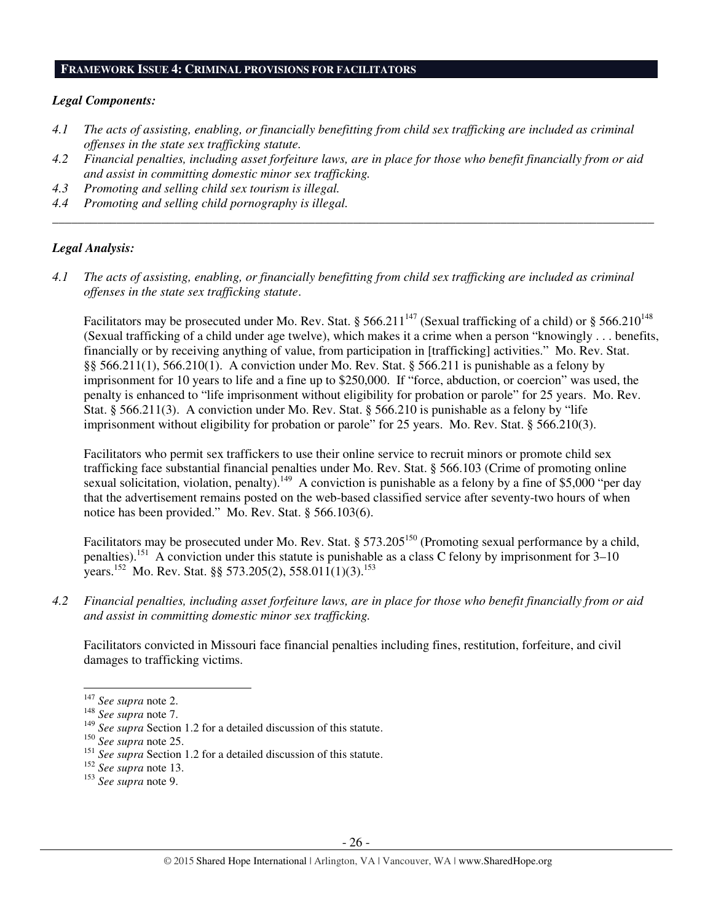#### **FRAMEWORK ISSUE 4: CRIMINAL PROVISIONS FOR FACILITATORS**

#### *Legal Components:*

- *4.1 The acts of assisting, enabling, or financially benefitting from child sex trafficking are included as criminal offenses in the state sex trafficking statute.*
- *4.2 Financial penalties, including asset forfeiture laws, are in place for those who benefit financially from or aid and assist in committing domestic minor sex trafficking.*

*\_\_\_\_\_\_\_\_\_\_\_\_\_\_\_\_\_\_\_\_\_\_\_\_\_\_\_\_\_\_\_\_\_\_\_\_\_\_\_\_\_\_\_\_\_\_\_\_\_\_\_\_\_\_\_\_\_\_\_\_\_\_\_\_\_\_\_\_\_\_\_\_\_\_\_\_\_\_\_\_\_\_\_\_\_\_\_\_\_\_\_\_\_\_* 

- *4.3 Promoting and selling child sex tourism is illegal.*
- *4.4 Promoting and selling child pornography is illegal.*

#### *Legal Analysis:*

*4.1 The acts of assisting, enabling, or financially benefitting from child sex trafficking are included as criminal offenses in the state sex trafficking statute*.

Facilitators may be prosecuted under Mo. Rev. Stat. § 566.211<sup>147</sup> (Sexual trafficking of a child) or § 566.210<sup>148</sup> (Sexual trafficking of a child under age twelve), which makes it a crime when a person "knowingly . . . benefits, financially or by receiving anything of value, from participation in [trafficking] activities." Mo. Rev. Stat. §§ 566.211(1), 566.210(1). A conviction under Mo. Rev. Stat. § 566.211 is punishable as a felony by imprisonment for 10 years to life and a fine up to \$250,000. If "force, abduction, or coercion" was used, the penalty is enhanced to "life imprisonment without eligibility for probation or parole" for 25 years. Mo. Rev. Stat. § 566.211(3). A conviction under Mo. Rev. Stat. § 566.210 is punishable as a felony by "life imprisonment without eligibility for probation or parole" for 25 years. Mo. Rev. Stat. § 566.210(3).

Facilitators who permit sex traffickers to use their online service to recruit minors or promote child sex trafficking face substantial financial penalties under Mo. Rev. Stat. § 566.103 (Crime of promoting online sexual solicitation, violation, penalty).<sup>149</sup> A conviction is punishable as a felony by a fine of \$5,000 "per day that the advertisement remains posted on the web-based classified service after seventy-two hours of when notice has been provided." Mo. Rev. Stat. § 566.103(6).

Facilitators may be prosecuted under Mo. Rev. Stat. § 573.205<sup>150</sup> (Promoting sexual performance by a child, penalties).<sup>151</sup> A conviction under this statute is punishable as a class C felony by imprisonment for 3–10 years.<sup>152</sup> Mo. Rev. Stat. §§ 573.205(2), 558.011(1)(3).<sup>153</sup>

*4.2 Financial penalties, including asset forfeiture laws, are in place for those who benefit financially from or aid and assist in committing domestic minor sex trafficking.* 

Facilitators convicted in Missouri face financial penalties including fines, restitution, forfeiture, and civil damages to trafficking victims.

- <sup>152</sup> *See supra* note 13.
- <sup>153</sup> *See supra* note 9.

<sup>147</sup> *See supra* note 2.

<sup>148</sup> *See supra* note 7.

<sup>149</sup> *See supra* Section 1.2 for a detailed discussion of this statute.

<sup>150</sup> *See supra* note 25.

<sup>151</sup> *See supra* Section 1.2 for a detailed discussion of this statute.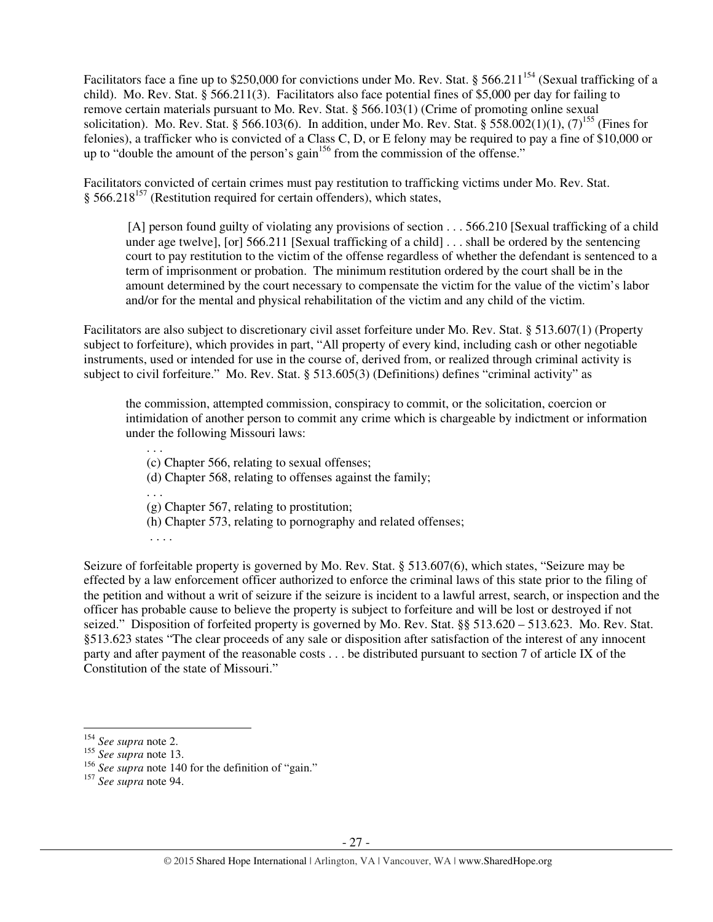Facilitators face a fine up to \$250,000 for convictions under Mo. Rev. Stat. § 566.211<sup>154</sup> (Sexual trafficking of a child). Mo. Rev. Stat. § 566.211(3). Facilitators also face potential fines of \$5,000 per day for failing to remove certain materials pursuant to Mo. Rev. Stat. § 566.103(1) (Crime of promoting online sexual solicitation). Mo. Rev. Stat. § 566.103(6). In addition, under Mo. Rev. Stat. § 558.002(1)(1), (7)<sup>155</sup> (Fines for felonies), a trafficker who is convicted of a Class C, D, or E felony may be required to pay a fine of \$10,000 or up to "double the amount of the person's gain $156$  from the commission of the offense."

Facilitators convicted of certain crimes must pay restitution to trafficking victims under Mo. Rev. Stat.  $§$  566.218<sup>157</sup> (Restitution required for certain offenders), which states,

[A] person found guilty of violating any provisions of section . . . 566.210 [Sexual trafficking of a child under age twelve], [or] 566.211 [Sexual trafficking of a child] . . . shall be ordered by the sentencing court to pay restitution to the victim of the offense regardless of whether the defendant is sentenced to a term of imprisonment or probation. The minimum restitution ordered by the court shall be in the amount determined by the court necessary to compensate the victim for the value of the victim's labor and/or for the mental and physical rehabilitation of the victim and any child of the victim.

Facilitators are also subject to discretionary civil asset forfeiture under Mo. Rev. Stat. § 513.607(1) (Property subject to forfeiture), which provides in part, "All property of every kind, including cash or other negotiable instruments, used or intended for use in the course of, derived from, or realized through criminal activity is subject to civil forfeiture." Mo. Rev. Stat. § 513.605(3) (Definitions) defines "criminal activity" as

the commission, attempted commission, conspiracy to commit, or the solicitation, coercion or intimidation of another person to commit any crime which is chargeable by indictment or information under the following Missouri laws:

(c) Chapter 566, relating to sexual offenses;

- (d) Chapter 568, relating to offenses against the family;
- . . .

. . .

- (g) Chapter 567, relating to prostitution;
- (h) Chapter 573, relating to pornography and related offenses;
- . . . .

Seizure of forfeitable property is governed by Mo. Rev. Stat. § 513.607(6), which states, "Seizure may be effected by a law enforcement officer authorized to enforce the criminal laws of this state prior to the filing of the petition and without a writ of seizure if the seizure is incident to a lawful arrest, search, or inspection and the officer has probable cause to believe the property is subject to forfeiture and will be lost or destroyed if not seized." Disposition of forfeited property is governed by Mo. Rev. Stat. §§ 513.620 – 513.623. Mo. Rev. Stat. §513.623 states "The clear proceeds of any sale or disposition after satisfaction of the interest of any innocent party and after payment of the reasonable costs . . . be distributed pursuant to section 7 of article IX of the Constitution of the state of Missouri."

<sup>154</sup> *See supra* note 2.

<sup>155</sup> *See supra* note 13.

<sup>&</sup>lt;sup>156</sup> See supra note 140 for the definition of "gain."

<sup>157</sup> *See supra* note 94.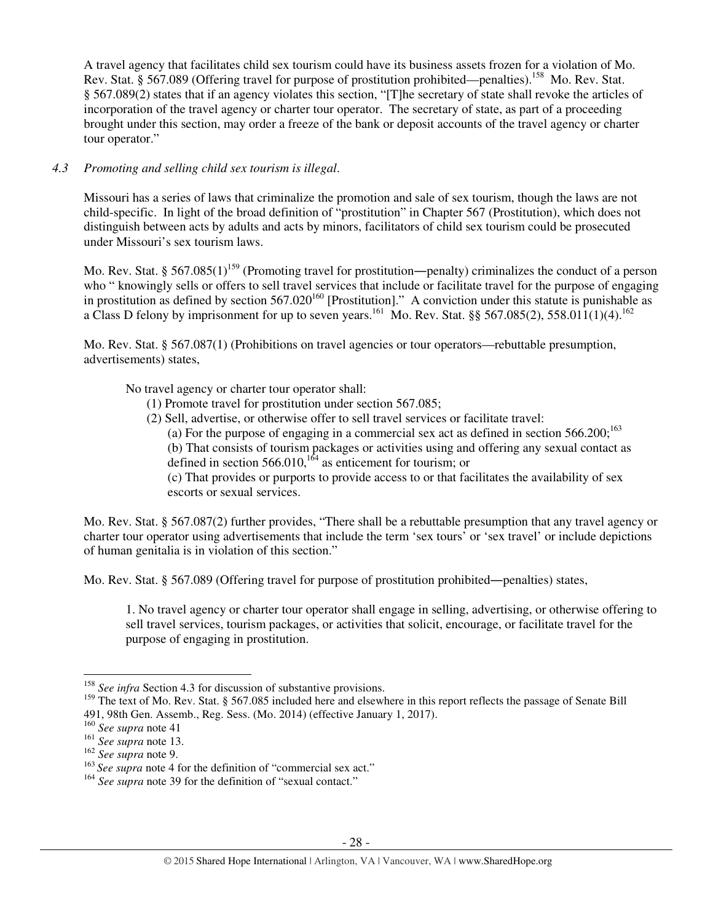A travel agency that facilitates child sex tourism could have its business assets frozen for a violation of Mo. Rev. Stat. § 567.089 (Offering travel for purpose of prostitution prohibited—penalties).<sup>158</sup> Mo. Rev. Stat. § 567.089(2) states that if an agency violates this section, "[T]he secretary of state shall revoke the articles of incorporation of the travel agency or charter tour operator. The secretary of state, as part of a proceeding brought under this section, may order a freeze of the bank or deposit accounts of the travel agency or charter tour operator."

# *4.3 Promoting and selling child sex tourism is illegal*.

Missouri has a series of laws that criminalize the promotion and sale of sex tourism, though the laws are not child-specific. In light of the broad definition of "prostitution" in Chapter 567 (Prostitution), which does not distinguish between acts by adults and acts by minors, facilitators of child sex tourism could be prosecuted under Missouri's sex tourism laws.

Mo. Rev. Stat. § 567.085(1)<sup>159</sup> (Promoting travel for prostitution—penalty) criminalizes the conduct of a person who " knowingly sells or offers to sell travel services that include or facilitate travel for the purpose of engaging in prostitution as defined by section  $567.020^{160}$  [Prostitution]." A conviction under this statute is punishable as a Class D felony by imprisonment for up to seven years.<sup>161</sup> Mo. Rev. Stat. §§ 567.085(2), 558.011(1)(4).<sup>162</sup>

Mo. Rev. Stat. § 567.087(1) (Prohibitions on travel agencies or tour operators—rebuttable presumption, advertisements) states,

No travel agency or charter tour operator shall:

- (1) Promote travel for prostitution under section 567.085;
- (2) Sell, advertise, or otherwise offer to sell travel services or facilitate travel:
	- (a) For the purpose of engaging in a commercial sex act as defined in section  $566.200$ ;<sup>163</sup>

(b) That consists of tourism packages or activities using and offering any sexual contact as defined in section  $566.010$ ,<sup>164</sup> as enticement for tourism; or

(c) That provides or purports to provide access to or that facilitates the availability of sex escorts or sexual services.

Mo. Rev. Stat. § 567.087(2) further provides, "There shall be a rebuttable presumption that any travel agency or charter tour operator using advertisements that include the term 'sex tours' or 'sex travel' or include depictions of human genitalia is in violation of this section."

Mo. Rev. Stat. § 567.089 (Offering travel for purpose of prostitution prohibited―penalties) states,

1. No travel agency or charter tour operator shall engage in selling, advertising, or otherwise offering to sell travel services, tourism packages, or activities that solicit, encourage, or facilitate travel for the purpose of engaging in prostitution.

<sup>158</sup> *See infra* Section 4.3 for discussion of substantive provisions.

<sup>&</sup>lt;sup>159</sup> The text of Mo. Rev. Stat. § 567.085 included here and elsewhere in this report reflects the passage of Senate Bill 491, 98th Gen. Assemb., Reg. Sess. (Mo. 2014) (effective January 1, 2017).

<sup>160</sup> *See supra* note 41

<sup>161</sup> *See supra* note 13.

<sup>162</sup> *See supra* note 9.

<sup>&</sup>lt;sup>163</sup> See supra note 4 for the definition of "commercial sex act."

<sup>&</sup>lt;sup>164</sup> See supra note 39 for the definition of "sexual contact."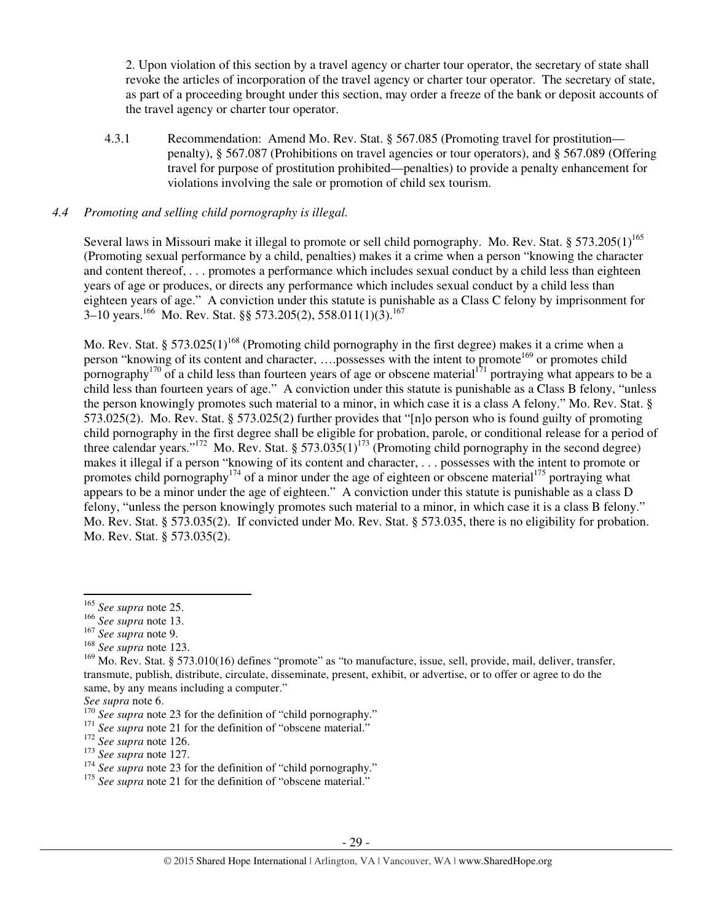2. Upon violation of this section by a travel agency or charter tour operator, the secretary of state shall revoke the articles of incorporation of the travel agency or charter tour operator. The secretary of state, as part of a proceeding brought under this section, may order a freeze of the bank or deposit accounts of the travel agency or charter tour operator.

4.3.1 Recommendation: Amend Mo. Rev. Stat. § 567.085 (Promoting travel for prostitution penalty), § 567.087 (Prohibitions on travel agencies or tour operators), and § 567.089 (Offering travel for purpose of prostitution prohibited—penalties) to provide a penalty enhancement for violations involving the sale or promotion of child sex tourism.

## *4.4 Promoting and selling child pornography is illegal.*

Several laws in Missouri make it illegal to promote or sell child pornography. Mo. Rev. Stat. § 573.205(1)<sup>165</sup> (Promoting sexual performance by a child, penalties) makes it a crime when a person "knowing the character and content thereof, . . . promotes a performance which includes sexual conduct by a child less than eighteen years of age or produces, or directs any performance which includes sexual conduct by a child less than eighteen years of age." A conviction under this statute is punishable as a Class C felony by imprisonment for  $3-10$  years.<sup>166</sup> Mo. Rev. Stat. §§ 573.205(2), 558.011(1)(3).<sup>167</sup>

Mo. Rev. Stat. § 573.025(1)<sup>168</sup> (Promoting child pornography in the first degree) makes it a crime when a person "knowing of its content and character, ....possesses with the intent to promote<sup>169</sup> or promotes child pornography<sup>170</sup> of a child less than fourteen years of age or obscene material<sup>171</sup> portraying what appears to be a child less than fourteen years of age." A conviction under this statute is punishable as a Class B felony, "unless the person knowingly promotes such material to a minor, in which case it is a class A felony." Mo. Rev. Stat. § 573.025(2). Mo. Rev. Stat. § 573.025(2) further provides that "[n]o person who is found guilty of promoting child pornography in the first degree shall be eligible for probation, parole, or conditional release for a period of three calendar years."<sup>172</sup> Mo. Rev. Stat. § 573.035(1)<sup>173</sup> (Promoting child pornography in the second degree) makes it illegal if a person "knowing of its content and character, . . . possesses with the intent to promote or promotes child pornography<sup>174</sup> of a minor under the age of eighteen or obscene material<sup>175</sup> portraying what appears to be a minor under the age of eighteen." A conviction under this statute is punishable as a class D felony, "unless the person knowingly promotes such material to a minor, in which case it is a class B felony." Mo. Rev. Stat. § 573.035(2). If convicted under Mo. Rev. Stat. § 573.035, there is no eligibility for probation. Mo. Rev. Stat. § 573.035(2).

<sup>165</sup> *See supra* note 25.

<sup>166</sup> *See supra* note 13.

<sup>167</sup> *See supra* note 9.

<sup>168</sup> *See supra* note 123.

<sup>&</sup>lt;sup>169</sup> Mo. Rev. Stat. § 573.010(16) defines "promote" as "to manufacture, issue, sell, provide, mail, deliver, transfer, transmute, publish, distribute, circulate, disseminate, present, exhibit, or advertise, or to offer or agree to do the same, by any means including a computer."

*See supra* note 6.

<sup>&</sup>lt;sup>170</sup> See supra note 23 for the definition of "child pornography."

<sup>&</sup>lt;sup>171</sup> See supra note 21 for the definition of "obscene material."

<sup>172</sup> *See supra* note 126.

<sup>173</sup> *See supra* note 127.

<sup>&</sup>lt;sup>174</sup> See supra note 23 for the definition of "child pornography."

<sup>&</sup>lt;sup>175</sup> See supra note 21 for the definition of "obscene material."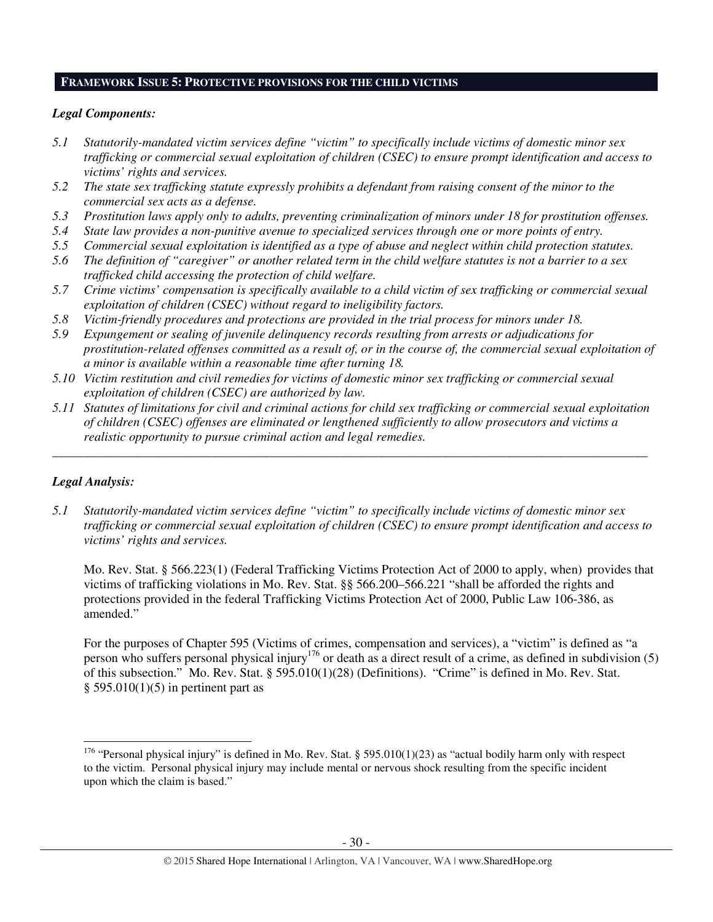#### **FRAMEWORK ISSUE 5: PROTECTIVE PROVISIONS FOR THE CHILD VICTIMS**

## *Legal Components:*

- *5.1 Statutorily-mandated victim services define "victim" to specifically include victims of domestic minor sex trafficking or commercial sexual exploitation of children (CSEC) to ensure prompt identification and access to victims' rights and services.*
- *5.2 The state sex trafficking statute expressly prohibits a defendant from raising consent of the minor to the commercial sex acts as a defense.*
- *5.3 Prostitution laws apply only to adults, preventing criminalization of minors under 18 for prostitution offenses.*
- *5.4 State law provides a non-punitive avenue to specialized services through one or more points of entry.*
- *5.5 Commercial sexual exploitation is identified as a type of abuse and neglect within child protection statutes.*
- *5.6 The definition of "caregiver" or another related term in the child welfare statutes is not a barrier to a sex trafficked child accessing the protection of child welfare.*
- *5.7 Crime victims' compensation is specifically available to a child victim of sex trafficking or commercial sexual exploitation of children (CSEC) without regard to ineligibility factors.*
- *5.8 Victim-friendly procedures and protections are provided in the trial process for minors under 18.*
- *5.9 Expungement or sealing of juvenile delinquency records resulting from arrests or adjudications for prostitution-related offenses committed as a result of, or in the course of, the commercial sexual exploitation of a minor is available within a reasonable time after turning 18.*
- *5.10 Victim restitution and civil remedies for victims of domestic minor sex trafficking or commercial sexual exploitation of children (CSEC) are authorized by law.*
- *5.11 Statutes of limitations for civil and criminal actions for child sex trafficking or commercial sexual exploitation of children (CSEC) offenses are eliminated or lengthened sufficiently to allow prosecutors and victims a realistic opportunity to pursue criminal action and legal remedies.*

*\_\_\_\_\_\_\_\_\_\_\_\_\_\_\_\_\_\_\_\_\_\_\_\_\_\_\_\_\_\_\_\_\_\_\_\_\_\_\_\_\_\_\_\_\_\_\_\_\_\_\_\_\_\_\_\_\_\_\_\_\_\_\_\_\_\_\_\_\_\_\_\_\_\_\_\_\_\_\_\_\_\_\_\_\_\_\_\_\_\_\_\_\_* 

# *Legal Analysis:*

 $\overline{a}$ 

*5.1 Statutorily-mandated victim services define "victim" to specifically include victims of domestic minor sex trafficking or commercial sexual exploitation of children (CSEC) to ensure prompt identification and access to victims' rights and services.* 

Mo. Rev. Stat. § 566.223(1) (Federal Trafficking Victims Protection Act of 2000 to apply, when) provides that victims of trafficking violations in Mo. Rev. Stat. §§ 566.200–566.221 "shall be afforded the rights and protections provided in the federal Trafficking Victims Protection Act of 2000, Public Law 106-386, as amended."

For the purposes of Chapter 595 (Victims of crimes, compensation and services), a "victim" is defined as "a person who suffers personal physical injury<sup>176</sup> or death as a direct result of a crime, as defined in subdivision (5) of this subsection." Mo. Rev. Stat. § 595.010(1)(28) (Definitions). "Crime" is defined in Mo. Rev. Stat.  $§$  595.010(1)(5) in pertinent part as

<sup>&</sup>lt;sup>176</sup> "Personal physical injury" is defined in Mo. Rev. Stat. § 595.010(1)(23) as "actual bodily harm only with respect to the victim. Personal physical injury may include mental or nervous shock resulting from the specific incident upon which the claim is based."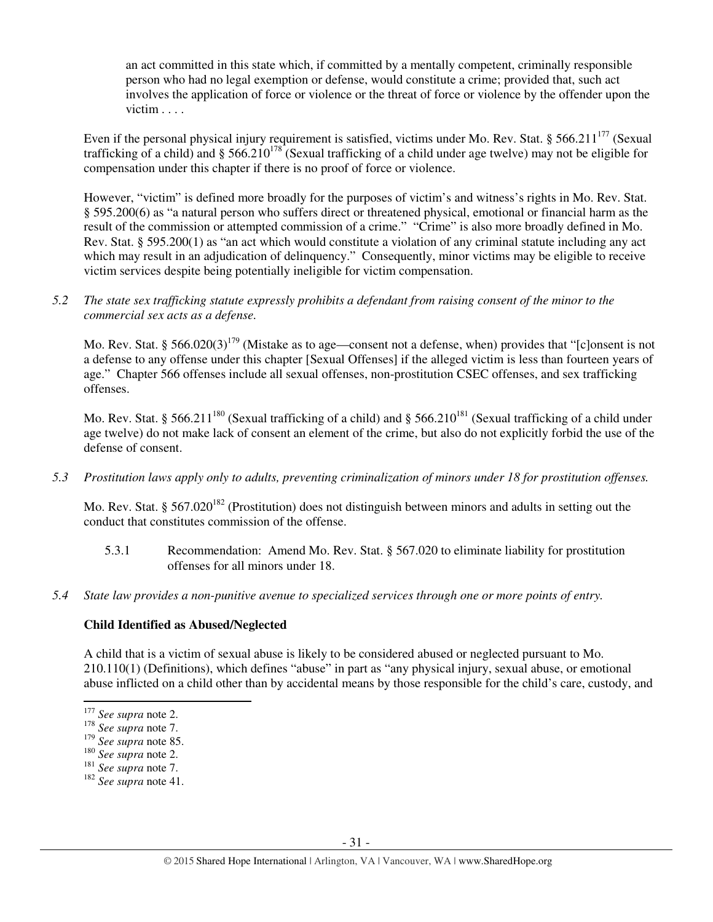an act committed in this state which, if committed by a mentally competent, criminally responsible person who had no legal exemption or defense, would constitute a crime; provided that, such act involves the application of force or violence or the threat of force or violence by the offender upon the victim . . . .

Even if the personal physical injury requirement is satisfied, victims under Mo. Rev. Stat. § 566.211<sup>177</sup> (Sexual trafficking of a child) and § 566.210<sup>178</sup> (Sexual trafficking of a child under age twelve) may not be eligible for compensation under this chapter if there is no proof of force or violence.

However, "victim" is defined more broadly for the purposes of victim's and witness's rights in Mo. Rev. Stat. § 595.200(6) as "a natural person who suffers direct or threatened physical, emotional or financial harm as the result of the commission or attempted commission of a crime." "Crime" is also more broadly defined in Mo. Rev. Stat. § 595.200(1) as "an act which would constitute a violation of any criminal statute including any act which may result in an adjudication of delinquency." Consequently, minor victims may be eligible to receive victim services despite being potentially ineligible for victim compensation.

*5.2 The state sex trafficking statute expressly prohibits a defendant from raising consent of the minor to the commercial sex acts as a defense.* 

Mo. Rev. Stat. § 566.020(3)<sup>179</sup> (Mistake as to age—consent not a defense, when) provides that "[c]onsent is not a defense to any offense under this chapter [Sexual Offenses] if the alleged victim is less than fourteen years of age." Chapter 566 offenses include all sexual offenses, non-prostitution CSEC offenses, and sex trafficking offenses.

Mo. Rev. Stat. § 566.211<sup>180</sup> (Sexual trafficking of a child) and § 566.210<sup>181</sup> (Sexual trafficking of a child under age twelve) do not make lack of consent an element of the crime, but also do not explicitly forbid the use of the defense of consent.

*5.3 Prostitution laws apply only to adults, preventing criminalization of minors under 18 for prostitution offenses.* 

Mo. Rev. Stat. § 567.020<sup>182</sup> (Prostitution) does not distinguish between minors and adults in setting out the conduct that constitutes commission of the offense.

- 5.3.1 Recommendation: Amend Mo. Rev. Stat. § 567.020 to eliminate liability for prostitution offenses for all minors under 18.
- *5.4 State law provides a non-punitive avenue to specialized services through one or more points of entry.*

# **Child Identified as Abused/Neglected**

A child that is a victim of sexual abuse is likely to be considered abused or neglected pursuant to Mo. 210.110(1) (Definitions), which defines "abuse" in part as "any physical injury, sexual abuse, or emotional abuse inflicted on a child other than by accidental means by those responsible for the child's care, custody, and l

<sup>177</sup> *See supra* note 2.

<sup>178</sup> *See supra* note 7.

<sup>179</sup> *See supra* note 85.

<sup>180</sup> *See supra* note 2.

<sup>181</sup> *See supra* note 7.

<sup>182</sup> *See supra* note 41.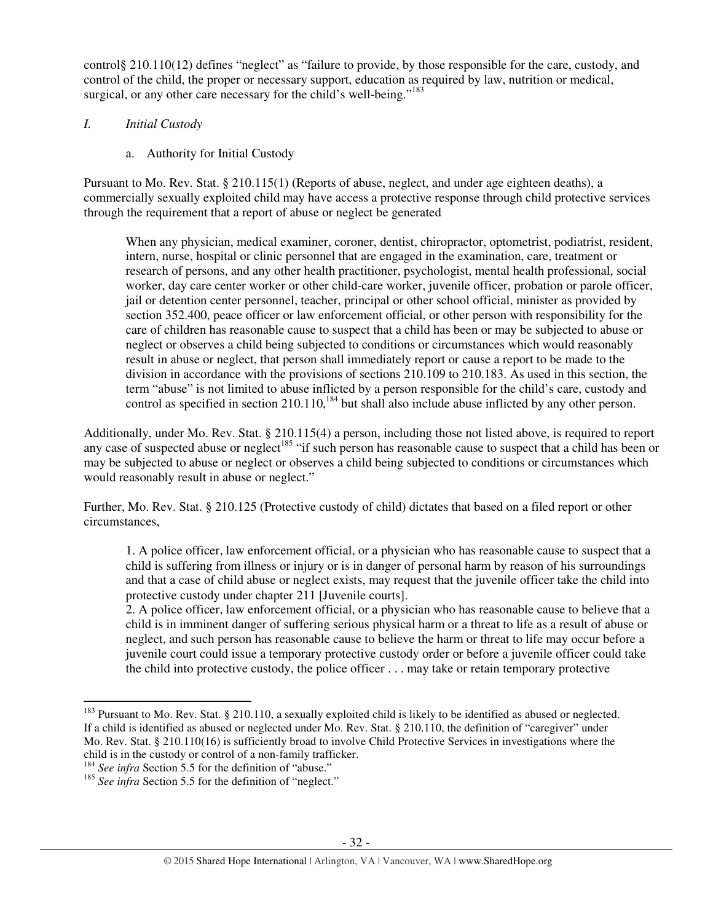control§ 210.110(12) defines "neglect" as "failure to provide, by those responsible for the care, custody, and control of the child, the proper or necessary support, education as required by law, nutrition or medical, surgical, or any other care necessary for the child's well-being."<sup>183</sup>

## *I. Initial Custody*

a. Authority for Initial Custody

Pursuant to Mo. Rev. Stat. § 210.115(1) (Reports of abuse, neglect, and under age eighteen deaths), a commercially sexually exploited child may have access a protective response through child protective services through the requirement that a report of abuse or neglect be generated

When any physician, medical examiner, coroner, dentist, chiropractor, optometrist, podiatrist, resident, intern, nurse, hospital or clinic personnel that are engaged in the examination, care, treatment or research of persons, and any other health practitioner, psychologist, mental health professional, social worker, day care center worker or other child-care worker, juvenile officer, probation or parole officer, jail or detention center personnel, teacher, principal or other school official, minister as provided by section 352.400, peace officer or law enforcement official, or other person with responsibility for the care of children has reasonable cause to suspect that a child has been or may be subjected to abuse or neglect or observes a child being subjected to conditions or circumstances which would reasonably result in abuse or neglect, that person shall immediately report or cause a report to be made to the division in accordance with the provisions of sections 210.109 to 210.183. As used in this section, the term "abuse" is not limited to abuse inflicted by a person responsible for the child's care, custody and control as specified in section  $210.110$ ,<sup>184</sup> but shall also include abuse inflicted by any other person.

Additionally, under Mo. Rev. Stat. § 210.115(4) a person, including those not listed above, is required to report any case of suspected abuse or neglect<sup>185</sup> "if such person has reasonable cause to suspect that a child has been or may be subjected to abuse or neglect or observes a child being subjected to conditions or circumstances which would reasonably result in abuse or neglect."

Further, Mo. Rev. Stat. § 210.125 (Protective custody of child) dictates that based on a filed report or other circumstances,

1. A police officer, law enforcement official, or a physician who has reasonable cause to suspect that a child is suffering from illness or injury or is in danger of personal harm by reason of his surroundings and that a case of child abuse or neglect exists, may request that the juvenile officer take the child into protective custody under chapter 211 [Juvenile courts].

2. A police officer, law enforcement official, or a physician who has reasonable cause to believe that a child is in imminent danger of suffering serious physical harm or a threat to life as a result of abuse or neglect, and such person has reasonable cause to believe the harm or threat to life may occur before a juvenile court could issue a temporary protective custody order or before a juvenile officer could take the child into protective custody, the police officer . . . may take or retain temporary protective

<sup>&</sup>lt;sup>183</sup> Pursuant to Mo. Rev. Stat. § 210.110, a sexually exploited child is likely to be identified as abused or neglected. If a child is identified as abused or neglected under Mo. Rev. Stat. § 210.110, the definition of "caregiver" under Mo. Rev. Stat. § 210.110(16) is sufficiently broad to involve Child Protective Services in investigations where the child is in the custody or control of a non-family trafficker.

<sup>&</sup>lt;sup>184</sup> See infra Section 5.5 for the definition of "abuse."

<sup>&</sup>lt;sup>185</sup> See infra Section 5.5 for the definition of "neglect."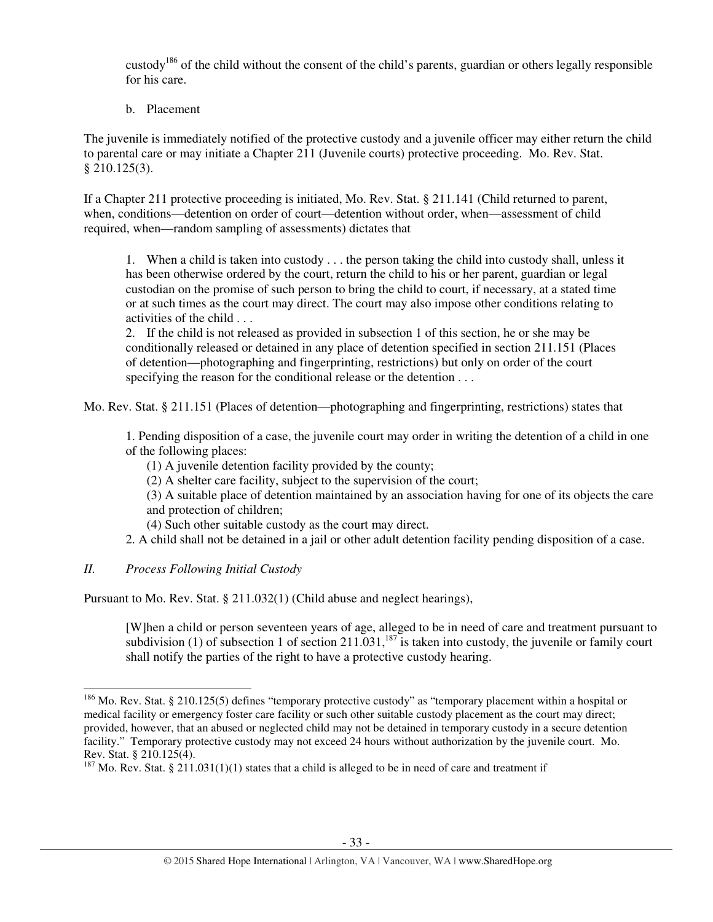custody<sup>186</sup> of the child without the consent of the child's parents, guardian or others legally responsible for his care.

b. Placement

The juvenile is immediately notified of the protective custody and a juvenile officer may either return the child to parental care or may initiate a Chapter 211 (Juvenile courts) protective proceeding. Mo. Rev. Stat. § 210.125(3).

If a Chapter 211 protective proceeding is initiated, Mo. Rev. Stat. § 211.141 (Child returned to parent, when, conditions—detention on order of court—detention without order, when—assessment of child required, when—random sampling of assessments) dictates that

1. When a child is taken into custody . . . the person taking the child into custody shall, unless it has been otherwise ordered by the court, return the child to his or her parent, guardian or legal custodian on the promise of such person to bring the child to court, if necessary, at a stated time or at such times as the court may direct. The court may also impose other conditions relating to activities of the child . . .

2. If the child is not released as provided in subsection 1 of this section, he or she may be conditionally released or detained in any place of detention specified in section 211.151 (Places of detention—photographing and fingerprinting, restrictions) but only on order of the court specifying the reason for the conditional release or the detention . . .

Mo. Rev. Stat. § 211.151 (Places of detention—photographing and fingerprinting, restrictions) states that

1. Pending disposition of a case, the juvenile court may order in writing the detention of a child in one of the following places:

(1) A juvenile detention facility provided by the county;

- (2) A shelter care facility, subject to the supervision of the court;
- (3) A suitable place of detention maintained by an association having for one of its objects the care and protection of children;
- (4) Such other suitable custody as the court may direct.
- 2. A child shall not be detained in a jail or other adult detention facility pending disposition of a case.

# *II. Process Following Initial Custody*

 $\overline{a}$ 

Pursuant to Mo. Rev. Stat. § 211.032(1) (Child abuse and neglect hearings),

[W]hen a child or person seventeen years of age, alleged to be in need of care and treatment pursuant to subdivision (1) of subsection 1 of section 211.031,<sup>187</sup> is taken into custody, the juvenile or family court shall notify the parties of the right to have a protective custody hearing.

<sup>&</sup>lt;sup>186</sup> Mo. Rev. Stat. § 210.125(5) defines "temporary protective custody" as "temporary placement within a hospital or medical facility or emergency foster care facility or such other suitable custody placement as the court may direct; provided, however, that an abused or neglected child may not be detained in temporary custody in a secure detention facility." Temporary protective custody may not exceed 24 hours without authorization by the juvenile court. Mo. Rev. Stat. § 210.125(4).

<sup>&</sup>lt;sup>187</sup> Mo. Rev. Stat. § 211.031(1)(1) states that a child is alleged to be in need of care and treatment if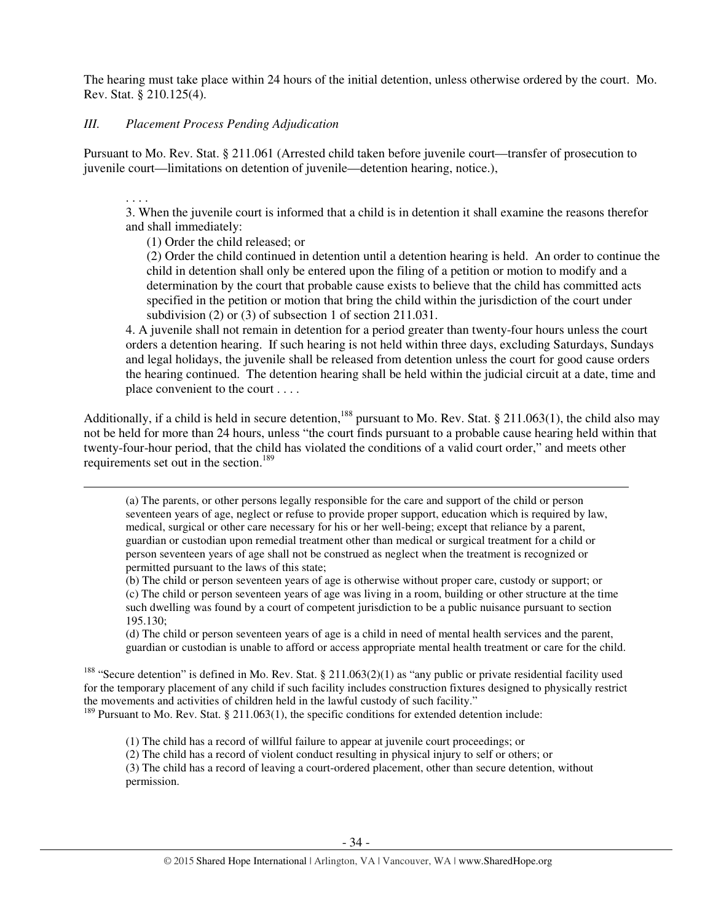The hearing must take place within 24 hours of the initial detention, unless otherwise ordered by the court. Mo. Rev. Stat. § 210.125(4).

## *III. Placement Process Pending Adjudication*

Pursuant to Mo. Rev. Stat. § 211.061 (Arrested child taken before juvenile court—transfer of prosecution to juvenile court—limitations on detention of juvenile—detention hearing, notice.),

. . . . 3. When the juvenile court is informed that a child is in detention it shall examine the reasons therefor and shall immediately:

(1) Order the child released; or

 $\overline{a}$ 

(2) Order the child continued in detention until a detention hearing is held. An order to continue the child in detention shall only be entered upon the filing of a petition or motion to modify and a determination by the court that probable cause exists to believe that the child has committed acts specified in the petition or motion that bring the child within the jurisdiction of the court under subdivision (2) or (3) of subsection 1 of section 211.031.

4. A juvenile shall not remain in detention for a period greater than twenty-four hours unless the court orders a detention hearing. If such hearing is not held within three days, excluding Saturdays, Sundays and legal holidays, the juvenile shall be released from detention unless the court for good cause orders the hearing continued. The detention hearing shall be held within the judicial circuit at a date, time and place convenient to the court . . . .

Additionally, if a child is held in secure detention,<sup>188</sup> pursuant to Mo. Rev. Stat. § 211.063(1), the child also may not be held for more than 24 hours, unless "the court finds pursuant to a probable cause hearing held within that twenty-four-hour period, that the child has violated the conditions of a valid court order," and meets other requirements set out in the section.<sup>189</sup>

(a) The parents, or other persons legally responsible for the care and support of the child or person seventeen years of age, neglect or refuse to provide proper support, education which is required by law, medical, surgical or other care necessary for his or her well-being; except that reliance by a parent, guardian or custodian upon remedial treatment other than medical or surgical treatment for a child or person seventeen years of age shall not be construed as neglect when the treatment is recognized or permitted pursuant to the laws of this state;

(b) The child or person seventeen years of age is otherwise without proper care, custody or support; or (c) The child or person seventeen years of age was living in a room, building or other structure at the time such dwelling was found by a court of competent jurisdiction to be a public nuisance pursuant to section 195.130;

(d) The child or person seventeen years of age is a child in need of mental health services and the parent, guardian or custodian is unable to afford or access appropriate mental health treatment or care for the child.

<sup>188</sup> "Secure detention" is defined in Mo. Rev. Stat. § 211.063(2)(1) as "any public or private residential facility used for the temporary placement of any child if such facility includes construction fixtures designed to physically restrict the movements and activities of children held in the lawful custody of such facility."

 $189$  Pursuant to Mo. Rev. Stat. § 211.063(1), the specific conditions for extended detention include:

(1) The child has a record of willful failure to appear at juvenile court proceedings; or

(2) The child has a record of violent conduct resulting in physical injury to self or others; or

(3) The child has a record of leaving a court-ordered placement, other than secure detention, without permission.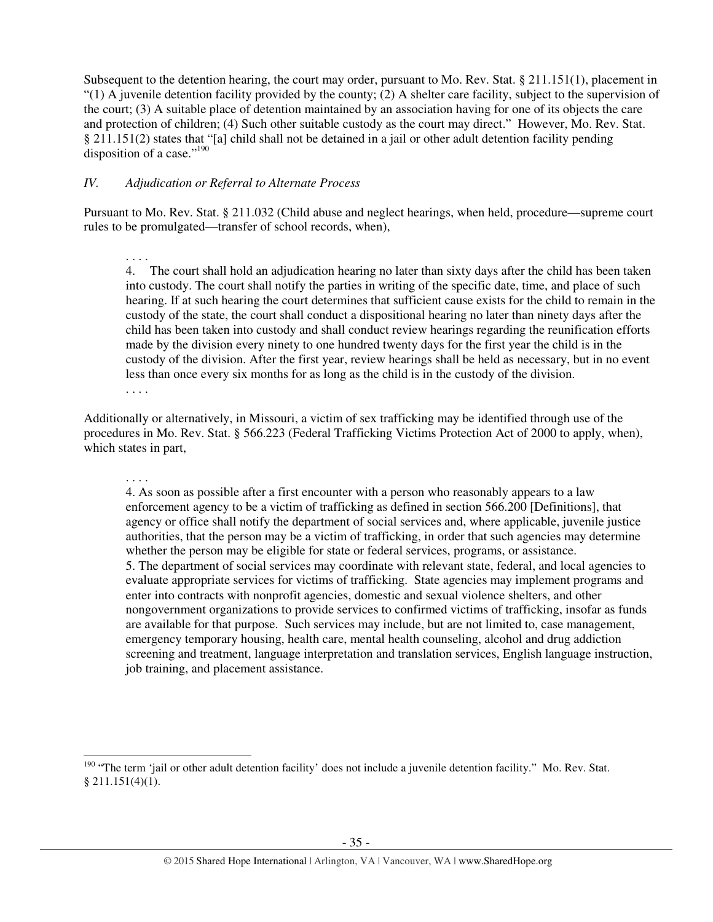Subsequent to the detention hearing, the court may order, pursuant to Mo. Rev. Stat. § 211.151(1), placement in  $(1)$  A juvenile detention facility provided by the county; (2) A shelter care facility, subject to the supervision of the court; (3) A suitable place of detention maintained by an association having for one of its objects the care and protection of children; (4) Such other suitable custody as the court may direct." However, Mo. Rev. Stat. § 211.151(2) states that "[a] child shall not be detained in a jail or other adult detention facility pending disposition of a case." $^{190}$ 

## *IV. Adjudication or Referral to Alternate Process*

. . . .

l

Pursuant to Mo. Rev. Stat. § 211.032 (Child abuse and neglect hearings, when held, procedure—supreme court rules to be promulgated—transfer of school records, when),

. . . . 4. The court shall hold an adjudication hearing no later than sixty days after the child has been taken into custody. The court shall notify the parties in writing of the specific date, time, and place of such hearing. If at such hearing the court determines that sufficient cause exists for the child to remain in the custody of the state, the court shall conduct a dispositional hearing no later than ninety days after the child has been taken into custody and shall conduct review hearings regarding the reunification efforts made by the division every ninety to one hundred twenty days for the first year the child is in the custody of the division. After the first year, review hearings shall be held as necessary, but in no event less than once every six months for as long as the child is in the custody of the division. . . . .

Additionally or alternatively, in Missouri, a victim of sex trafficking may be identified through use of the procedures in Mo. Rev. Stat. § 566.223 (Federal Trafficking Victims Protection Act of 2000 to apply, when), which states in part,

4. As soon as possible after a first encounter with a person who reasonably appears to a law enforcement agency to be a victim of trafficking as defined in section 566.200 [Definitions], that agency or office shall notify the department of social services and, where applicable, juvenile justice authorities, that the person may be a victim of trafficking, in order that such agencies may determine whether the person may be eligible for state or federal services, programs, or assistance. 5. The department of social services may coordinate with relevant state, federal, and local agencies to evaluate appropriate services for victims of trafficking. State agencies may implement programs and enter into contracts with nonprofit agencies, domestic and sexual violence shelters, and other nongovernment organizations to provide services to confirmed victims of trafficking, insofar as funds are available for that purpose. Such services may include, but are not limited to, case management, emergency temporary housing, health care, mental health counseling, alcohol and drug addiction screening and treatment, language interpretation and translation services, English language instruction, job training, and placement assistance.

<sup>&</sup>lt;sup>190</sup> "The term 'jail or other adult detention facility' does not include a juvenile detention facility." Mo. Rev. Stat.  $$211.151(4)(1).$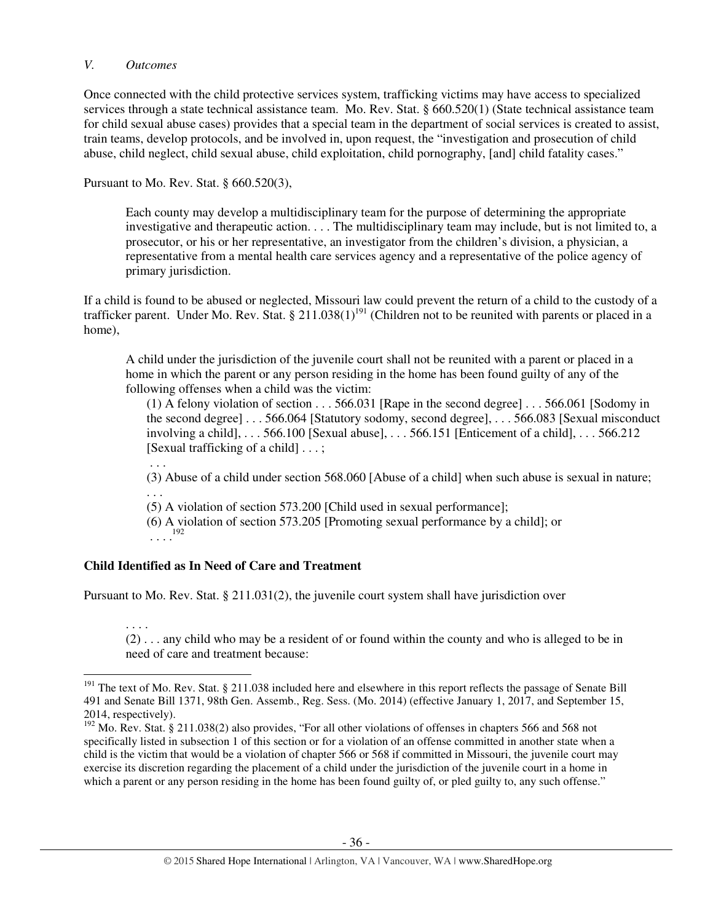#### *V. Outcomes*

Once connected with the child protective services system, trafficking victims may have access to specialized services through a state technical assistance team. Mo. Rev. Stat. § 660.520(1) (State technical assistance team for child sexual abuse cases) provides that a special team in the department of social services is created to assist, train teams, develop protocols, and be involved in, upon request, the "investigation and prosecution of child abuse, child neglect, child sexual abuse, child exploitation, child pornography, [and] child fatality cases."

Pursuant to Mo. Rev. Stat. § 660.520(3),

Each county may develop a multidisciplinary team for the purpose of determining the appropriate investigative and therapeutic action. . . . The multidisciplinary team may include, but is not limited to, a prosecutor, or his or her representative, an investigator from the children's division, a physician, a representative from a mental health care services agency and a representative of the police agency of primary jurisdiction.

If a child is found to be abused or neglected, Missouri law could prevent the return of a child to the custody of a trafficker parent. Under Mo. Rev. Stat. § 211.038(1)<sup>191</sup> (Children not to be reunited with parents or placed in a home),

A child under the jurisdiction of the juvenile court shall not be reunited with a parent or placed in a home in which the parent or any person residing in the home has been found guilty of any of the following offenses when a child was the victim:

(1) A felony violation of section . . . 566.031 [Rape in the second degree] . . . 566.061 [Sodomy in the second degree] . . . 566.064 [Statutory sodomy, second degree], . . . 566.083 [Sexual misconduct involving a child], . . . 566.100 [Sexual abuse], . . . 566.151 [Enticement of a child], . . . 566.212 [Sexual trafficking of a child] . . . ;

 . . . (3) Abuse of a child under section 568.060 [Abuse of a child] when such abuse is sexual in nature; . . .

(5) A violation of section 573.200 [Child used in sexual performance];

(6) A violation of section 573.205 [Promoting sexual performance by a child]; or  $\ldots$ <sup>192</sup>

# **Child Identified as In Need of Care and Treatment**

 $\overline{a}$ 

Pursuant to Mo. Rev. Stat. § 211.031(2), the juvenile court system shall have jurisdiction over

. . . . (2) . . . any child who may be a resident of or found within the county and who is alleged to be in need of care and treatment because:

<sup>&</sup>lt;sup>191</sup> The text of Mo. Rev. Stat. § 211.038 included here and elsewhere in this report reflects the passage of Senate Bill 491 and Senate Bill 1371, 98th Gen. Assemb., Reg. Sess. (Mo. 2014) (effective January 1, 2017, and September 15, 2014, respectively).

<sup>&</sup>lt;sup>192</sup> Mo. Rev. Stat. § 211.038(2) also provides, "For all other violations of offenses in chapters 566 and 568 not specifically listed in subsection 1 of this section or for a violation of an offense committed in another state when a child is the victim that would be a violation of chapter 566 or 568 if committed in Missouri, the juvenile court may exercise its discretion regarding the placement of a child under the jurisdiction of the juvenile court in a home in which a parent or any person residing in the home has been found guilty of, or pled guilty to, any such offense."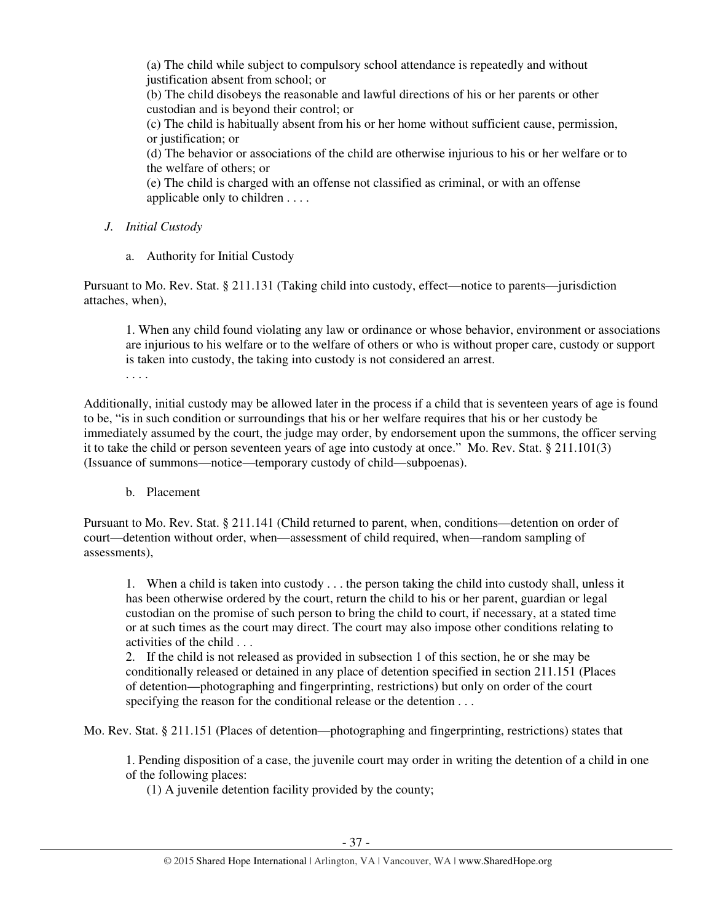(a) The child while subject to compulsory school attendance is repeatedly and without justification absent from school; or (b) The child disobeys the reasonable and lawful directions of his or her parents or other custodian and is beyond their control; or (c) The child is habitually absent from his or her home without sufficient cause, permission, or justification; or (d) The behavior or associations of the child are otherwise injurious to his or her welfare or to the welfare of others; or

(e) The child is charged with an offense not classified as criminal, or with an offense applicable only to children . . . .

# *J. Initial Custody*

a. Authority for Initial Custody

Pursuant to Mo. Rev. Stat. § 211.131 (Taking child into custody, effect—notice to parents—jurisdiction attaches, when),

1. When any child found violating any law or ordinance or whose behavior, environment or associations are injurious to his welfare or to the welfare of others or who is without proper care, custody or support is taken into custody, the taking into custody is not considered an arrest.

. . . .

Additionally, initial custody may be allowed later in the process if a child that is seventeen years of age is found to be, "is in such condition or surroundings that his or her welfare requires that his or her custody be immediately assumed by the court, the judge may order, by endorsement upon the summons, the officer serving it to take the child or person seventeen years of age into custody at once." Mo. Rev. Stat. § 211.101(3) (Issuance of summons—notice—temporary custody of child—subpoenas).

# b. Placement

Pursuant to Mo. Rev. Stat. § 211.141 (Child returned to parent, when, conditions—detention on order of court—detention without order, when—assessment of child required, when—random sampling of assessments),

1. When a child is taken into custody . . . the person taking the child into custody shall, unless it has been otherwise ordered by the court, return the child to his or her parent, guardian or legal custodian on the promise of such person to bring the child to court, if necessary, at a stated time or at such times as the court may direct. The court may also impose other conditions relating to activities of the child . . .

2. If the child is not released as provided in subsection 1 of this section, he or she may be conditionally released or detained in any place of detention specified in section 211.151 (Places of detention—photographing and fingerprinting, restrictions) but only on order of the court specifying the reason for the conditional release or the detention . . .

Mo. Rev. Stat. § 211.151 (Places of detention—photographing and fingerprinting, restrictions) states that

1. Pending disposition of a case, the juvenile court may order in writing the detention of a child in one of the following places:

(1) A juvenile detention facility provided by the county;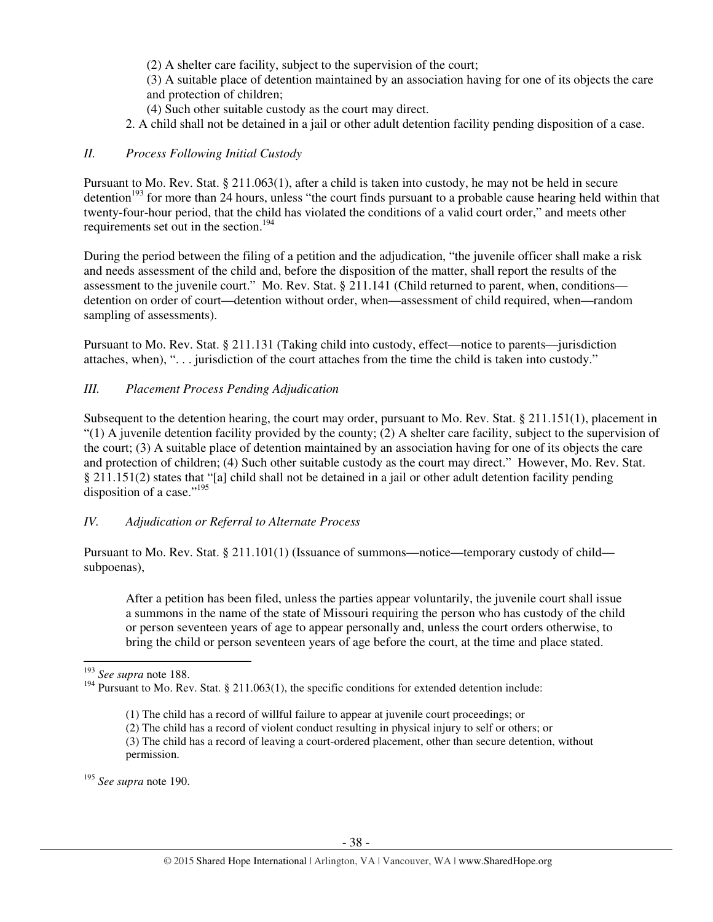(2) A shelter care facility, subject to the supervision of the court;

(3) A suitable place of detention maintained by an association having for one of its objects the care and protection of children;

- (4) Such other suitable custody as the court may direct.
- 2. A child shall not be detained in a jail or other adult detention facility pending disposition of a case.

## *II. Process Following Initial Custody*

Pursuant to Mo. Rev. Stat. § 211.063(1), after a child is taken into custody, he may not be held in secure detention<sup>193</sup> for more than 24 hours, unless "the court finds pursuant to a probable cause hearing held within that twenty-four-hour period, that the child has violated the conditions of a valid court order," and meets other requirements set out in the section.<sup>194</sup>

During the period between the filing of a petition and the adjudication, "the juvenile officer shall make a risk and needs assessment of the child and, before the disposition of the matter, shall report the results of the assessment to the juvenile court." Mo. Rev. Stat. § 211.141 (Child returned to parent, when, conditions detention on order of court—detention without order, when—assessment of child required, when—random sampling of assessments).

Pursuant to Mo. Rev. Stat. § 211.131 (Taking child into custody, effect—notice to parents—jurisdiction attaches, when), ". . . jurisdiction of the court attaches from the time the child is taken into custody."

## *III. Placement Process Pending Adjudication*

Subsequent to the detention hearing, the court may order, pursuant to Mo. Rev. Stat. § 211.151(1), placement in  $(1)$  A juvenile detention facility provided by the county; (2) A shelter care facility, subject to the supervision of the court; (3) A suitable place of detention maintained by an association having for one of its objects the care and protection of children; (4) Such other suitable custody as the court may direct." However, Mo. Rev. Stat. § 211.151(2) states that "[a] child shall not be detained in a jail or other adult detention facility pending disposition of a case." $195$ 

# *IV. Adjudication or Referral to Alternate Process*

Pursuant to Mo. Rev. Stat. § 211.101(1) (Issuance of summons—notice—temporary custody of child subpoenas),

After a petition has been filed, unless the parties appear voluntarily, the juvenile court shall issue a summons in the name of the state of Missouri requiring the person who has custody of the child or person seventeen years of age to appear personally and, unless the court orders otherwise, to bring the child or person seventeen years of age before the court, at the time and place stated.

 $\overline{a}$ 

<sup>195</sup> *See supra* note 190.

<sup>193</sup> *See supra* note 188.

<sup>&</sup>lt;sup>194</sup> Pursuant to Mo. Rev. Stat. § 211.063(1), the specific conditions for extended detention include:

 <sup>(1)</sup> The child has a record of willful failure to appear at juvenile court proceedings; or

<sup>(2)</sup> The child has a record of violent conduct resulting in physical injury to self or others; or

<sup>(3)</sup> The child has a record of leaving a court-ordered placement, other than secure detention, without permission.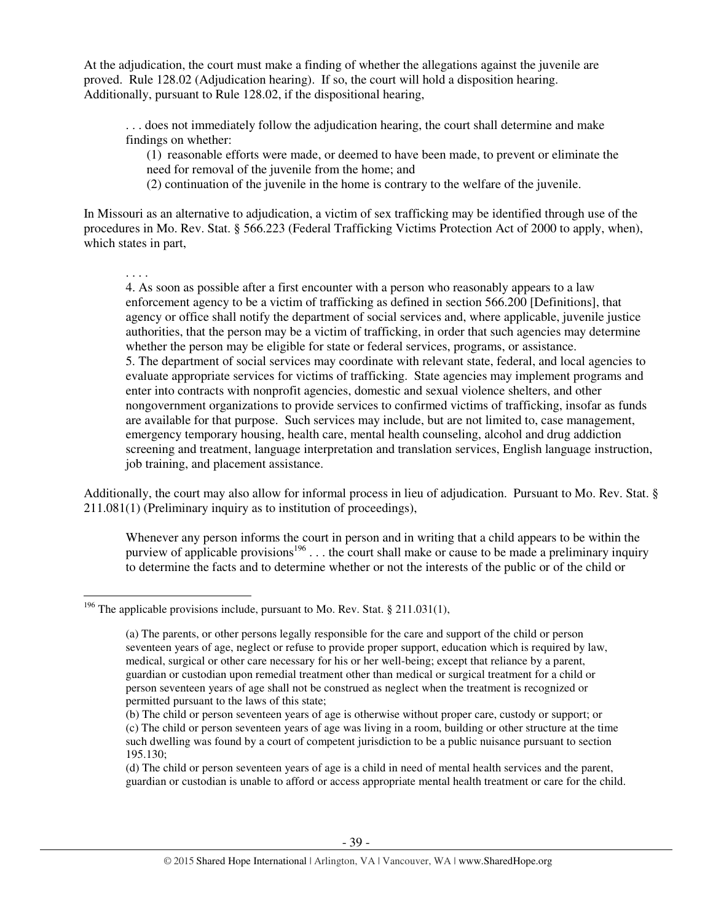At the adjudication, the court must make a finding of whether the allegations against the juvenile are proved. Rule 128.02 (Adjudication hearing). If so, the court will hold a disposition hearing. Additionally, pursuant to Rule 128.02, if the dispositional hearing,

. . . does not immediately follow the adjudication hearing, the court shall determine and make findings on whether:

(1) reasonable efforts were made, or deemed to have been made, to prevent or eliminate the need for removal of the juvenile from the home; and

(2) continuation of the juvenile in the home is contrary to the welfare of the juvenile.

In Missouri as an alternative to adjudication, a victim of sex trafficking may be identified through use of the procedures in Mo. Rev. Stat. § 566.223 (Federal Trafficking Victims Protection Act of 2000 to apply, when), which states in part,

. . . .

l

4. As soon as possible after a first encounter with a person who reasonably appears to a law enforcement agency to be a victim of trafficking as defined in section 566.200 [Definitions], that agency or office shall notify the department of social services and, where applicable, juvenile justice authorities, that the person may be a victim of trafficking, in order that such agencies may determine whether the person may be eligible for state or federal services, programs, or assistance. 5. The department of social services may coordinate with relevant state, federal, and local agencies to evaluate appropriate services for victims of trafficking. State agencies may implement programs and enter into contracts with nonprofit agencies, domestic and sexual violence shelters, and other nongovernment organizations to provide services to confirmed victims of trafficking, insofar as funds are available for that purpose. Such services may include, but are not limited to, case management, emergency temporary housing, health care, mental health counseling, alcohol and drug addiction screening and treatment, language interpretation and translation services, English language instruction, job training, and placement assistance.

Additionally, the court may also allow for informal process in lieu of adjudication. Pursuant to Mo. Rev. Stat. § 211.081(1) (Preliminary inquiry as to institution of proceedings),

Whenever any person informs the court in person and in writing that a child appears to be within the purview of applicable provisions<sup>196</sup> . . . the court shall make or cause to be made a preliminary inquiry to determine the facts and to determine whether or not the interests of the public or of the child or

<sup>&</sup>lt;sup>196</sup> The applicable provisions include, pursuant to Mo. Rev. Stat. § 211.031(1),

<sup>(</sup>a) The parents, or other persons legally responsible for the care and support of the child or person seventeen years of age, neglect or refuse to provide proper support, education which is required by law, medical, surgical or other care necessary for his or her well-being; except that reliance by a parent, guardian or custodian upon remedial treatment other than medical or surgical treatment for a child or person seventeen years of age shall not be construed as neglect when the treatment is recognized or permitted pursuant to the laws of this state;

<sup>(</sup>b) The child or person seventeen years of age is otherwise without proper care, custody or support; or (c) The child or person seventeen years of age was living in a room, building or other structure at the time such dwelling was found by a court of competent jurisdiction to be a public nuisance pursuant to section 195.130;

<sup>(</sup>d) The child or person seventeen years of age is a child in need of mental health services and the parent, guardian or custodian is unable to afford or access appropriate mental health treatment or care for the child.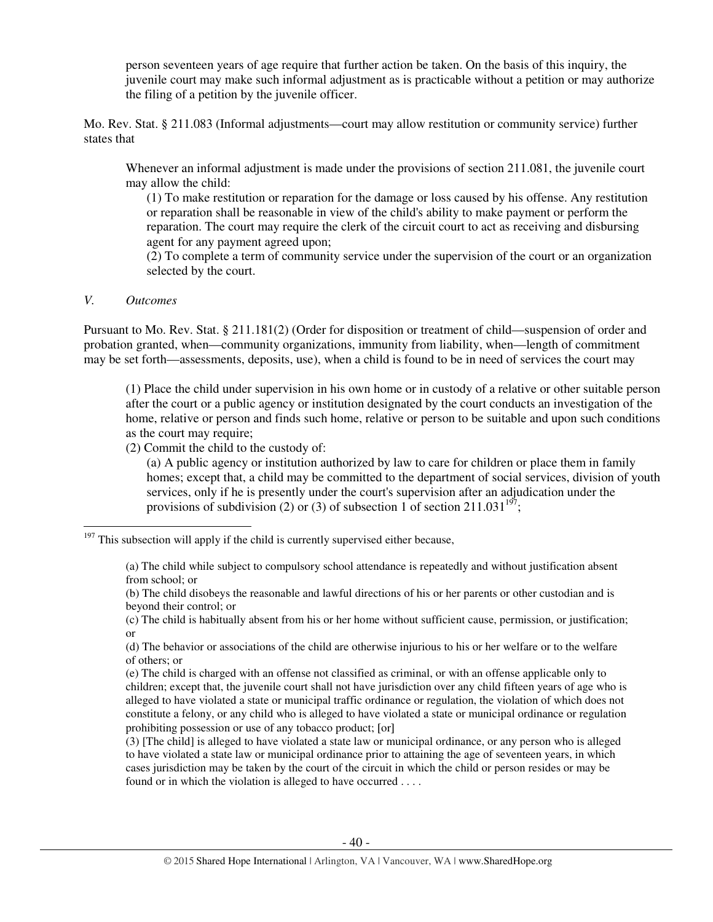person seventeen years of age require that further action be taken. On the basis of this inquiry, the juvenile court may make such informal adjustment as is practicable without a petition or may authorize the filing of a petition by the juvenile officer.

Mo. Rev. Stat. § 211.083 (Informal adjustments—court may allow restitution or community service) further states that

Whenever an informal adjustment is made under the provisions of section 211.081, the juvenile court may allow the child:

(1) To make restitution or reparation for the damage or loss caused by his offense. Any restitution or reparation shall be reasonable in view of the child's ability to make payment or perform the reparation. The court may require the clerk of the circuit court to act as receiving and disbursing agent for any payment agreed upon;

(2) To complete a term of community service under the supervision of the court or an organization selected by the court.

#### *V. Outcomes*

 $\overline{a}$ 

Pursuant to Mo. Rev. Stat. § 211.181(2) (Order for disposition or treatment of child—suspension of order and probation granted, when—community organizations, immunity from liability, when—length of commitment may be set forth—assessments, deposits, use), when a child is found to be in need of services the court may

(1) Place the child under supervision in his own home or in custody of a relative or other suitable person after the court or a public agency or institution designated by the court conducts an investigation of the home, relative or person and finds such home, relative or person to be suitable and upon such conditions as the court may require;

(2) Commit the child to the custody of:

(a) A public agency or institution authorized by law to care for children or place them in family homes; except that, a child may be committed to the department of social services, division of youth services, only if he is presently under the court's supervision after an adjudication under the provisions of subdivision (2) or (3) of subsection 1 of section 211.031<sup>197</sup>;

 $197$  This subsection will apply if the child is currently supervised either because,

<sup>(</sup>a) The child while subject to compulsory school attendance is repeatedly and without justification absent from school; or

<sup>(</sup>b) The child disobeys the reasonable and lawful directions of his or her parents or other custodian and is beyond their control; or

<sup>(</sup>c) The child is habitually absent from his or her home without sufficient cause, permission, or justification; or

<sup>(</sup>d) The behavior or associations of the child are otherwise injurious to his or her welfare or to the welfare of others; or

<sup>(</sup>e) The child is charged with an offense not classified as criminal, or with an offense applicable only to children; except that, the juvenile court shall not have jurisdiction over any child fifteen years of age who is alleged to have violated a state or municipal traffic ordinance or regulation, the violation of which does not constitute a felony, or any child who is alleged to have violated a state or municipal ordinance or regulation prohibiting possession or use of any tobacco product; [or]

<sup>(3) [</sup>The child] is alleged to have violated a state law or municipal ordinance, or any person who is alleged to have violated a state law or municipal ordinance prior to attaining the age of seventeen years, in which cases jurisdiction may be taken by the court of the circuit in which the child or person resides or may be found or in which the violation is alleged to have occurred . . . .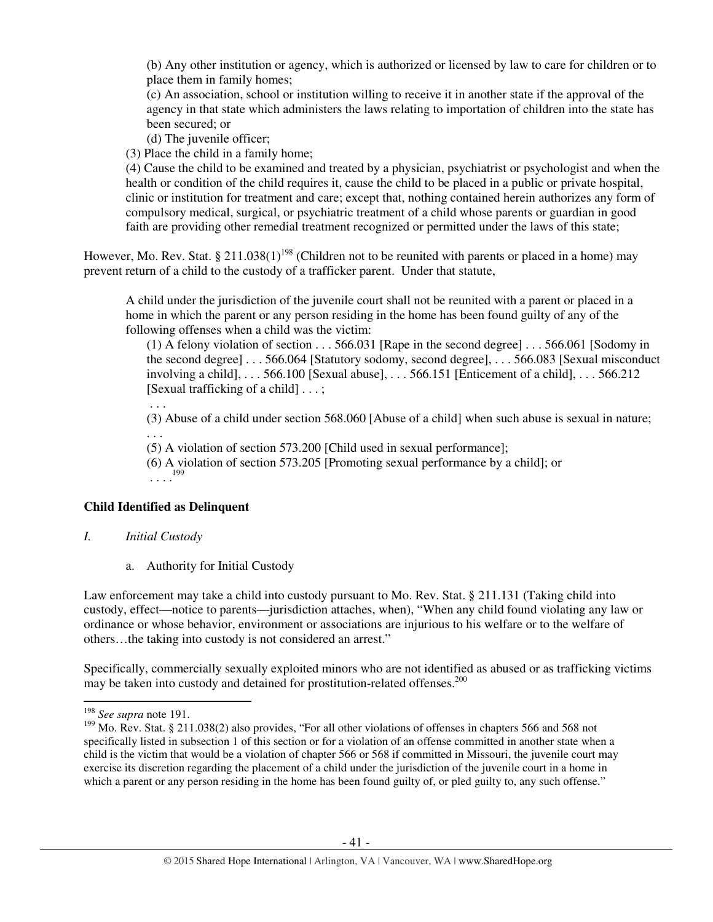(b) Any other institution or agency, which is authorized or licensed by law to care for children or to place them in family homes;

(c) An association, school or institution willing to receive it in another state if the approval of the agency in that state which administers the laws relating to importation of children into the state has been secured; or

(d) The juvenile officer;

(3) Place the child in a family home;

(4) Cause the child to be examined and treated by a physician, psychiatrist or psychologist and when the health or condition of the child requires it, cause the child to be placed in a public or private hospital, clinic or institution for treatment and care; except that, nothing contained herein authorizes any form of compulsory medical, surgical, or psychiatric treatment of a child whose parents or guardian in good faith are providing other remedial treatment recognized or permitted under the laws of this state;

However, Mo. Rev. Stat. § 211.038(1)<sup>198</sup> (Children not to be reunited with parents or placed in a home) may prevent return of a child to the custody of a trafficker parent. Under that statute,

A child under the jurisdiction of the juvenile court shall not be reunited with a parent or placed in a home in which the parent or any person residing in the home has been found guilty of any of the following offenses when a child was the victim:

(1) A felony violation of section . . . 566.031 [Rape in the second degree] . . . 566.061 [Sodomy in the second degree] . . . 566.064 [Statutory sodomy, second degree], . . . 566.083 [Sexual misconduct involving a child], . . . 566.100 [Sexual abuse], . . . 566.151 [Enticement of a child], . . . 566.212 [Sexual trafficking of a child] . . . ;

. . .

(3) Abuse of a child under section 568.060 [Abuse of a child] when such abuse is sexual in nature; . . .

(5) A violation of section 573.200 [Child used in sexual performance];

(6) A violation of section 573.205 [Promoting sexual performance by a child]; or  $\ldots$ <sup>199</sup>

## **Child Identified as Delinquent**

- *I. Initial Custody* 
	- a. Authority for Initial Custody

Law enforcement may take a child into custody pursuant to Mo. Rev. Stat. § 211.131 (Taking child into custody, effect—notice to parents—jurisdiction attaches, when), "When any child found violating any law or ordinance or whose behavior, environment or associations are injurious to his welfare or to the welfare of others…the taking into custody is not considered an arrest."

Specifically, commercially sexually exploited minors who are not identified as abused or as trafficking victims may be taken into custody and detained for prostitution-related offenses.<sup>200</sup>

<sup>198</sup> *See supra* note 191.

<sup>&</sup>lt;sup>199</sup> Mo. Rev. Stat. § 211.038(2) also provides, "For all other violations of offenses in chapters 566 and 568 not specifically listed in subsection 1 of this section or for a violation of an offense committed in another state when a child is the victim that would be a violation of chapter 566 or 568 if committed in Missouri, the juvenile court may exercise its discretion regarding the placement of a child under the jurisdiction of the juvenile court in a home in which a parent or any person residing in the home has been found guilty of, or pled guilty to, any such offense."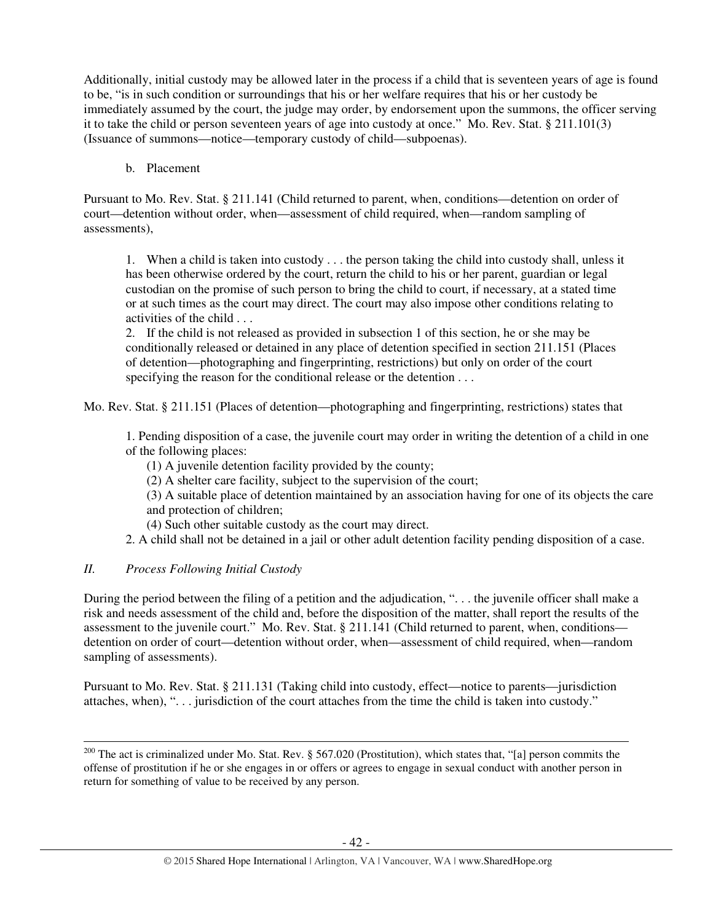Additionally, initial custody may be allowed later in the process if a child that is seventeen years of age is found to be, "is in such condition or surroundings that his or her welfare requires that his or her custody be immediately assumed by the court, the judge may order, by endorsement upon the summons, the officer serving it to take the child or person seventeen years of age into custody at once." Mo. Rev. Stat. § 211.101(3) (Issuance of summons—notice—temporary custody of child—subpoenas).

## b. Placement

Pursuant to Mo. Rev. Stat. § 211.141 (Child returned to parent, when, conditions—detention on order of court—detention without order, when—assessment of child required, when—random sampling of assessments),

1. When a child is taken into custody . . . the person taking the child into custody shall, unless it has been otherwise ordered by the court, return the child to his or her parent, guardian or legal custodian on the promise of such person to bring the child to court, if necessary, at a stated time or at such times as the court may direct. The court may also impose other conditions relating to activities of the child . . .

2. If the child is not released as provided in subsection 1 of this section, he or she may be conditionally released or detained in any place of detention specified in section 211.151 (Places of detention—photographing and fingerprinting, restrictions) but only on order of the court specifying the reason for the conditional release or the detention . . .

Mo. Rev. Stat. § 211.151 (Places of detention—photographing and fingerprinting, restrictions) states that

1. Pending disposition of a case, the juvenile court may order in writing the detention of a child in one of the following places:

- (1) A juvenile detention facility provided by the county;
- (2) A shelter care facility, subject to the supervision of the court;
- (3) A suitable place of detention maintained by an association having for one of its objects the care and protection of children;
- (4) Such other suitable custody as the court may direct.
- 2. A child shall not be detained in a jail or other adult detention facility pending disposition of a case.

# *II. Process Following Initial Custody*

 $\overline{a}$ 

During the period between the filing of a petition and the adjudication, ". . . the juvenile officer shall make a risk and needs assessment of the child and, before the disposition of the matter, shall report the results of the assessment to the juvenile court." Mo. Rev. Stat. § 211.141 (Child returned to parent, when, conditions detention on order of court—detention without order, when—assessment of child required, when—random sampling of assessments).

Pursuant to Mo. Rev. Stat. § 211.131 (Taking child into custody, effect—notice to parents—jurisdiction attaches, when), ". . . jurisdiction of the court attaches from the time the child is taken into custody."

<sup>&</sup>lt;sup>200</sup> The act is criminalized under Mo. Stat. Rev. § 567.020 (Prostitution), which states that, "[a] person commits the offense of prostitution if he or she engages in or offers or agrees to engage in sexual conduct with another person in return for something of value to be received by any person.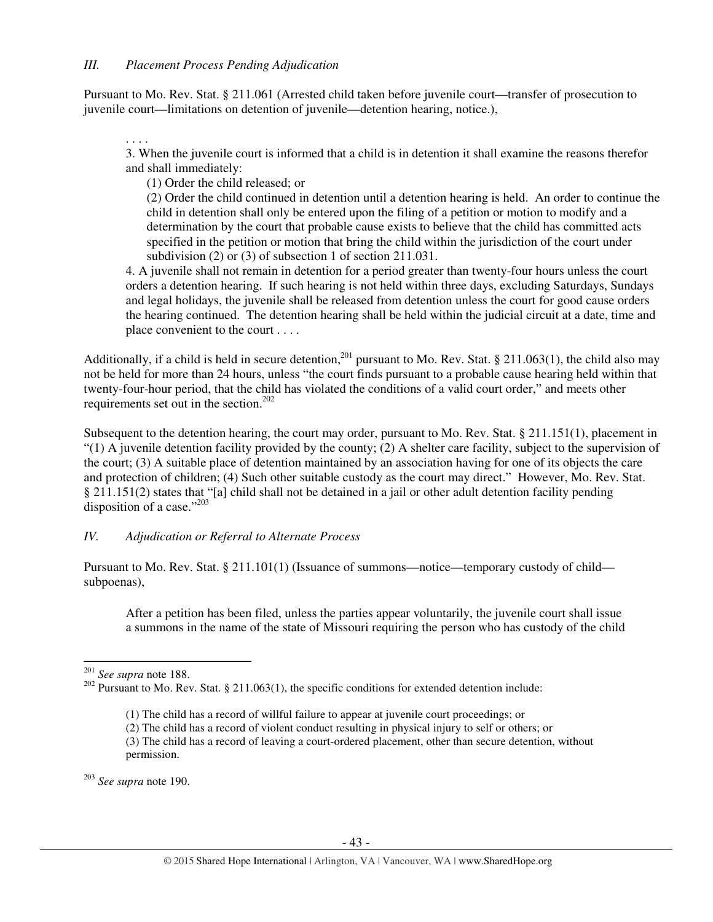Pursuant to Mo. Rev. Stat. § 211.061 (Arrested child taken before juvenile court—transfer of prosecution to juvenile court—limitations on detention of juvenile—detention hearing, notice.),

. . . . 3. When the juvenile court is informed that a child is in detention it shall examine the reasons therefor and shall immediately:

(1) Order the child released; or

(2) Order the child continued in detention until a detention hearing is held. An order to continue the child in detention shall only be entered upon the filing of a petition or motion to modify and a determination by the court that probable cause exists to believe that the child has committed acts specified in the petition or motion that bring the child within the jurisdiction of the court under subdivision (2) or (3) of subsection 1 of section 211.031.

4. A juvenile shall not remain in detention for a period greater than twenty-four hours unless the court orders a detention hearing. If such hearing is not held within three days, excluding Saturdays, Sundays and legal holidays, the juvenile shall be released from detention unless the court for good cause orders the hearing continued. The detention hearing shall be held within the judicial circuit at a date, time and place convenient to the court . . . .

Additionally, if a child is held in secure detention,<sup>201</sup> pursuant to Mo. Rev. Stat. § 211.063(1), the child also may not be held for more than 24 hours, unless "the court finds pursuant to a probable cause hearing held within that twenty-four-hour period, that the child has violated the conditions of a valid court order," and meets other requirements set out in the section. $202$ 

Subsequent to the detention hearing, the court may order, pursuant to Mo. Rev. Stat. § 211.151(1), placement in "(1) A juvenile detention facility provided by the county; (2) A shelter care facility, subject to the supervision of the court; (3) A suitable place of detention maintained by an association having for one of its objects the care and protection of children; (4) Such other suitable custody as the court may direct." However, Mo. Rev. Stat. § 211.151(2) states that "[a] child shall not be detained in a jail or other adult detention facility pending disposition of a case."203

# *IV. Adjudication or Referral to Alternate Process*

Pursuant to Mo. Rev. Stat. § 211.101(1) (Issuance of summons—notice—temporary custody of child subpoenas),

After a petition has been filed, unless the parties appear voluntarily, the juvenile court shall issue a summons in the name of the state of Missouri requiring the person who has custody of the child

 $\overline{a}$ 

<sup>203</sup> *See supra* note 190.

<sup>201</sup> *See supra* note 188.

<sup>&</sup>lt;sup>202</sup> Pursuant to Mo. Rev. Stat. § 211.063(1), the specific conditions for extended detention include:

 <sup>(1)</sup> The child has a record of willful failure to appear at juvenile court proceedings; or

<sup>(2)</sup> The child has a record of violent conduct resulting in physical injury to self or others; or

<sup>(3)</sup> The child has a record of leaving a court-ordered placement, other than secure detention, without permission.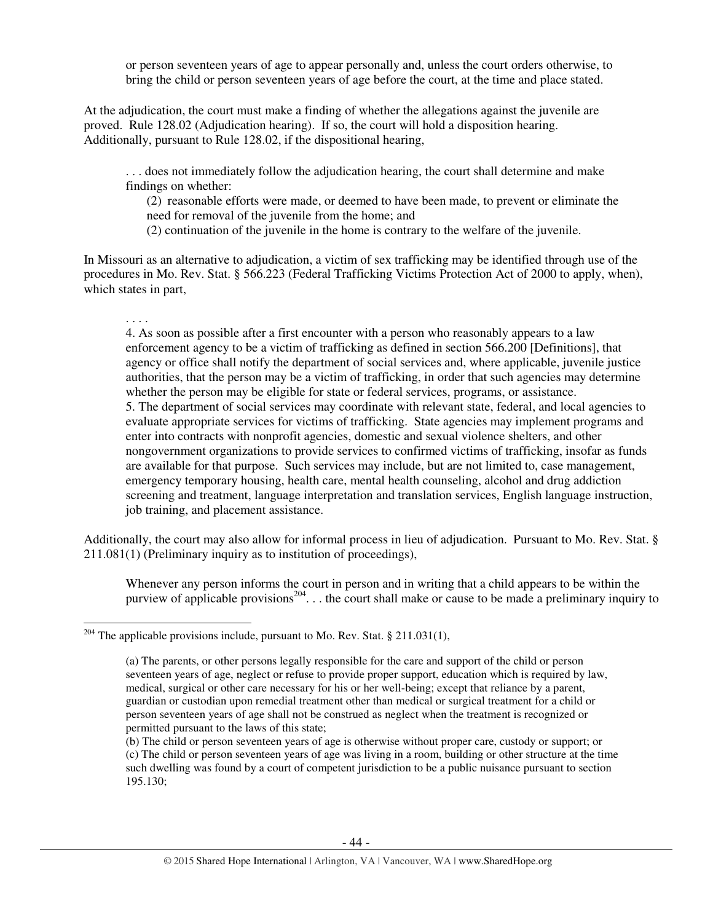or person seventeen years of age to appear personally and, unless the court orders otherwise, to bring the child or person seventeen years of age before the court, at the time and place stated.

At the adjudication, the court must make a finding of whether the allegations against the juvenile are proved. Rule 128.02 (Adjudication hearing). If so, the court will hold a disposition hearing. Additionally, pursuant to Rule 128.02, if the dispositional hearing,

. . . does not immediately follow the adjudication hearing, the court shall determine and make findings on whether:

(2) reasonable efforts were made, or deemed to have been made, to prevent or eliminate the need for removal of the juvenile from the home; and

(2) continuation of the juvenile in the home is contrary to the welfare of the juvenile.

In Missouri as an alternative to adjudication, a victim of sex trafficking may be identified through use of the procedures in Mo. Rev. Stat. § 566.223 (Federal Trafficking Victims Protection Act of 2000 to apply, when), which states in part,

#### . . . .

l

4. As soon as possible after a first encounter with a person who reasonably appears to a law enforcement agency to be a victim of trafficking as defined in section 566.200 [Definitions], that agency or office shall notify the department of social services and, where applicable, juvenile justice authorities, that the person may be a victim of trafficking, in order that such agencies may determine whether the person may be eligible for state or federal services, programs, or assistance. 5. The department of social services may coordinate with relevant state, federal, and local agencies to evaluate appropriate services for victims of trafficking. State agencies may implement programs and enter into contracts with nonprofit agencies, domestic and sexual violence shelters, and other nongovernment organizations to provide services to confirmed victims of trafficking, insofar as funds are available for that purpose. Such services may include, but are not limited to, case management, emergency temporary housing, health care, mental health counseling, alcohol and drug addiction screening and treatment, language interpretation and translation services, English language instruction, job training, and placement assistance.

Additionally, the court may also allow for informal process in lieu of adjudication. Pursuant to Mo. Rev. Stat. § 211.081(1) (Preliminary inquiry as to institution of proceedings),

Whenever any person informs the court in person and in writing that a child appears to be within the purview of applicable provisions<sup>204</sup>... the court shall make or cause to be made a preliminary inquiry to

<sup>&</sup>lt;sup>204</sup> The applicable provisions include, pursuant to Mo. Rev. Stat. § 211.031(1),

<sup>(</sup>a) The parents, or other persons legally responsible for the care and support of the child or person seventeen years of age, neglect or refuse to provide proper support, education which is required by law, medical, surgical or other care necessary for his or her well-being; except that reliance by a parent, guardian or custodian upon remedial treatment other than medical or surgical treatment for a child or person seventeen years of age shall not be construed as neglect when the treatment is recognized or permitted pursuant to the laws of this state;

<sup>(</sup>b) The child or person seventeen years of age is otherwise without proper care, custody or support; or (c) The child or person seventeen years of age was living in a room, building or other structure at the time such dwelling was found by a court of competent jurisdiction to be a public nuisance pursuant to section 195.130;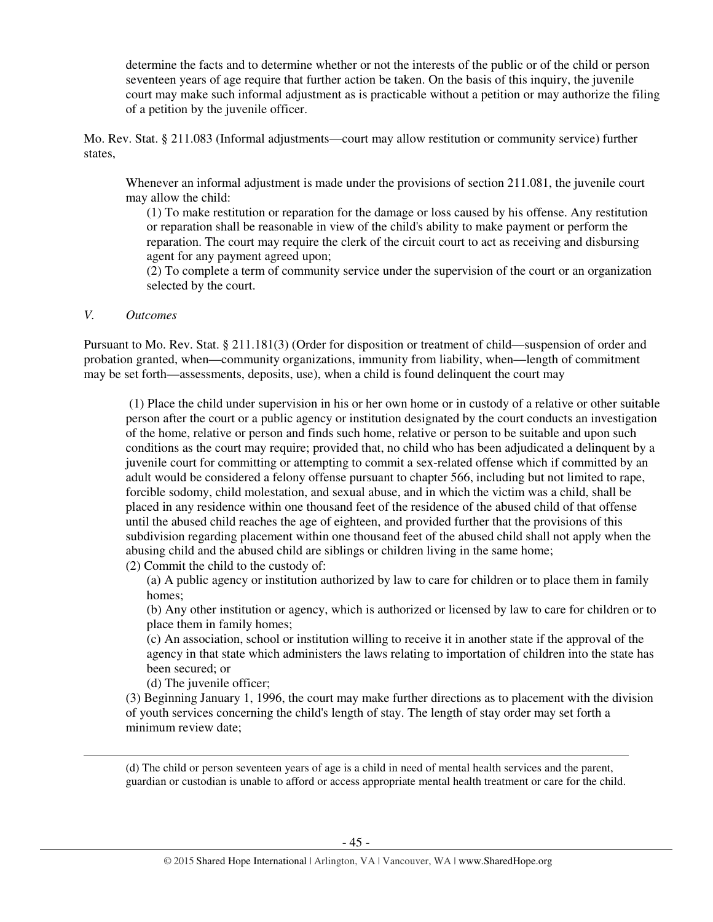determine the facts and to determine whether or not the interests of the public or of the child or person seventeen years of age require that further action be taken. On the basis of this inquiry, the juvenile court may make such informal adjustment as is practicable without a petition or may authorize the filing of a petition by the juvenile officer.

Mo. Rev. Stat. § 211.083 (Informal adjustments—court may allow restitution or community service) further states,

Whenever an informal adjustment is made under the provisions of section 211.081, the juvenile court may allow the child:

(1) To make restitution or reparation for the damage or loss caused by his offense. Any restitution or reparation shall be reasonable in view of the child's ability to make payment or perform the reparation. The court may require the clerk of the circuit court to act as receiving and disbursing agent for any payment agreed upon;

(2) To complete a term of community service under the supervision of the court or an organization selected by the court.

## *V. Outcomes*

 $\overline{a}$ 

Pursuant to Mo. Rev. Stat. § 211.181(3) (Order for disposition or treatment of child—suspension of order and probation granted, when—community organizations, immunity from liability, when—length of commitment may be set forth—assessments, deposits, use), when a child is found delinquent the court may

(1) Place the child under supervision in his or her own home or in custody of a relative or other suitable person after the court or a public agency or institution designated by the court conducts an investigation of the home, relative or person and finds such home, relative or person to be suitable and upon such conditions as the court may require; provided that, no child who has been adjudicated a delinquent by a juvenile court for committing or attempting to commit a sex-related offense which if committed by an adult would be considered a felony offense pursuant to chapter 566, including but not limited to rape, forcible sodomy, child molestation, and sexual abuse, and in which the victim was a child, shall be placed in any residence within one thousand feet of the residence of the abused child of that offense until the abused child reaches the age of eighteen, and provided further that the provisions of this subdivision regarding placement within one thousand feet of the abused child shall not apply when the abusing child and the abused child are siblings or children living in the same home;

(2) Commit the child to the custody of:

(a) A public agency or institution authorized by law to care for children or to place them in family homes;

(b) Any other institution or agency, which is authorized or licensed by law to care for children or to place them in family homes;

(c) An association, school or institution willing to receive it in another state if the approval of the agency in that state which administers the laws relating to importation of children into the state has been secured; or

(d) The juvenile officer;

(3) Beginning January 1, 1996, the court may make further directions as to placement with the division of youth services concerning the child's length of stay. The length of stay order may set forth a minimum review date;

(d) The child or person seventeen years of age is a child in need of mental health services and the parent, guardian or custodian is unable to afford or access appropriate mental health treatment or care for the child.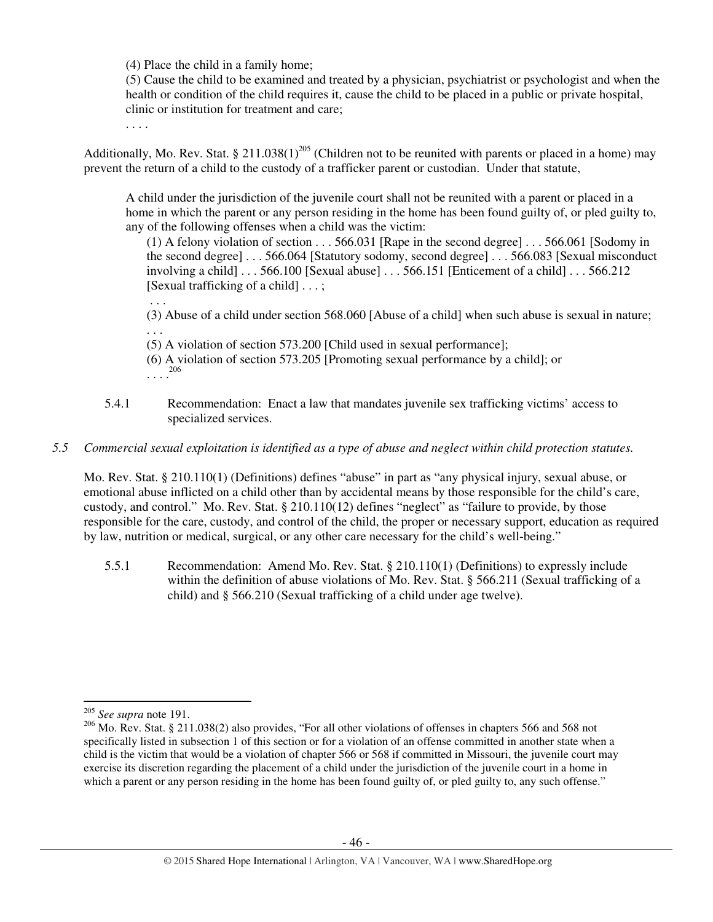(4) Place the child in a family home;

(5) Cause the child to be examined and treated by a physician, psychiatrist or psychologist and when the health or condition of the child requires it, cause the child to be placed in a public or private hospital, clinic or institution for treatment and care;

. . . .

. . .

Additionally, Mo. Rev. Stat. § 211.038(1)<sup>205</sup> (Children not to be reunited with parents or placed in a home) may prevent the return of a child to the custody of a trafficker parent or custodian. Under that statute,

A child under the jurisdiction of the juvenile court shall not be reunited with a parent or placed in a home in which the parent or any person residing in the home has been found guilty of, or pled guilty to, any of the following offenses when a child was the victim:

(1) A felony violation of section . . . 566.031 [Rape in the second degree] . . . 566.061 [Sodomy in the second degree] . . . 566.064 [Statutory sodomy, second degree] . . . 566.083 [Sexual misconduct involving a child]  $\dots$  566.100 [Sexual abuse]  $\dots$  566.151 [Enticement of a child]  $\dots$  566.212 [Sexual trafficking of a child] . . . ;

(3) Abuse of a child under section 568.060 [Abuse of a child] when such abuse is sexual in nature; . . .

(5) A violation of section 573.200 [Child used in sexual performance];

- (6) A violation of section 573.205 [Promoting sexual performance by a child]; or . . . . 206
	- 5.4.1 Recommendation: Enact a law that mandates juvenile sex trafficking victims' access to specialized services.

## *5.5 Commercial sexual exploitation is identified as a type of abuse and neglect within child protection statutes.*

Mo. Rev. Stat. § 210.110(1) (Definitions) defines "abuse" in part as "any physical injury, sexual abuse, or emotional abuse inflicted on a child other than by accidental means by those responsible for the child's care, custody, and control." Mo. Rev. Stat. § 210.110(12) defines "neglect" as "failure to provide, by those responsible for the care, custody, and control of the child, the proper or necessary support, education as required by law, nutrition or medical, surgical, or any other care necessary for the child's well-being."

5.5.1 Recommendation: Amend Mo. Rev. Stat. § 210.110(1) (Definitions) to expressly include within the definition of abuse violations of Mo. Rev. Stat. § 566.211 (Sexual trafficking of a child) and § 566.210 (Sexual trafficking of a child under age twelve).

<sup>205</sup> *See supra* note 191.

<sup>206</sup> Mo. Rev. Stat. § 211.038(2) also provides, "For all other violations of offenses in chapters 566 and 568 not specifically listed in subsection 1 of this section or for a violation of an offense committed in another state when a child is the victim that would be a violation of chapter 566 or 568 if committed in Missouri, the juvenile court may exercise its discretion regarding the placement of a child under the jurisdiction of the juvenile court in a home in which a parent or any person residing in the home has been found guilty of, or pled guilty to, any such offense."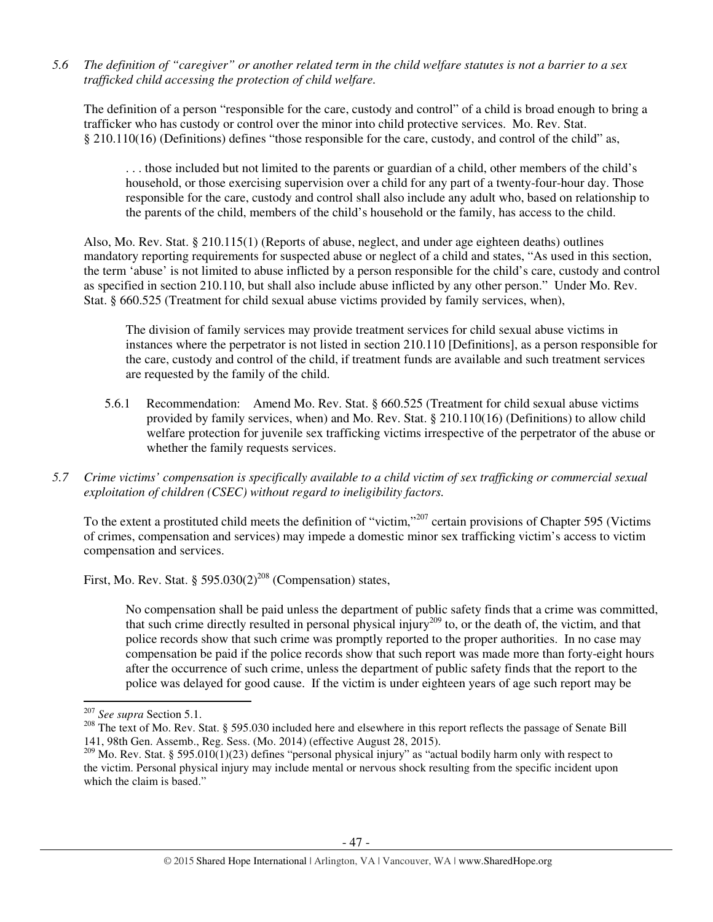*5.6 The definition of "caregiver" or another related term in the child welfare statutes is not a barrier to a sex trafficked child accessing the protection of child welfare.* 

The definition of a person "responsible for the care, custody and control" of a child is broad enough to bring a trafficker who has custody or control over the minor into child protective services. Mo. Rev. Stat. § 210.110(16) (Definitions) defines "those responsible for the care, custody, and control of the child" as,

. . . those included but not limited to the parents or guardian of a child, other members of the child's household, or those exercising supervision over a child for any part of a twenty-four-hour day. Those responsible for the care, custody and control shall also include any adult who, based on relationship to the parents of the child, members of the child's household or the family, has access to the child.

Also, Mo. Rev. Stat. § 210.115(1) (Reports of abuse, neglect, and under age eighteen deaths) outlines mandatory reporting requirements for suspected abuse or neglect of a child and states, "As used in this section, the term 'abuse' is not limited to abuse inflicted by a person responsible for the child's care, custody and control as specified in section 210.110, but shall also include abuse inflicted by any other person." Under Mo. Rev. Stat. § 660.525 (Treatment for child sexual abuse victims provided by family services, when),

The division of family services may provide treatment services for child sexual abuse victims in instances where the perpetrator is not listed in section 210.110 [Definitions], as a person responsible for the care, custody and control of the child, if treatment funds are available and such treatment services are requested by the family of the child.

- 5.6.1 Recommendation: Amend Mo. Rev. Stat. § 660.525 (Treatment for child sexual abuse victims provided by family services, when) and Mo. Rev. Stat. § 210.110(16) (Definitions) to allow child welfare protection for juvenile sex trafficking victims irrespective of the perpetrator of the abuse or whether the family requests services.
- *5.7 Crime victims' compensation is specifically available to a child victim of sex trafficking or commercial sexual exploitation of children (CSEC) without regard to ineligibility factors.*

To the extent a prostituted child meets the definition of "victim,"<sup>207</sup> certain provisions of Chapter 595 (Victims of crimes, compensation and services) may impede a domestic minor sex trafficking victim's access to victim compensation and services.

First, Mo. Rev. Stat. §  $595.030(2)^{208}$  (Compensation) states,

No compensation shall be paid unless the department of public safety finds that a crime was committed, that such crime directly resulted in personal physical injury<sup>209</sup> to, or the death of, the victim, and that police records show that such crime was promptly reported to the proper authorities. In no case may compensation be paid if the police records show that such report was made more than forty-eight hours after the occurrence of such crime, unless the department of public safety finds that the report to the police was delayed for good cause. If the victim is under eighteen years of age such report may be

<sup>207</sup> *See supra* Section 5.1.

<sup>&</sup>lt;sup>208</sup> The text of Mo. Rev. Stat. § 595.030 included here and elsewhere in this report reflects the passage of Senate Bill 141, 98th Gen. Assemb., Reg. Sess. (Mo. 2014) (effective August 28, 2015).

<sup>&</sup>lt;sup>209</sup> Mo. Rev. Stat. § 595.010(1)(23) defines "personal physical injury" as "actual bodily harm only with respect to the victim. Personal physical injury may include mental or nervous shock resulting from the specific incident upon which the claim is based."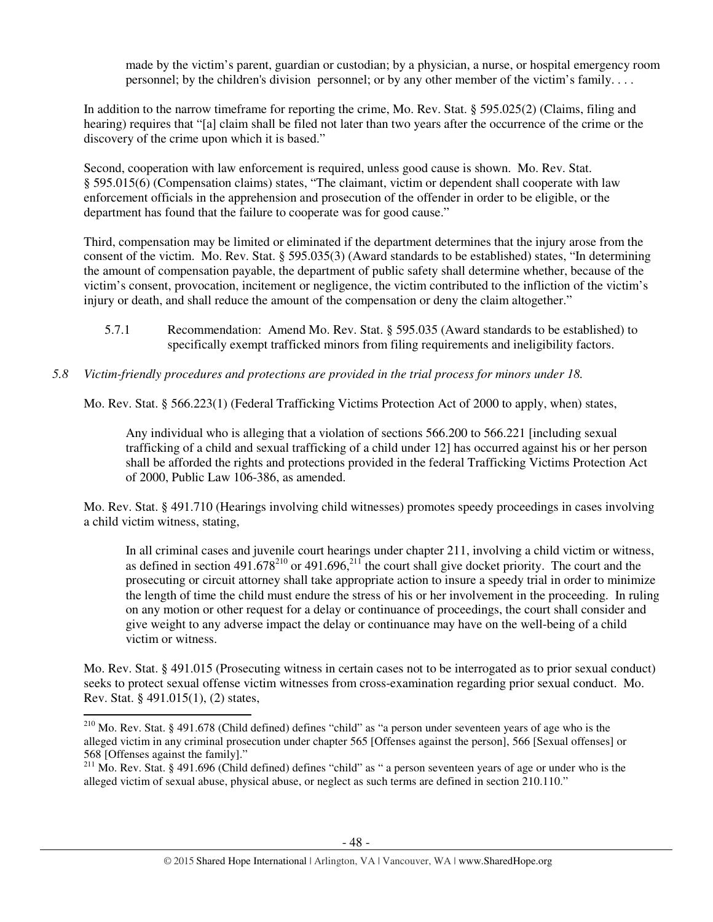made by the victim's parent, guardian or custodian; by a physician, a nurse, or hospital emergency room personnel; by the children's division personnel; or by any other member of the victim's family. . . .

In addition to the narrow timeframe for reporting the crime, Mo. Rev. Stat. § 595.025(2) (Claims, filing and hearing) requires that "[a] claim shall be filed not later than two years after the occurrence of the crime or the discovery of the crime upon which it is based."

Second, cooperation with law enforcement is required, unless good cause is shown. Mo. Rev. Stat. § 595.015(6) (Compensation claims) states, "The claimant, victim or dependent shall cooperate with law enforcement officials in the apprehension and prosecution of the offender in order to be eligible, or the department has found that the failure to cooperate was for good cause."

Third, compensation may be limited or eliminated if the department determines that the injury arose from the consent of the victim. Mo. Rev. Stat. § 595.035(3) (Award standards to be established) states, "In determining the amount of compensation payable, the department of public safety shall determine whether, because of the victim's consent, provocation, incitement or negligence, the victim contributed to the infliction of the victim's injury or death, and shall reduce the amount of the compensation or deny the claim altogether."

5.7.1 Recommendation: Amend Mo. Rev. Stat. § 595.035 (Award standards to be established) to specifically exempt trafficked minors from filing requirements and ineligibility factors.

# *5.8 Victim-friendly procedures and protections are provided in the trial process for minors under 18.*

Mo. Rev. Stat. § 566.223(1) (Federal Trafficking Victims Protection Act of 2000 to apply, when) states,

Any individual who is alleging that a violation of sections 566.200 to 566.221 [including sexual trafficking of a child and sexual trafficking of a child under 12] has occurred against his or her person shall be afforded the rights and protections provided in the federal Trafficking Victims Protection Act of 2000, Public Law 106-386, as amended.

Mo. Rev. Stat. § 491.710 (Hearings involving child witnesses) promotes speedy proceedings in cases involving a child victim witness, stating,

In all criminal cases and juvenile court hearings under chapter 211, involving a child victim or witness, as defined in section  $491.678^{210}$  or  $491.696$ ,<sup>211</sup> the court shall give docket priority. The court and the prosecuting or circuit attorney shall take appropriate action to insure a speedy trial in order to minimize the length of time the child must endure the stress of his or her involvement in the proceeding. In ruling on any motion or other request for a delay or continuance of proceedings, the court shall consider and give weight to any adverse impact the delay or continuance may have on the well-being of a child victim or witness.

Mo. Rev. Stat. § 491.015 (Prosecuting witness in certain cases not to be interrogated as to prior sexual conduct) seeks to protect sexual offense victim witnesses from cross-examination regarding prior sexual conduct. Mo. Rev. Stat. § 491.015(1), (2) states,  $\overline{a}$ 

<sup>210</sup> Mo. Rev. Stat. § 491.678 (Child defined) defines "child" as "a person under seventeen years of age who is the alleged victim in any criminal prosecution under chapter 565 [Offenses against the person], 566 [Sexual offenses] or 568 [Offenses against the family]."

 $211$  Mo. Rev. Stat. § 491.696 (Child defined) defines "child" as " a person seventeen years of age or under who is the alleged victim of sexual abuse, physical abuse, or neglect as such terms are defined in section 210.110."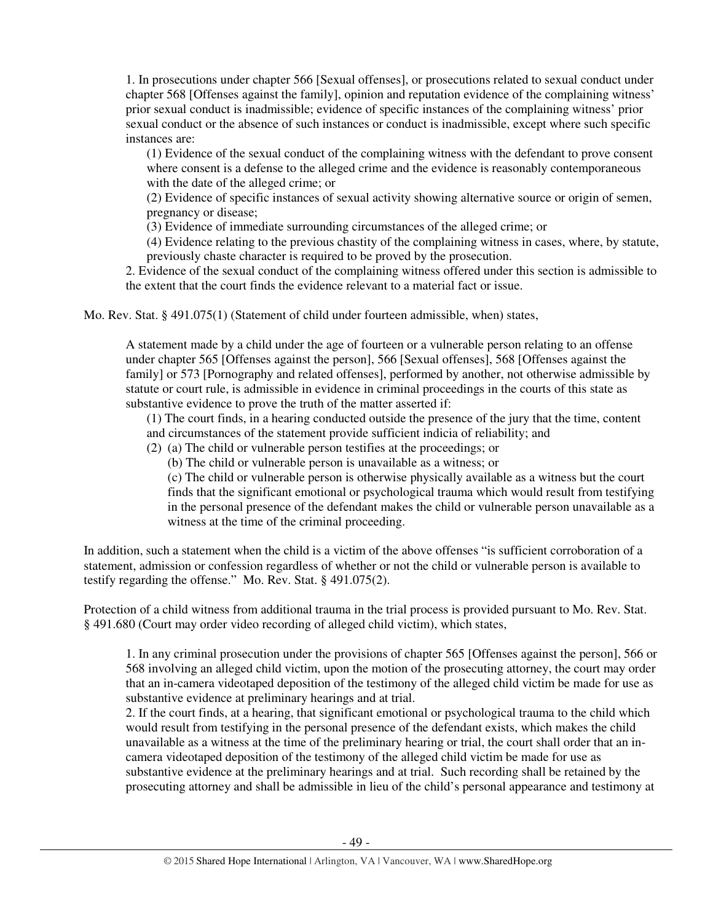1. In prosecutions under chapter 566 [Sexual offenses], or prosecutions related to sexual conduct under chapter 568 [Offenses against the family], opinion and reputation evidence of the complaining witness' prior sexual conduct is inadmissible; evidence of specific instances of the complaining witness' prior sexual conduct or the absence of such instances or conduct is inadmissible, except where such specific instances are:

(1) Evidence of the sexual conduct of the complaining witness with the defendant to prove consent where consent is a defense to the alleged crime and the evidence is reasonably contemporaneous with the date of the alleged crime; or

(2) Evidence of specific instances of sexual activity showing alternative source or origin of semen, pregnancy or disease;

(3) Evidence of immediate surrounding circumstances of the alleged crime; or

(4) Evidence relating to the previous chastity of the complaining witness in cases, where, by statute, previously chaste character is required to be proved by the prosecution.

2. Evidence of the sexual conduct of the complaining witness offered under this section is admissible to the extent that the court finds the evidence relevant to a material fact or issue.

Mo. Rev. Stat. § 491.075(1) (Statement of child under fourteen admissible, when) states,

A statement made by a child under the age of fourteen or a vulnerable person relating to an offense under chapter 565 [Offenses against the person], 566 [Sexual offenses], 568 [Offenses against the family] or 573 [Pornography and related offenses], performed by another, not otherwise admissible by statute or court rule, is admissible in evidence in criminal proceedings in the courts of this state as substantive evidence to prove the truth of the matter asserted if:

(1) The court finds, in a hearing conducted outside the presence of the jury that the time, content and circumstances of the statement provide sufficient indicia of reliability; and

- (2) (a) The child or vulnerable person testifies at the proceedings; or
	- (b) The child or vulnerable person is unavailable as a witness; or

(c) The child or vulnerable person is otherwise physically available as a witness but the court finds that the significant emotional or psychological trauma which would result from testifying in the personal presence of the defendant makes the child or vulnerable person unavailable as a witness at the time of the criminal proceeding.

In addition, such a statement when the child is a victim of the above offenses "is sufficient corroboration of a statement, admission or confession regardless of whether or not the child or vulnerable person is available to testify regarding the offense." Mo. Rev. Stat. § 491.075(2).

Protection of a child witness from additional trauma in the trial process is provided pursuant to Mo. Rev. Stat. § 491.680 (Court may order video recording of alleged child victim), which states,

1. In any criminal prosecution under the provisions of chapter 565 [Offenses against the person], 566 or 568 involving an alleged child victim, upon the motion of the prosecuting attorney, the court may order that an in-camera videotaped deposition of the testimony of the alleged child victim be made for use as substantive evidence at preliminary hearings and at trial.

2. If the court finds, at a hearing, that significant emotional or psychological trauma to the child which would result from testifying in the personal presence of the defendant exists, which makes the child unavailable as a witness at the time of the preliminary hearing or trial, the court shall order that an incamera videotaped deposition of the testimony of the alleged child victim be made for use as substantive evidence at the preliminary hearings and at trial. Such recording shall be retained by the prosecuting attorney and shall be admissible in lieu of the child's personal appearance and testimony at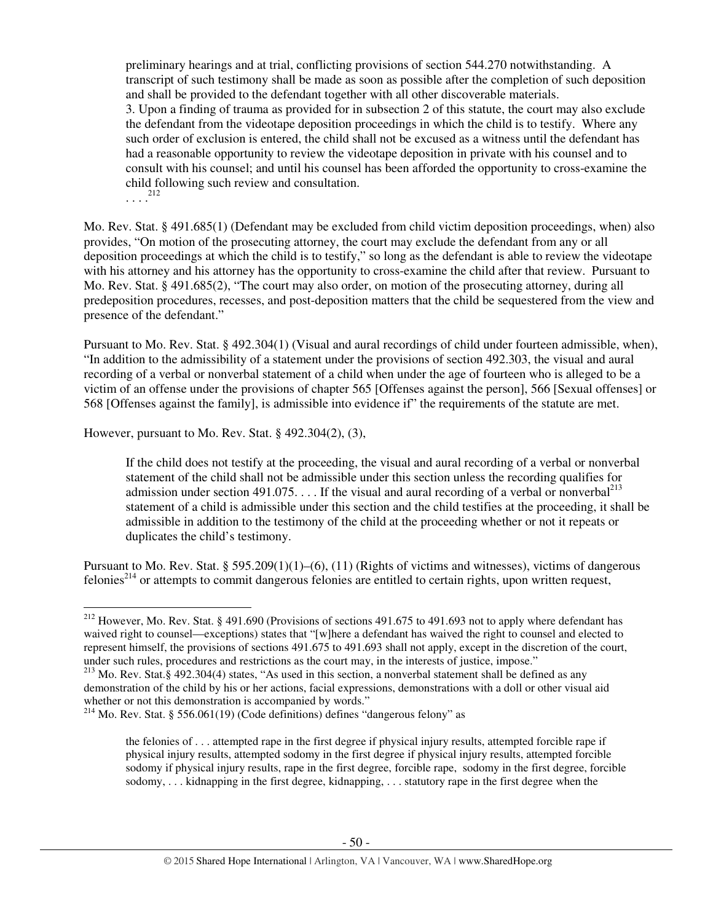preliminary hearings and at trial, conflicting provisions of section 544.270 notwithstanding. A transcript of such testimony shall be made as soon as possible after the completion of such deposition and shall be provided to the defendant together with all other discoverable materials. 3. Upon a finding of trauma as provided for in subsection 2 of this statute, the court may also exclude the defendant from the videotape deposition proceedings in which the child is to testify. Where any such order of exclusion is entered, the child shall not be excused as a witness until the defendant has had a reasonable opportunity to review the videotape deposition in private with his counsel and to consult with his counsel; and until his counsel has been afforded the opportunity to cross-examine the child following such review and consultation.  $\ldots$ <sup>212</sup>

Mo. Rev. Stat. § 491.685(1) (Defendant may be excluded from child victim deposition proceedings, when) also provides, "On motion of the prosecuting attorney, the court may exclude the defendant from any or all deposition proceedings at which the child is to testify," so long as the defendant is able to review the videotape with his attorney and his attorney has the opportunity to cross-examine the child after that review. Pursuant to Mo. Rev. Stat. § 491.685(2), "The court may also order, on motion of the prosecuting attorney, during all predeposition procedures, recesses, and post-deposition matters that the child be sequestered from the view and presence of the defendant."

Pursuant to Mo. Rev. Stat. § 492.304(1) (Visual and aural recordings of child under fourteen admissible, when), "In addition to the admissibility of a statement under the provisions of section 492.303, the visual and aural recording of a verbal or nonverbal statement of a child when under the age of fourteen who is alleged to be a victim of an offense under the provisions of chapter 565 [Offenses against the person], 566 [Sexual offenses] or 568 [Offenses against the family], is admissible into evidence if" the requirements of the statute are met.

However, pursuant to Mo. Rev. Stat. § 492.304(2), (3),

l

If the child does not testify at the proceeding, the visual and aural recording of a verbal or nonverbal statement of the child shall not be admissible under this section unless the recording qualifies for admission under section 491.075. . . . If the visual and aural recording of a verbal or nonverbal<sup>213</sup> statement of a child is admissible under this section and the child testifies at the proceeding, it shall be admissible in addition to the testimony of the child at the proceeding whether or not it repeats or duplicates the child's testimony.

Pursuant to Mo. Rev. Stat. § 595.209(1)(1)–(6), (11) (Rights of victims and witnesses), victims of dangerous felonies<sup>214</sup> or attempts to commit dangerous felonies are entitled to certain rights, upon written request,

<sup>&</sup>lt;sup>212</sup> However, Mo. Rev. Stat. § 491.690 (Provisions of sections 491.675 to 491.693 not to apply where defendant has waived right to counsel—exceptions) states that "[w]here a defendant has waived the right to counsel and elected to represent himself, the provisions of sections 491.675 to 491.693 shall not apply, except in the discretion of the court, under such rules, procedures and restrictions as the court may, in the interests of justice, impose."

<sup>213</sup> Mo. Rev. Stat.§ 492.304(4) states, "As used in this section, a nonverbal statement shall be defined as any demonstration of the child by his or her actions, facial expressions, demonstrations with a doll or other visual aid whether or not this demonstration is accompanied by words."

 $2^{14}$  Mo. Rev. Stat. § 556.061(19) (Code definitions) defines "dangerous felony" as

the felonies of . . . attempted rape in the first degree if physical injury results, attempted forcible rape if physical injury results, attempted sodomy in the first degree if physical injury results, attempted forcible sodomy if physical injury results, rape in the first degree, forcible rape, sodomy in the first degree, forcible sodomy, . . . kidnapping in the first degree, kidnapping, . . . statutory rape in the first degree when the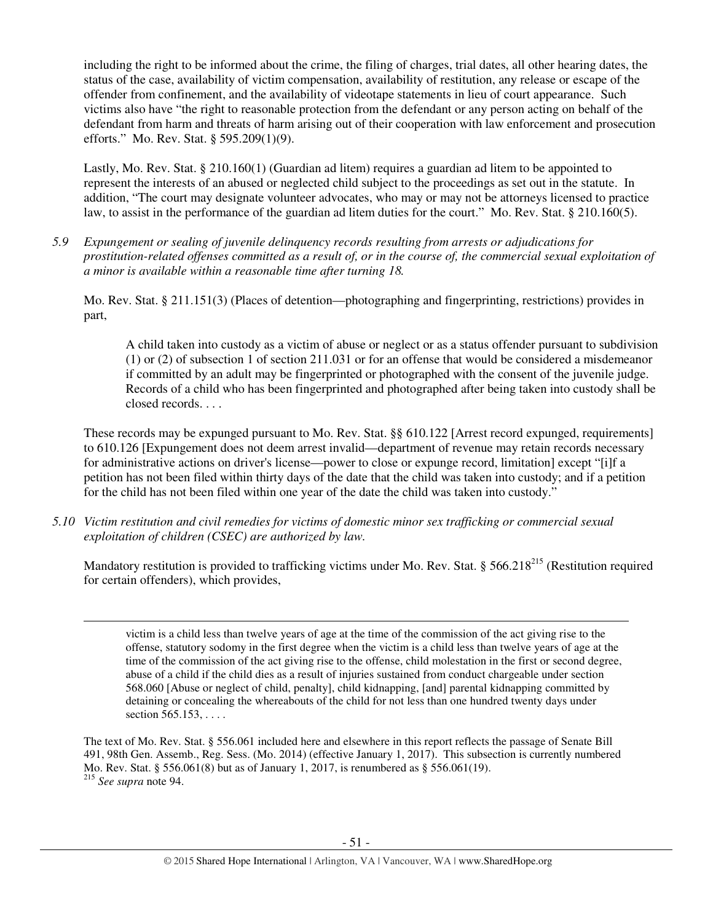including the right to be informed about the crime, the filing of charges, trial dates, all other hearing dates, the status of the case, availability of victim compensation, availability of restitution, any release or escape of the offender from confinement, and the availability of videotape statements in lieu of court appearance. Such victims also have "the right to reasonable protection from the defendant or any person acting on behalf of the defendant from harm and threats of harm arising out of their cooperation with law enforcement and prosecution efforts." Mo. Rev. Stat. § 595.209(1)(9).

Lastly, Mo. Rev. Stat. § 210.160(1) (Guardian ad litem) requires a guardian ad litem to be appointed to represent the interests of an abused or neglected child subject to the proceedings as set out in the statute. In addition, "The court may designate volunteer advocates, who may or may not be attorneys licensed to practice law, to assist in the performance of the guardian ad litem duties for the court." Mo. Rev. Stat. § 210.160(5).

*5.9 Expungement or sealing of juvenile delinquency records resulting from arrests or adjudications for prostitution-related offenses committed as a result of, or in the course of, the commercial sexual exploitation of a minor is available within a reasonable time after turning 18.* 

Mo. Rev. Stat. § 211.151(3) (Places of detention—photographing and fingerprinting, restrictions) provides in part,

A child taken into custody as a victim of abuse or neglect or as a status offender pursuant to subdivision (1) or (2) of subsection 1 of section 211.031 or for an offense that would be considered a misdemeanor if committed by an adult may be fingerprinted or photographed with the consent of the juvenile judge. Records of a child who has been fingerprinted and photographed after being taken into custody shall be closed records. . . .

These records may be expunged pursuant to Mo. Rev. Stat. §§ 610.122 [Arrest record expunged, requirements] to 610.126 [Expungement does not deem arrest invalid—department of revenue may retain records necessary for administrative actions on driver's license—power to close or expunge record, limitation] except "[i]f a petition has not been filed within thirty days of the date that the child was taken into custody; and if a petition for the child has not been filed within one year of the date the child was taken into custody."

*5.10 Victim restitution and civil remedies for victims of domestic minor sex trafficking or commercial sexual exploitation of children (CSEC) are authorized by law.* 

l

Mandatory restitution is provided to trafficking victims under Mo. Rev. Stat. § 566.218<sup>215</sup> (Restitution required for certain offenders), which provides,

victim is a child less than twelve years of age at the time of the commission of the act giving rise to the offense, statutory sodomy in the first degree when the victim is a child less than twelve years of age at the time of the commission of the act giving rise to the offense, child molestation in the first or second degree, abuse of a child if the child dies as a result of injuries sustained from conduct chargeable under section 568.060 [Abuse or neglect of child, penalty], child kidnapping, [and] parental kidnapping committed by detaining or concealing the whereabouts of the child for not less than one hundred twenty days under section 565.153, . . . .

The text of Mo. Rev. Stat. § 556.061 included here and elsewhere in this report reflects the passage of Senate Bill 491, 98th Gen. Assemb., Reg. Sess. (Mo. 2014) (effective January 1, 2017). This subsection is currently numbered Mo. Rev. Stat. § 556.061(8) but as of January 1, 2017, is renumbered as § 556.061(19). <sup>215</sup> *See supra* note 94.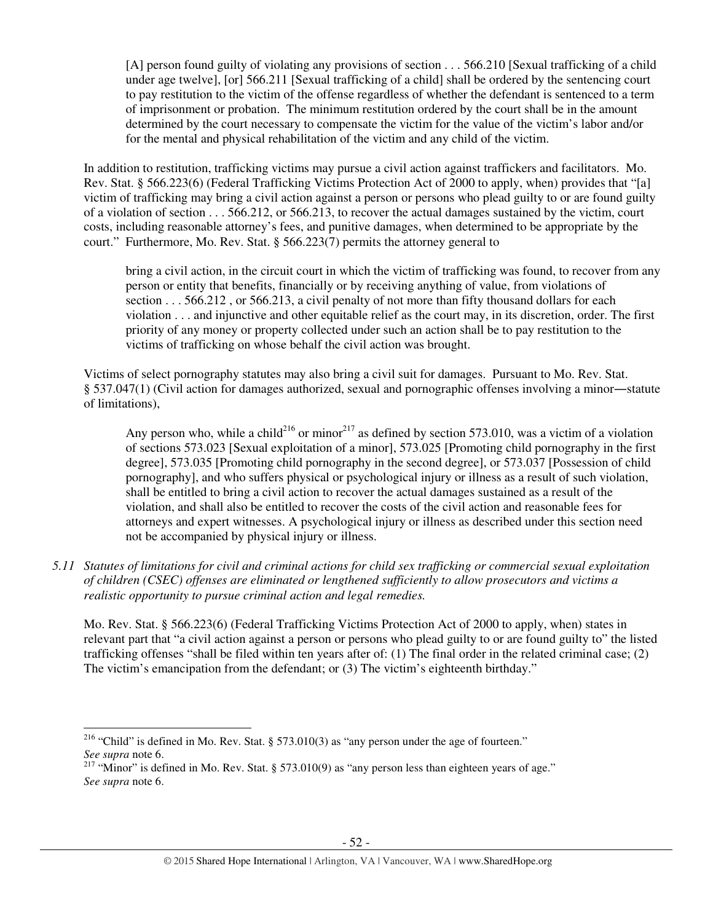[A] person found guilty of violating any provisions of section . . . 566.210 [Sexual trafficking of a child under age twelve], [or] 566.211 [Sexual trafficking of a child] shall be ordered by the sentencing court to pay restitution to the victim of the offense regardless of whether the defendant is sentenced to a term of imprisonment or probation. The minimum restitution ordered by the court shall be in the amount determined by the court necessary to compensate the victim for the value of the victim's labor and/or for the mental and physical rehabilitation of the victim and any child of the victim.

In addition to restitution, trafficking victims may pursue a civil action against traffickers and facilitators. Mo. Rev. Stat. § 566.223(6) (Federal Trafficking Victims Protection Act of 2000 to apply, when) provides that "[a] victim of trafficking may bring a civil action against a person or persons who plead guilty to or are found guilty of a violation of section . . . 566.212, or 566.213, to recover the actual damages sustained by the victim, court costs, including reasonable attorney's fees, and punitive damages, when determined to be appropriate by the court." Furthermore, Mo. Rev. Stat. § 566.223(7) permits the attorney general to

bring a civil action, in the circuit court in which the victim of trafficking was found, to recover from any person or entity that benefits, financially or by receiving anything of value, from violations of section . . . 566.212 , or 566.213, a civil penalty of not more than fifty thousand dollars for each violation . . . and injunctive and other equitable relief as the court may, in its discretion, order. The first priority of any money or property collected under such an action shall be to pay restitution to the victims of trafficking on whose behalf the civil action was brought.

Victims of select pornography statutes may also bring a civil suit for damages. Pursuant to Mo. Rev. Stat. § 537.047(1) (Civil action for damages authorized, sexual and pornographic offenses involving a minor―statute of limitations),

Any person who, while a child<sup>216</sup> or minor<sup>217</sup> as defined by section 573.010, was a victim of a violation of sections 573.023 [Sexual exploitation of a minor], 573.025 [Promoting child pornography in the first degree], 573.035 [Promoting child pornography in the second degree], or 573.037 [Possession of child pornography], and who suffers physical or psychological injury or illness as a result of such violation, shall be entitled to bring a civil action to recover the actual damages sustained as a result of the violation, and shall also be entitled to recover the costs of the civil action and reasonable fees for attorneys and expert witnesses. A psychological injury or illness as described under this section need not be accompanied by physical injury or illness.

*5.11 Statutes of limitations for civil and criminal actions for child sex trafficking or commercial sexual exploitation of children (CSEC) offenses are eliminated or lengthened sufficiently to allow prosecutors and victims a realistic opportunity to pursue criminal action and legal remedies.* 

Mo. Rev. Stat. § 566.223(6) (Federal Trafficking Victims Protection Act of 2000 to apply, when) states in relevant part that "a civil action against a person or persons who plead guilty to or are found guilty to" the listed trafficking offenses "shall be filed within ten years after of: (1) The final order in the related criminal case; (2) The victim's emancipation from the defendant; or (3) The victim's eighteenth birthday."

<sup>&</sup>lt;sup>216</sup> "Child" is defined in Mo. Rev. Stat. § 573.010(3) as "any person under the age of fourteen." *See supra* note 6.

<sup>&</sup>lt;sup>217</sup> "Minor" is defined in Mo. Rev. Stat. § 573.010(9) as "any person less than eighteen years of age." *See supra* note 6.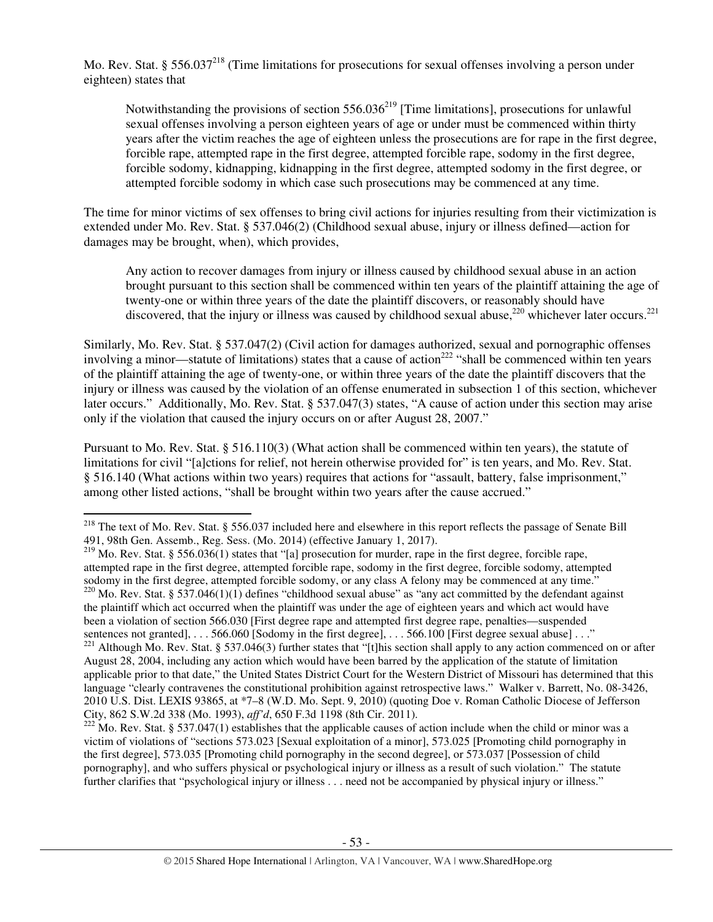Mo. Rev. Stat. § 556.037<sup>218</sup> (Time limitations for prosecutions for sexual offenses involving a person under eighteen) states that

Notwithstanding the provisions of section  $556.036^{219}$  [Time limitations], prosecutions for unlawful sexual offenses involving a person eighteen years of age or under must be commenced within thirty years after the victim reaches the age of eighteen unless the prosecutions are for rape in the first degree, forcible rape, attempted rape in the first degree, attempted forcible rape, sodomy in the first degree, forcible sodomy, kidnapping, kidnapping in the first degree, attempted sodomy in the first degree, or attempted forcible sodomy in which case such prosecutions may be commenced at any time.

The time for minor victims of sex offenses to bring civil actions for injuries resulting from their victimization is extended under Mo. Rev. Stat. § 537.046(2) (Childhood sexual abuse, injury or illness defined—action for damages may be brought, when), which provides,

Any action to recover damages from injury or illness caused by childhood sexual abuse in an action brought pursuant to this section shall be commenced within ten years of the plaintiff attaining the age of twenty-one or within three years of the date the plaintiff discovers, or reasonably should have discovered, that the injury or illness was caused by childhood sexual abuse,  $220$  whichever later occurs.  $221$ 

Similarly, Mo. Rev. Stat. § 537.047(2) (Civil action for damages authorized, sexual and pornographic offenses involving a minor—statute of limitations) states that a cause of action<sup>222</sup> "shall be commenced within ten years of the plaintiff attaining the age of twenty-one, or within three years of the date the plaintiff discovers that the injury or illness was caused by the violation of an offense enumerated in subsection 1 of this section, whichever later occurs." Additionally, Mo. Rev. Stat. § 537.047(3) states, "A cause of action under this section may arise only if the violation that caused the injury occurs on or after August 28, 2007."

Pursuant to Mo. Rev. Stat. § 516.110(3) (What action shall be commenced within ten years), the statute of limitations for civil "[a]ctions for relief, not herein otherwise provided for" is ten years, and Mo. Rev. Stat. § 516.140 (What actions within two years) requires that actions for "assault, battery, false imprisonment," among other listed actions, "shall be brought within two years after the cause accrued."

l

<sup>&</sup>lt;sup>218</sup> The text of Mo. Rev. Stat. § 556.037 included here and elsewhere in this report reflects the passage of Senate Bill 491, 98th Gen. Assemb., Reg. Sess. (Mo. 2014) (effective January 1, 2017).

<sup>&</sup>lt;sup>219</sup> Mo. Rev. Stat. § 556.036(1) states that "[a] prosecution for murder, rape in the first degree, forcible rape, attempted rape in the first degree, attempted forcible rape, sodomy in the first degree, forcible sodomy, attempted sodomy in the first degree, attempted forcible sodomy, or any class A felony may be commenced at any time."  $220$  Mo. Rev. Stat. § 537.046(1)(1) defines "childhood sexual abuse" as "any act committed by the defendant against the plaintiff which act occurred when the plaintiff was under the age of eighteen years and which act would have been a violation of section 566.030 [First degree rape and attempted first degree rape, penalties—suspended sentences not granted], . . . 566.060 [Sodomy in the first degree], . . . 566.100 [First degree sexual abuse] . . ."

 $^{221}$  Although Mo. Rev. Stat. § 537.046(3) further states that "[t]his section shall apply to any action commenced on or after August 28, 2004, including any action which would have been barred by the application of the statute of limitation applicable prior to that date," the United States District Court for the Western District of Missouri has determined that this language "clearly contravenes the constitutional prohibition against retrospective laws." Walker v. Barrett, No. 08-3426, 2010 U.S. Dist. LEXIS 93865, at \*7–8 (W.D. Mo. Sept. 9, 2010) (quoting Doe v. Roman Catholic Diocese of Jefferson City, 862 S.W.2d 338 (Mo. 1993), *aff'd*, 650 F.3d 1198 (8th Cir. 2011).

 $222$  Mo. Rev. Stat. § 537.047(1) establishes that the applicable causes of action include when the child or minor was a victim of violations of "sections 573.023 [Sexual exploitation of a minor], 573.025 [Promoting child pornography in the first degree], 573.035 [Promoting child pornography in the second degree], or 573.037 [Possession of child pornography], and who suffers physical or psychological injury or illness as a result of such violation." The statute further clarifies that "psychological injury or illness . . . need not be accompanied by physical injury or illness."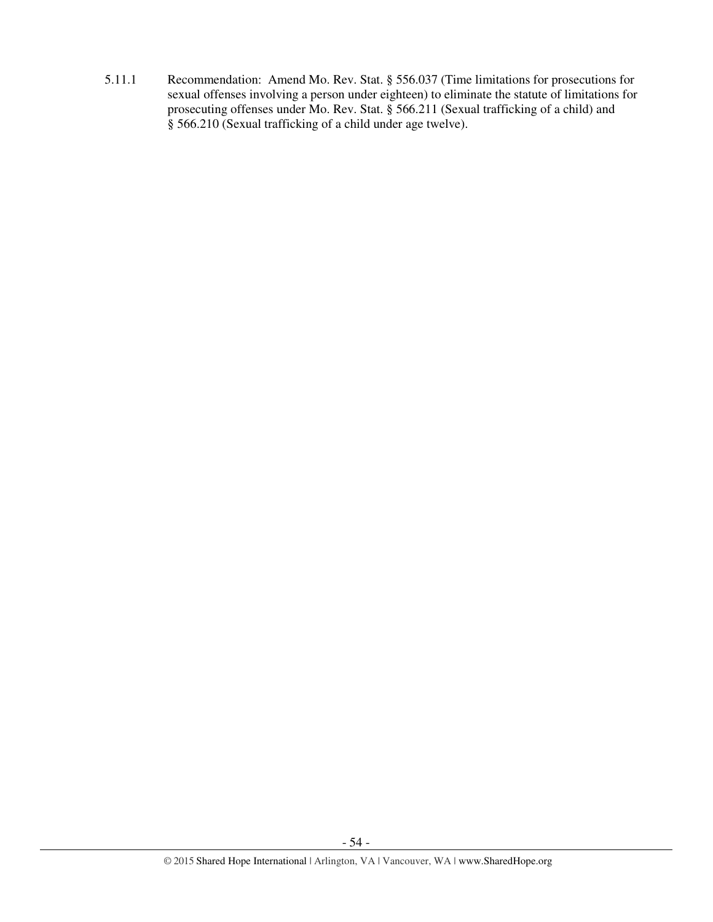5.11.1 Recommendation: Amend Mo. Rev. Stat. § 556.037 (Time limitations for prosecutions for sexual offenses involving a person under eighteen) to eliminate the statute of limitations for prosecuting offenses under Mo. Rev. Stat. § 566.211 (Sexual trafficking of a child) and § 566.210 (Sexual trafficking of a child under age twelve).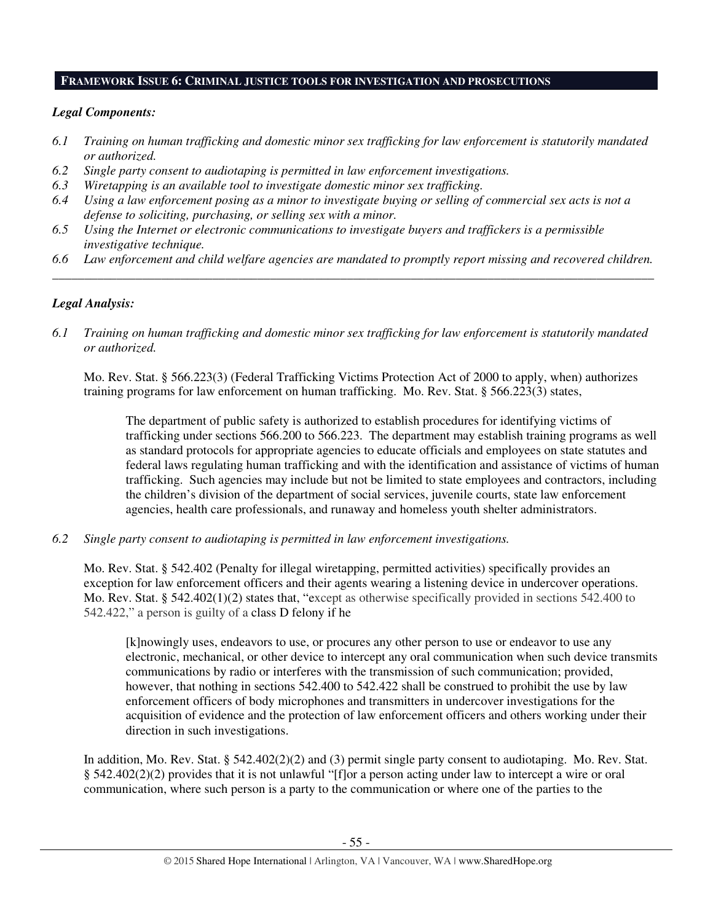### **FRAMEWORK ISSUE 6: CRIMINAL JUSTICE TOOLS FOR INVESTIGATION AND PROSECUTIONS**

## *Legal Components:*

- *6.1 Training on human trafficking and domestic minor sex trafficking for law enforcement is statutorily mandated or authorized.*
- *6.2 Single party consent to audiotaping is permitted in law enforcement investigations.*
- *6.3 Wiretapping is an available tool to investigate domestic minor sex trafficking.*
- *6.4 Using a law enforcement posing as a minor to investigate buying or selling of commercial sex acts is not a defense to soliciting, purchasing, or selling sex with a minor.*
- *6.5 Using the Internet or electronic communications to investigate buyers and traffickers is a permissible investigative technique.*
- *6.6 Law enforcement and child welfare agencies are mandated to promptly report missing and recovered children. \_\_\_\_\_\_\_\_\_\_\_\_\_\_\_\_\_\_\_\_\_\_\_\_\_\_\_\_\_\_\_\_\_\_\_\_\_\_\_\_\_\_\_\_\_\_\_\_\_\_\_\_\_\_\_\_\_\_\_\_\_\_\_\_\_\_\_\_\_\_\_\_\_\_\_\_\_\_\_\_\_\_\_\_\_\_\_\_\_\_\_\_\_\_*

# *Legal Analysis:*

*6.1 Training on human trafficking and domestic minor sex trafficking for law enforcement is statutorily mandated or authorized.*

Mo. Rev. Stat. § 566.223(3) (Federal Trafficking Victims Protection Act of 2000 to apply, when) authorizes training programs for law enforcement on human trafficking. Mo. Rev. Stat. § 566.223(3) states,

The department of public safety is authorized to establish procedures for identifying victims of trafficking under sections 566.200 to 566.223. The department may establish training programs as well as standard protocols for appropriate agencies to educate officials and employees on state statutes and federal laws regulating human trafficking and with the identification and assistance of victims of human trafficking. Such agencies may include but not be limited to state employees and contractors, including the children's division of the department of social services, juvenile courts, state law enforcement agencies, health care professionals, and runaway and homeless youth shelter administrators.

*6.2 Single party consent to audiotaping is permitted in law enforcement investigations.* 

Mo. Rev. Stat. § 542.402 (Penalty for illegal wiretapping, permitted activities) specifically provides an exception for law enforcement officers and their agents wearing a listening device in undercover operations. Mo. Rev. Stat. § 542.402(1)(2) states that, "except as otherwise specifically provided in sections 542.400 to 542.422," a person is guilty of a class D felony if he

[k]nowingly uses, endeavors to use, or procures any other person to use or endeavor to use any electronic, mechanical, or other device to intercept any oral communication when such device transmits communications by radio or interferes with the transmission of such communication; provided, however, that nothing in sections 542.400 to 542.422 shall be construed to prohibit the use by law enforcement officers of body microphones and transmitters in undercover investigations for the acquisition of evidence and the protection of law enforcement officers and others working under their direction in such investigations.

In addition, Mo. Rev. Stat. § 542.402(2)(2) and (3) permit single party consent to audiotaping. Mo. Rev. Stat. § 542.402(2)(2) provides that it is not unlawful "[f]or a person acting under law to intercept a wire or oral communication, where such person is a party to the communication or where one of the parties to the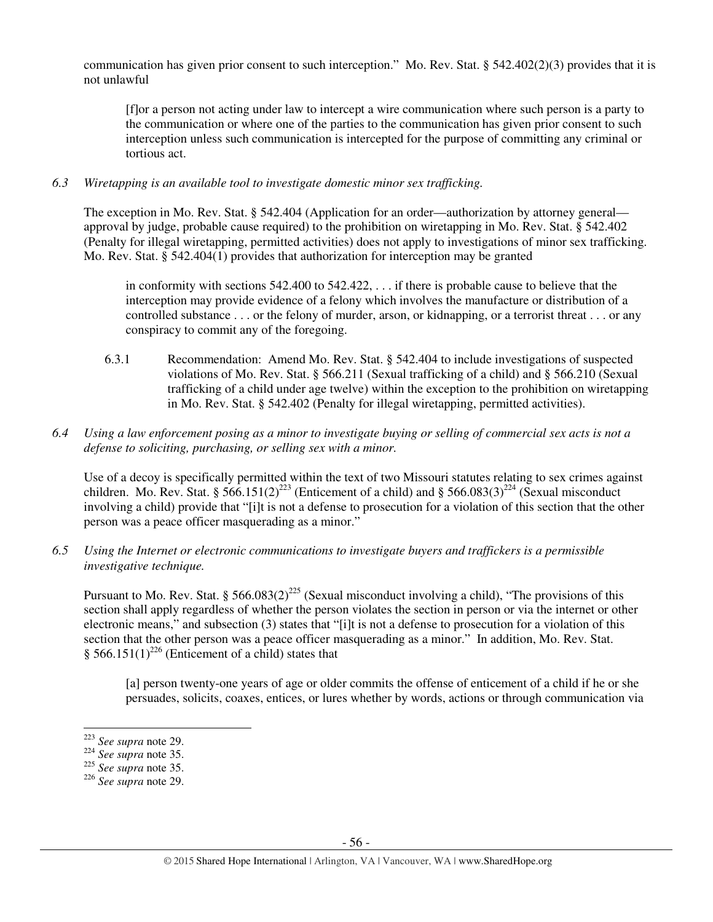communication has given prior consent to such interception." Mo. Rev. Stat. §  $542.402(2)(3)$  provides that it is not unlawful

[f]or a person not acting under law to intercept a wire communication where such person is a party to the communication or where one of the parties to the communication has given prior consent to such interception unless such communication is intercepted for the purpose of committing any criminal or tortious act.

## *6.3 Wiretapping is an available tool to investigate domestic minor sex trafficking.*

The exception in Mo. Rev. Stat. § 542.404 (Application for an order—authorization by attorney general approval by judge, probable cause required) to the prohibition on wiretapping in Mo. Rev. Stat. § 542.402 (Penalty for illegal wiretapping, permitted activities) does not apply to investigations of minor sex trafficking. Mo. Rev. Stat. § 542.404(1) provides that authorization for interception may be granted

in conformity with sections 542.400 to 542.422, . . . if there is probable cause to believe that the interception may provide evidence of a felony which involves the manufacture or distribution of a controlled substance . . . or the felony of murder, arson, or kidnapping, or a terrorist threat . . . or any conspiracy to commit any of the foregoing.

6.3.1 Recommendation: Amend Mo. Rev. Stat. § 542.404 to include investigations of suspected violations of Mo. Rev. Stat. § 566.211 (Sexual trafficking of a child) and § 566.210 (Sexual trafficking of a child under age twelve) within the exception to the prohibition on wiretapping in Mo. Rev. Stat. § 542.402 (Penalty for illegal wiretapping, permitted activities).

## *6.4 Using a law enforcement posing as a minor to investigate buying or selling of commercial sex acts is not a defense to soliciting, purchasing, or selling sex with a minor.*

Use of a decoy is specifically permitted within the text of two Missouri statutes relating to sex crimes against children. Mo. Rev. Stat. § 566.151(2)<sup>223</sup> (Enticement of a child) and § 566.083(3)<sup>224</sup> (Sexual misconduct involving a child) provide that "[i]t is not a defense to prosecution for a violation of this section that the other person was a peace officer masquerading as a minor."

*6.5 Using the Internet or electronic communications to investigate buyers and traffickers is a permissible investigative technique.* 

Pursuant to Mo. Rev. Stat. § 566.083(2)<sup>225</sup> (Sexual misconduct involving a child), "The provisions of this section shall apply regardless of whether the person violates the section in person or via the internet or other electronic means," and subsection (3) states that "[i]t is not a defense to prosecution for a violation of this section that the other person was a peace officer masquerading as a minor." In addition, Mo. Rev. Stat. § 566.151(1)<sup>226</sup> (Enticement of a child) states that

[a] person twenty-one years of age or older commits the offense of enticement of a child if he or she persuades, solicits, coaxes, entices, or lures whether by words, actions or through communication via

l

<sup>223</sup> *See supra* note 29.

<sup>224</sup> *See supra* note 35.

<sup>225</sup> *See supra* note 35.

<sup>226</sup> *See supra* note 29.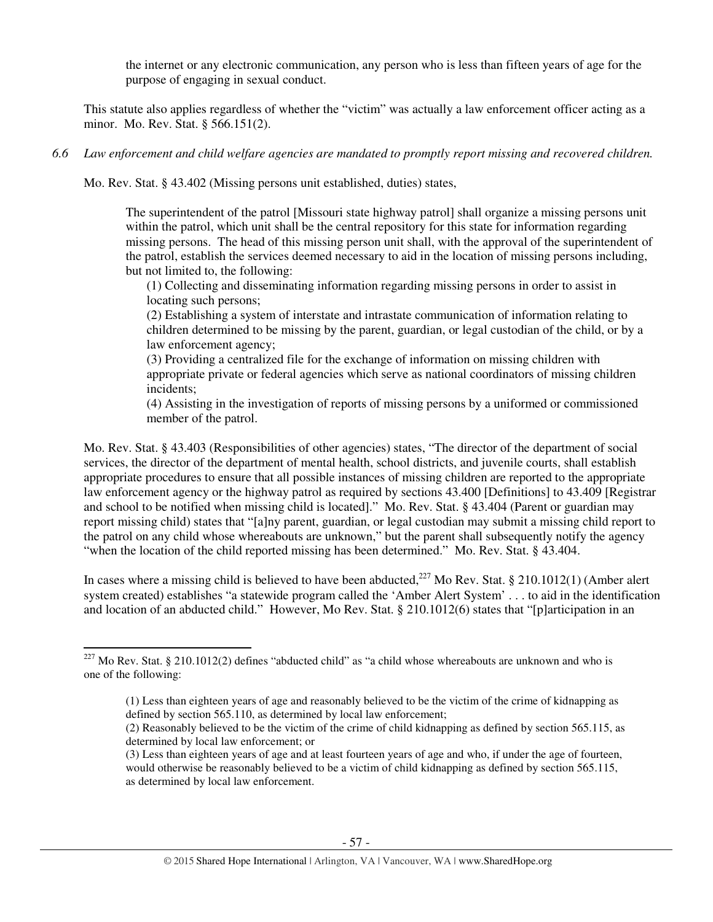the internet or any electronic communication, any person who is less than fifteen years of age for the purpose of engaging in sexual conduct.

This statute also applies regardless of whether the "victim" was actually a law enforcement officer acting as a minor. Mo. Rev. Stat. § 566.151(2).

## *6.6 Law enforcement and child welfare agencies are mandated to promptly report missing and recovered children.*

Mo. Rev. Stat. § 43.402 (Missing persons unit established, duties) states,

The superintendent of the patrol [Missouri state highway patrol] shall organize a missing persons unit within the patrol, which unit shall be the central repository for this state for information regarding missing persons. The head of this missing person unit shall, with the approval of the superintendent of the patrol, establish the services deemed necessary to aid in the location of missing persons including, but not limited to, the following:

(1) Collecting and disseminating information regarding missing persons in order to assist in locating such persons;

(2) Establishing a system of interstate and intrastate communication of information relating to children determined to be missing by the parent, guardian, or legal custodian of the child, or by a law enforcement agency;

(3) Providing a centralized file for the exchange of information on missing children with appropriate private or federal agencies which serve as national coordinators of missing children incidents;

(4) Assisting in the investigation of reports of missing persons by a uniformed or commissioned member of the patrol.

Mo. Rev. Stat. § 43.403 (Responsibilities of other agencies) states, "The director of the department of social services, the director of the department of mental health, school districts, and juvenile courts, shall establish appropriate procedures to ensure that all possible instances of missing children are reported to the appropriate law enforcement agency or the highway patrol as required by sections 43.400 [Definitions] to 43.409 [Registrar and school to be notified when missing child is located]." Mo. Rev. Stat. § 43.404 (Parent or guardian may report missing child) states that "[a]ny parent, guardian, or legal custodian may submit a missing child report to the patrol on any child whose whereabouts are unknown," but the parent shall subsequently notify the agency "when the location of the child reported missing has been determined." Mo. Rev. Stat. § 43.404.

In cases where a missing child is believed to have been abducted,<sup>227</sup> Mo Rev. Stat. § 210.1012(1) (Amber alert system created) establishes "a statewide program called the 'Amber Alert System' . . . to aid in the identification and location of an abducted child." However, Mo Rev. Stat. § 210.1012(6) states that "[p]articipation in an

l

<sup>&</sup>lt;sup>227</sup> Mo Rev. Stat. § 210.1012(2) defines "abducted child" as "a child whose whereabouts are unknown and who is one of the following:

<sup>(1)</sup> Less than eighteen years of age and reasonably believed to be the victim of the crime of kidnapping as defined by section 565.110, as determined by local law enforcement;

<sup>(2)</sup> Reasonably believed to be the victim of the crime of child kidnapping as defined by section 565.115, as determined by local law enforcement; or

<sup>(3)</sup> Less than eighteen years of age and at least fourteen years of age and who, if under the age of fourteen, would otherwise be reasonably believed to be a victim of child kidnapping as defined by section 565.115, as determined by local law enforcement.